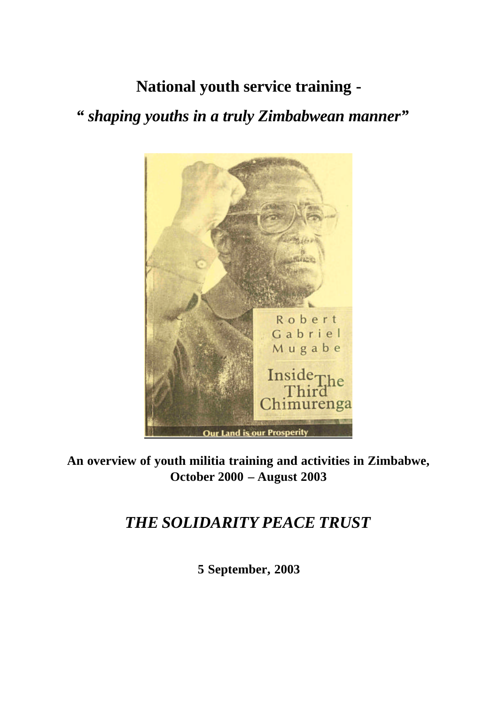**National youth service training -**

*" shaping youths in a truly Zimbabwean manner"*



**An overview of youth militia training and activities in Zimbabwe, October 2000 – August 2003** 

# *THE SOLIDARITY PEACE TRUST*

**5 September, 2003**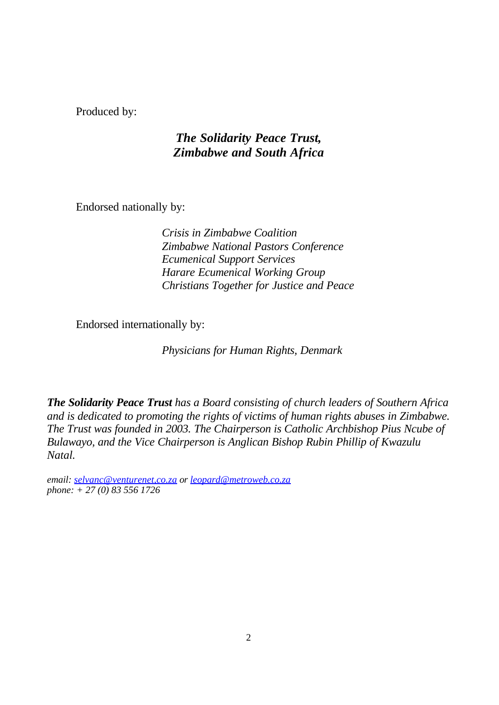Produced by:

# *The Solidarity Peace Trust, Zimbabwe and South Africa*

Endorsed nationally by:

*Crisis in Zimbabwe Coalition Zimbabwe National Pastors Conference Ecumenical Support Services Harare Ecumenical Working Group Christians Together for Justice and Peace*

Endorsed internationally by:

*Physicians for Human Rights, Denmark*

*The Solidarity Peace Trust has a Board consisting of church leaders of Southern Africa and is dedicated to promoting the rights of victims of human rights abuses in Zimbabwe. The Trust was founded in 2003. The Chairperson is Catholic Archbishop Pius Ncube of Bulawayo, and the Vice Chairperson is Anglican Bishop Rubin Phillip of Kwazulu Natal.* 

*email: selvanc@venturenet,co.za or leopard@metroweb.co.za phone: + 27 (0) 83 556 1726*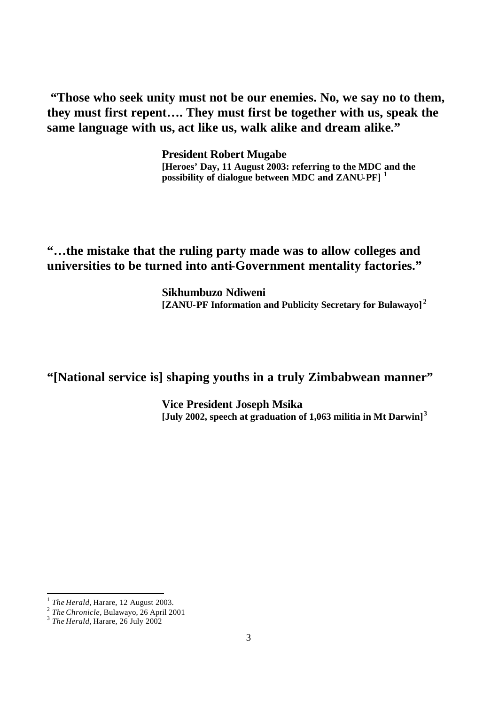**"Those who seek unity must not be our enemies. No, we say no to them, they must first repent…. They must first be together with us, speak the same language with us, act like us, walk alike and dream alike."**

> **President Robert Mugabe [Heroes' Day, 11 August 2003: referring to the MDC and the possibility of dialogue between MDC and ZANU-PF] <sup>1</sup>**

**"…the mistake that the ruling party made was to allow colleges and universities to be turned into anti-Government mentality factories."**

> **Sikhumbuzo Ndiweni [ZANU-PF Information and Publicity Secretary for Bulawayo] <sup>2</sup>**

# **"[National service is] shaping youths in a truly Zimbabwean manner"**

**Vice President Joseph Msika [July 2002, speech at graduation of 1,063 militia in Mt Darwin]<sup>3</sup>**

<sup>1</sup> *The Herald,* Harare, 12 August 2003.

<sup>2</sup> *The Chronicle*, Bulawayo, 26 April 2001 3 *The Herald,* Harare, 26 July 2002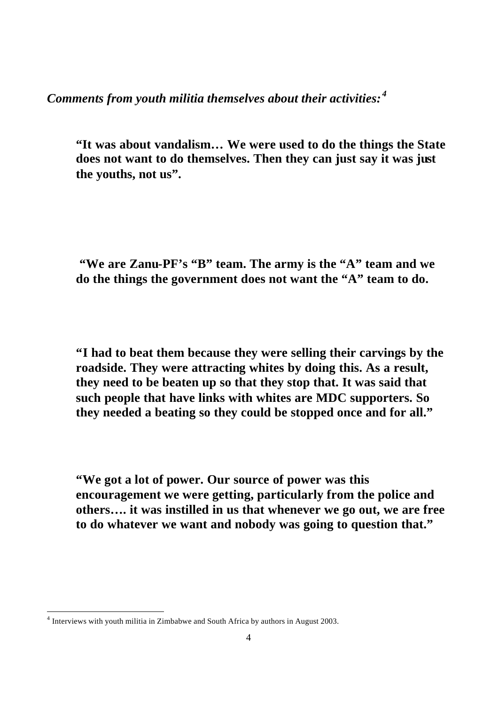*Comments from youth militia themselves about their activities: <sup>4</sup>*

**"It was about vandalism… We were used to do the things the State does not want to do themselves. Then they can just say it was just the youths, not us".** 

 **"We are Zanu-PF's "B" team. The army is the "A" team and we do the things the government does not want the "A" team to do.** 

**"I had to beat them because they were selling their carvings by the roadside. They were attracting whites by doing this. As a result, they need to be beaten up so that they stop that. It was said that such people that have links with whites are MDC supporters. So they needed a beating so they could be stopped once and for all."** 

**"We got a lot of power. Our source of power was this encouragement we were getting, particularly from the police and others…. it was instilled in us that whenever we go out, we are free to do whatever we want and nobody was going to question that."**

<sup>&</sup>lt;sup>4</sup> Interviews with youth militia in Zimbabwe and South Africa by authors in August 2003.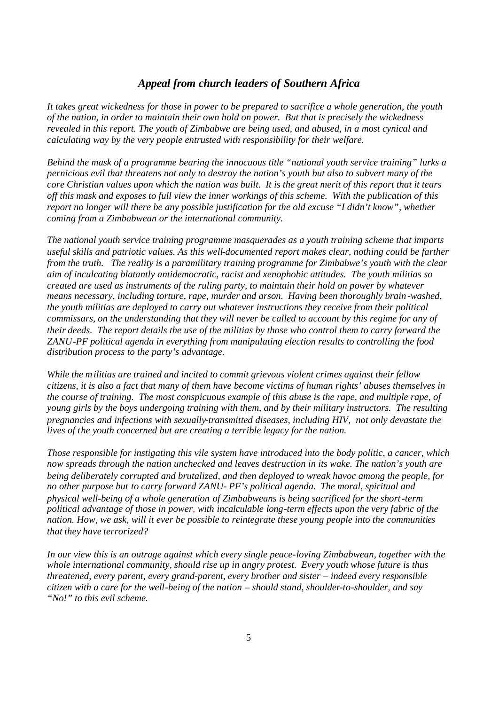#### *Appeal from church leaders of Southern Africa*

*It takes great wickedness for those in power to be prepared to sacrifice a whole generation, the youth of the nation, in order to maintain their own hold on power. But that is precisely the wickedness revealed in this report. The youth of Zimbabwe are being used, and abused, in a most cynical and calculating way by the very people entrusted with responsibility for their welfare.*

*Behind the mask of a programme bearing the innocuous title "national youth service training" lurks a pernicious evil that threatens not only to destroy the nation's youth but also to subvert many of the core Christian values upon which the nation was built. It is the great merit of this report that it tears off this mask and exposes to full view the inner workings of this scheme. With the publication of this report no longer will there be any possible justification for the old excuse "I didn't know", whether coming from a Zimbabwean or the international community.*

*The national youth service training programme masquerades as a youth training scheme that imparts useful skills and patriotic values. As this well-documented report makes clear, nothing could be farther from the truth. The reality is a paramilitary training programme for Zimbabwe's youth with the clear aim of inculcating blatantly antidemocratic, racist and xenophobic attitudes. The youth militias so created are used as instruments of the ruling party, to maintain their hold on power by whatever means necessary, including torture, rape, murder and arson. Having been thoroughly brain-washed, the youth militias are deployed to carry out whatever instructions they receive from their political commissars, on the understanding that they will never be called to account by this regime for any of their deeds. The report details the use of the militias by those who control them to carry forward the ZANU-PF political agenda in everything from manipulating election results to controlling the food distribution process to the party's advantage.*

*While the militias are trained and incited to commit grievous violent crimes against their fellow citizens, it is also a fact that many of them have become victims of human rights' abuses themselves in the course of training. The most conspicuous example of this abuse is the rape, and multiple rape, of young girls by the boys undergoing training with them, and by their military instructors. The resulting pregnancies and infections with sexually-transmitted diseases, including HIV, not only devastate the lives of the youth concerned but are creating a terrible legacy for the nation.* 

*Those responsible for instigating this vile system have introduced into the body politic, a cancer, which now spreads through the nation unchecked and leaves destruction in its wake. The nation's youth are being deliberately corrupted and brutalized, and then deployed to wreak havoc among the people, for no other purpose but to carry forward ZANU- PF's political agenda. The moral, spiritual and physical well-being of a whole generation of Zimbabweans is being sacrificed for the short-term political advantage of those in power, with incalculable long-term effects upon the very fabric of the nation. How, we ask, will it ever be possible to reintegrate these young people into the communities that they have terrorized?*

*In our view this is an outrage against which every single peace-loving Zimbabwean, together with the whole international community, should rise up in angry protest. Every youth whose future is thus threatened, every parent, every grand-parent, every brother and sister – indeed every responsible citizen with a care for the well-being of the nation – should stand, shoulder-to-shoulder, and say "No!" to this evil scheme.*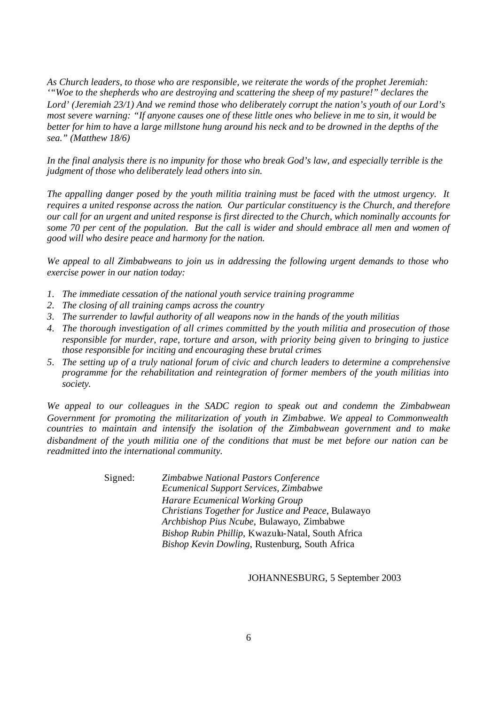*As Church leaders, to those who are responsible, we reiterate the words of the prophet Jeremiah: '"Woe to the shepherds who are destroying and scattering the sheep of my pasture!" declares the Lord' (Jeremiah 23/1) And we remind those who deliberately corrupt the nation's youth of our Lord's most severe warning: "If anyone causes one of these little ones who believe in me to sin, it would be better for him to have a large millstone hung around his neck and to be drowned in the depths of the sea." (Matthew 18/6)*

*In the final analysis there is no impunity for those who break God's law, and especially terrible is the judgment of those who deliberately lead others into sin.*

*The appalling danger posed by the youth militia training must be faced with the utmost urgency. It requires a united response across the nation. Our particular constituency is the Church, and therefore our call for an urgent and united response is first directed to the Church, which nominally accounts for some 70 per cent of the population. But the call is wider and should embrace all men and women of good will who desire peace and harmony for the nation.*

*We appeal to all Zimbabweans to join us in addressing the following urgent demands to those who exercise power in our nation today:*

- *1. The immediate cessation of the national youth service training programme*
- *2. The closing of all training camps across the country*
- *3. The surrender to lawful authority of all weapons now in the hands of the youth militias*
- *4. The thorough investigation of all crimes committed by the youth militia and prosecution of those responsible for murder, rape, torture and arson, with priority being given to bringing to justice those responsible for inciting and encouraging these brutal crimes*
- *5. The setting up of a truly national forum of civic and church leaders to determine a comprehensive programme for the rehabilitation and reintegration of former members of the youth militias into society.*

*We appeal to our colleagues in the SADC region to speak out and condemn the Zimbabwean Government for promoting the militarization of youth in Zimbabwe. We appeal to Commonwealth countries to maintain and intensify the isolation of the Zimbabwean government and to make disbandment of the youth militia one of the conditions that must be met before our nation can be readmitted into the international community.* 

> Signed: *Zimbabwe National Pastors Conference Ecumenical Support Services, Zimbabwe Harare Ecumenical Working Group Christians Together for Justice and Peace*, Bulawayo *Archbishop Pius Ncube*, Bulawayo, Zimbabwe *Bishop Rubin Phillip*, Kwazulu-Natal, South Africa *Bishop Kevin Dowling*, Rustenburg, South Africa

> > JOHANNESBURG, 5 September 2003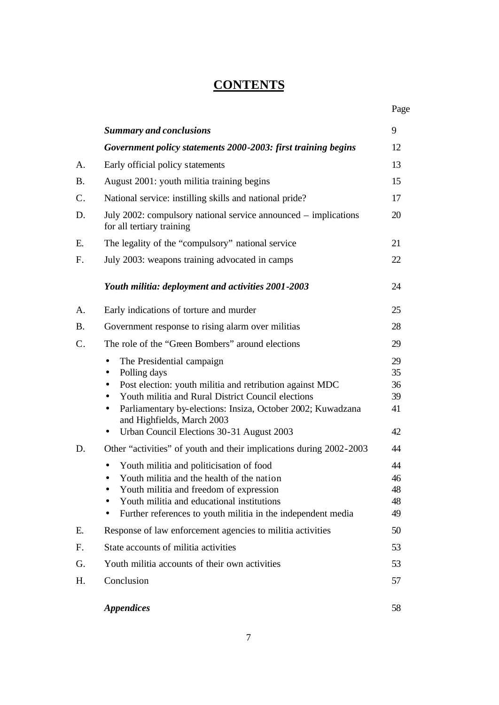# **CONTENTS**

|                |                                                                                                                                                                                                                                                                                                                                              | Page                             |
|----------------|----------------------------------------------------------------------------------------------------------------------------------------------------------------------------------------------------------------------------------------------------------------------------------------------------------------------------------------------|----------------------------------|
|                | <b>Summary and conclusions</b>                                                                                                                                                                                                                                                                                                               | 9                                |
|                | Government policy statements 2000-2003: first training begins                                                                                                                                                                                                                                                                                | 12                               |
| A.             | Early official policy statements                                                                                                                                                                                                                                                                                                             | 13                               |
| <b>B.</b>      | August 2001: youth militia training begins                                                                                                                                                                                                                                                                                                   | 15                               |
| $\mathsf{C}.$  | National service: instilling skills and national pride?                                                                                                                                                                                                                                                                                      | 17                               |
| D.             | July 2002: compulsory national service announced – implications<br>for all tertiary training                                                                                                                                                                                                                                                 | 20                               |
| E.             | The legality of the "compulsory" national service                                                                                                                                                                                                                                                                                            | 21                               |
| $F_{\cdot}$    | July 2003: weapons training advocated in camps                                                                                                                                                                                                                                                                                               | 22                               |
|                | Youth militia: deployment and activities 2001-2003                                                                                                                                                                                                                                                                                           | 24                               |
| Α.             | Early indications of torture and murder                                                                                                                                                                                                                                                                                                      | 25                               |
| <b>B.</b>      | Government response to rising alarm over militias                                                                                                                                                                                                                                                                                            | 28                               |
| $\mathcal{C}.$ | The role of the "Green Bombers" around elections                                                                                                                                                                                                                                                                                             | 29                               |
|                | The Presidential campaign<br>Polling days<br>Post election: youth militia and retribution against MDC<br>$\bullet$<br>Youth militia and Rural District Council elections<br>$\bullet$<br>Parliamentary by-elections: Insiza, October 2002; Kuwadzana<br>$\bullet$<br>and Highfields, March 2003<br>Urban Council Elections 30-31 August 2003 | 29<br>35<br>36<br>39<br>41<br>42 |
| D.             | Other "activities" of youth and their implications during 2002-2003                                                                                                                                                                                                                                                                          | 44                               |
|                | Youth militia and politicisation of food<br>Youth militia and the health of the nation<br>Youth militia and freedom of expression<br>Youth militia and educational institutions<br>Further references to youth militia in the independent media                                                                                              | 44<br>46<br>48<br>48<br>49       |
| Ε.             | Response of law enforcement agencies to militia activities                                                                                                                                                                                                                                                                                   | 50                               |
| F.             | State accounts of militia activities                                                                                                                                                                                                                                                                                                         | 53                               |
| G.             | Youth militia accounts of their own activities                                                                                                                                                                                                                                                                                               | 53                               |
| H.             | Conclusion                                                                                                                                                                                                                                                                                                                                   | 57                               |
|                | <b>Appendices</b>                                                                                                                                                                                                                                                                                                                            | 58                               |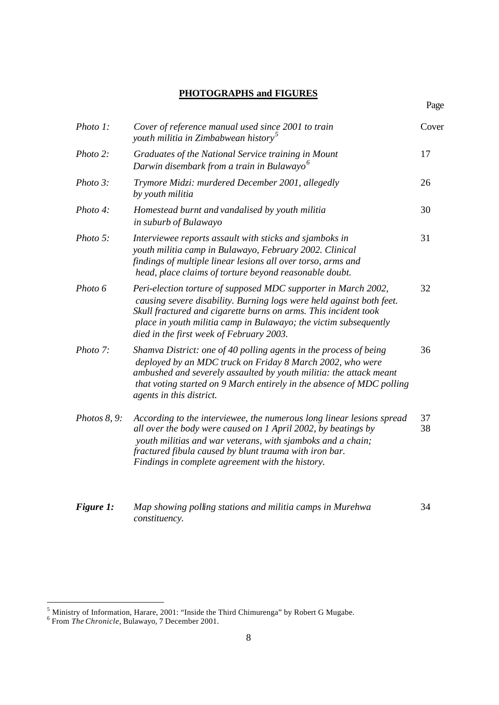## **PHOTOGRAPHS and FIGURES**

| Photo 1:     | Cover of reference manual used since 2001 to train<br>youth militia in Zimbabwean history <sup>5</sup>                                                                                                                                                                                                                    | Cover    |
|--------------|---------------------------------------------------------------------------------------------------------------------------------------------------------------------------------------------------------------------------------------------------------------------------------------------------------------------------|----------|
| Photo 2:     | Graduates of the National Service training in Mount<br>Darwin disembark from a train in Bulawayo <sup>6</sup>                                                                                                                                                                                                             | 17       |
| Photo 3:     | Trymore Midzi: murdered December 2001, allegedly<br>by youth militia                                                                                                                                                                                                                                                      | 26       |
| Photo 4:     | Homestead burnt and vandalised by youth militia<br>in suburb of Bulawayo                                                                                                                                                                                                                                                  | 30       |
| Photo 5:     | Interviewee reports assault with sticks and sjamboks in<br>youth militia camp in Bulawayo, February 2002. Clinical<br>findings of multiple linear lesions all over torso, arms and<br>head, place claims of torture beyond reasonable doubt.                                                                              | 31       |
| Photo 6      | Peri-election torture of supposed MDC supporter in March 2002,<br>causing severe disability. Burning logs were held against both feet.<br>Skull fractured and cigarette burns on arms. This incident took<br>place in youth militia camp in Bulawayo; the victim subsequently<br>died in the first week of February 2003. | 32       |
| Photo 7:     | Shamva District: one of 40 polling agents in the process of being<br>deployed by an MDC truck on Friday 8 March 2002, who were<br>ambushed and severely assaulted by youth militia: the attack meant<br>that voting started on 9 March entirely in the absence of MDC polling<br>agents in this district.                 | 36       |
| Photos 8, 9: | According to the interviewee, the numerous long linear lesions spread<br>all over the body were caused on 1 April 2002, by beatings by<br>youth militias and war veterans, with sjamboks and a chain;<br>fractured fibula caused by blunt trauma with iron bar.<br>Findings in complete agreement with the history.       | 37<br>38 |
| Figure 1:    | Map showing polling stations and militia camps in Murehwa<br>constituency.                                                                                                                                                                                                                                                | 34       |

 5 Ministry of Information, Harare, 2001: "Inside the Third Chimurenga" by Robert G Mugabe. 6 From *The Chronicle*, Bulawayo, 7 December 2001.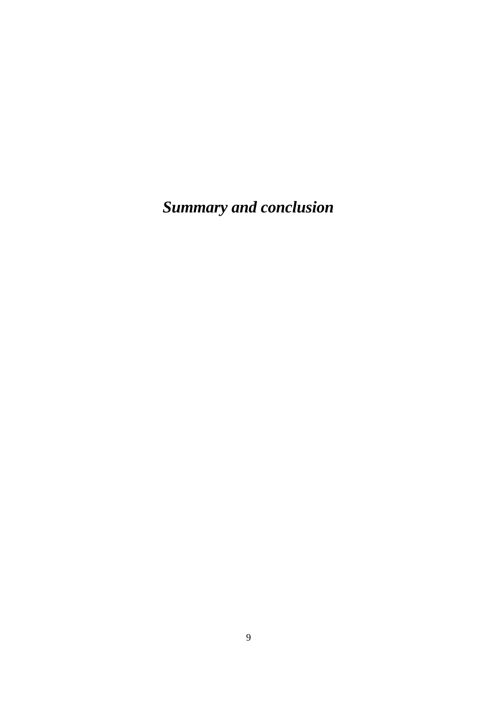*Summary and conclusion*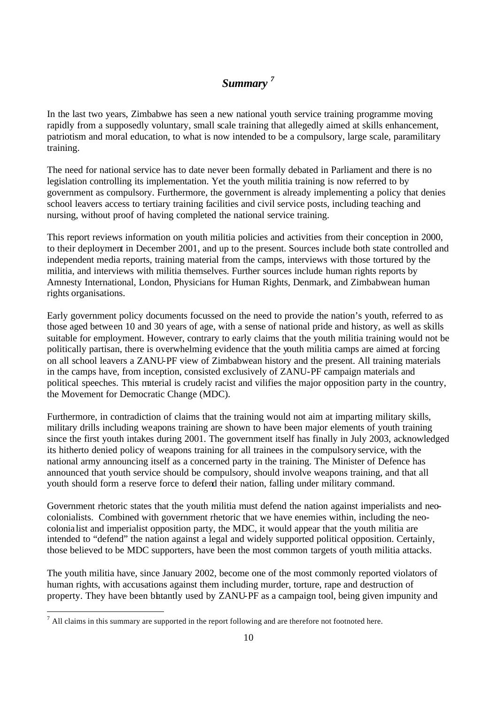# *Summary <sup>7</sup>*

In the last two years, Zimbabwe has seen a new national youth service training programme moving rapidly from a supposedly voluntary, small scale training that allegedly aimed at skills enhancement, patriotism and moral education, to what is now intended to be a compulsory, large scale, paramilitary training.

The need for national service has to date never been formally debated in Parliament and there is no legislation controlling its implementation. Yet the youth militia training is now referred to by government as compulsory. Furthermore, the government is already implementing a policy that denies school leavers access to tertiary training facilities and civil service posts, including teaching and nursing, without proof of having completed the national service training.

This report reviews information on youth militia policies and activities from their conception in 2000, to their deployment in December 2001, and up to the present. Sources include both state controlled and independent media reports, training material from the camps, interviews with those tortured by the militia, and interviews with militia themselves. Further sources include human rights reports by Amnesty International, London, Physicians for Human Rights, Denmark, and Zimbabwean human rights organisations.

Early government policy documents focussed on the need to provide the nation's youth, referred to as those aged between 10 and 30 years of age, with a sense of national pride and history, as well as skills suitable for employment. However, contrary to early claims that the youth militia training would not be politically partisan, there is overwhelming evidence that the youth militia camps are aimed at forcing on all school leavers a ZANU-PF view of Zimbabwean history and the present. All training materials in the camps have, from inception, consisted exclusively of ZANU-PF campaign materials and political speeches. This material is crudely racist and vilifies the major opposition party in the country, the Movement for Democratic Change (MDC).

Furthermore, in contradiction of claims that the training would not aim at imparting military skills, military drills including weapons training are shown to have been major elements of youth training since the first youth intakes during 2001. The government itself has finally in July 2003, acknowledged its hitherto denied policy of weapons training for all trainees in the compulsory service, with the national army announcing itself as a concerned party in the training. The Minister of Defence has announced that youth service should be compulsory, should involve weapons training, and that all youth should form a reserve force to defend their nation, falling under military command.

Government rhetoric states that the youth militia must defend the nation against imperialists and neocolonialists. Combined with government rhetoric that we have enemies within, including the neocolonia list and imperialist opposition party, the MDC, it would appear that the youth militia are intended to "defend" the nation against a legal and widely supported political opposition. Certainly, those believed to be MDC supporters, have been the most common targets of youth militia attacks.

The youth militia have, since January 2002, become one of the most commonly reported violators of human rights, with accusations against them including murder, torture, rape and destruction of property. They have been blatantly used by ZANU-PF as a campaign tool, being given impunity and

<sup>&</sup>lt;sup>7</sup> All claims in this summary are supported in the report following and are therefore not footnoted here.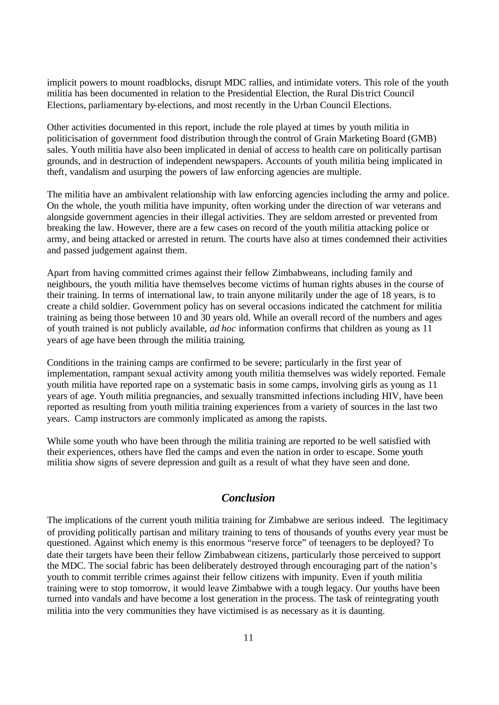implicit powers to mount roadblocks, disrupt MDC rallies, and intimidate voters. This role of the youth militia has been documented in relation to the Presidential Election, the Rural District Council Elections, parliamentary by-elections, and most recently in the Urban Council Elections.

Other activities documented in this report, include the role played at times by youth militia in politicisation of government food distribution through the control of Grain Marketing Board (GMB) sales. Youth militia have also been implicated in denial of access to health care on politically partisan grounds, and in destruction of independent newspapers. Accounts of youth militia being implicated in theft, vandalism and usurping the powers of law enforcing agencies are multiple.

The militia have an ambivalent relationship with law enforcing agencies including the army and police. On the whole, the youth militia have impunity, often working under the direction of war veterans and alongside government agencies in their illegal activities. They are seldom arrested or prevented from breaking the law. However, there are a few cases on record of the youth militia attacking police or army, and being attacked or arrested in return. The courts have also at times condemned their activities and passed judgement against them.

Apart from having committed crimes against their fellow Zimbabweans, including family and neighbours, the youth militia have themselves become victims of human rights abuses in the course of their training. In terms of international law, to train anyone militarily under the age of 18 years, is to create a child soldier. Government policy has on several occasions indicated the catchment for militia training as being those between 10 and 30 years old. While an overall record of the numbers and ages of youth trained is not publicly available, *ad hoc* information confirms that children as young as 11 years of age have been through the militia training.

Conditions in the training camps are confirmed to be severe; particularly in the first year of implementation, rampant sexual activity among youth militia themselves was widely reported. Female youth militia have reported rape on a systematic basis in some camps, involving girls as young as 11 years of age. Youth militia pregnancies, and sexually transmitted infections including HIV, have been reported as resulting from youth militia training experiences from a variety of sources in the last two years. Camp instructors are commonly implicated as among the rapists.

While some youth who have been through the militia training are reported to be well satisfied with their experiences, others have fled the camps and even the nation in order to escape. Some youth militia show signs of severe depression and guilt as a result of what they have seen and done.

### *Conclusion*

The implications of the current youth militia training for Zimbabwe are serious indeed. The legitimacy of providing politically partisan and military training to tens of thousands of youths every year must be questioned. Against which enemy is this enormous "reserve force" of teenagers to be deployed? To date their targets have been their fellow Zimbabwean citizens, particularly those perceived to support the MDC. The social fabric has been deliberately destroyed through encouraging part of the nation's youth to commit terrible crimes against their fellow citizens with impunity. Even if youth militia training were to stop tomorrow, it would leave Zimbabwe with a tough legacy. Our youths have been turned into vandals and have become a lost generation in the process. The task of reintegrating youth militia into the very communities they have victimised is as necessary as it is daunting.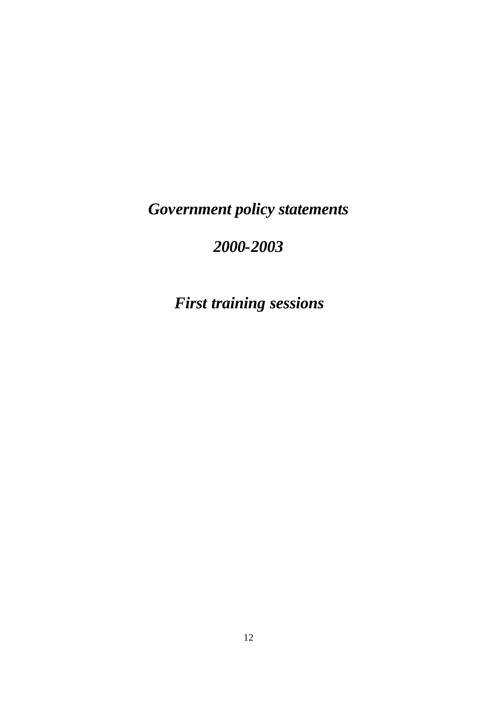*Government policy statements*

# *2000-2003*

*First training sessions*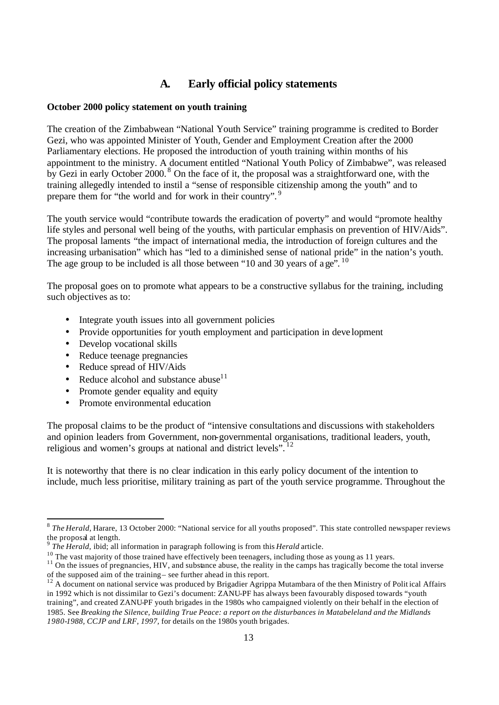# **A. Early official policy statements**

#### **October 2000 policy statement on youth training**

The creation of the Zimbabwean "National Youth Service" training programme is credited to Border Gezi, who was appointed Minister of Youth, Gender and Employment Creation after the 2000 Parliamentary elections. He proposed the introduction of youth training within months of his appointment to the ministry. A document entitled "National Youth Policy of Zimbabwe", was released by Gezi in early October 2000.<sup>8</sup> On the face of it, the proposal was a straightforward one, with the training allegedly intended to instil a "sense of responsible citizenship among the youth" and to prepare them for "the world and for work in their country". <sup>9</sup>

The youth service would "contribute towards the eradication of poverty" and would "promote healthy life styles and personal well being of the youths, with particular emphasis on prevention of HIV/Aids". The proposal laments "the impact of international media, the introduction of foreign cultures and the increasing urbanisation" which has "led to a diminished sense of national pride" in the nation's youth. The age group to be included is all those between "10 and 30 years of a  $ee^{v}$ . <sup>10</sup>

The proposal goes on to promote what appears to be a constructive syllabus for the training, including such objectives as to:

- Integrate youth issues into all government policies
- Provide opportunities for youth employment and participation in deve lopment
- Develop vocational skills
- Reduce teenage pregnancies
- Reduce spread of HIV/Aids

- Reduce alcohol and substance abuse<sup>11</sup>
- Promote gender equality and equity
- Promote environmental education

The proposal claims to be the product of "intensive consultations and discussions with stakeholders and opinion leaders from Government, non-governmental organisations, traditional leaders, youth, religious and women's groups at national and district levels".  $^{12}$ 

It is noteworthy that there is no clear indication in this early policy document of the intention to include, much less prioritise, military training as part of the youth service programme. Throughout the

<sup>&</sup>lt;sup>8</sup> The Herald, Harare, 13 October 2000: "National service for all youths proposed". This state controlled newspaper reviews the proposal at length.

<sup>9</sup> *The Herald,* ibid; all information in paragraph following is from this *Herald* article.

<sup>&</sup>lt;sup>10</sup> The vast majority of those trained have effectively been teenagers, including those as young as 11 years.

 $11$  On the issues of pregnancies, HIV, and substance abuse, the reality in the camps has tragically become the total inverse of the supposed aim of the training – see further ahead in this report.

<sup>&</sup>lt;sup>12</sup> A document on national service was produced by Brigadier Agrippa Mutambara of the then Ministry of Polit ical Affairs in 1992 which is not dissimilar to Gezi's document: ZANU-PF has always been favourably disposed towards "youth training", and created ZANU-PF youth brigades in the 1980s who campaigned violently on their behalf in the election of 1985. See *Breaking the Silence, building True Peace: a report on the disturbances in Matabeleland and the Midlands 1980-1988, CCJP and LRF, 1997,* for details on the 1980s youth brigades.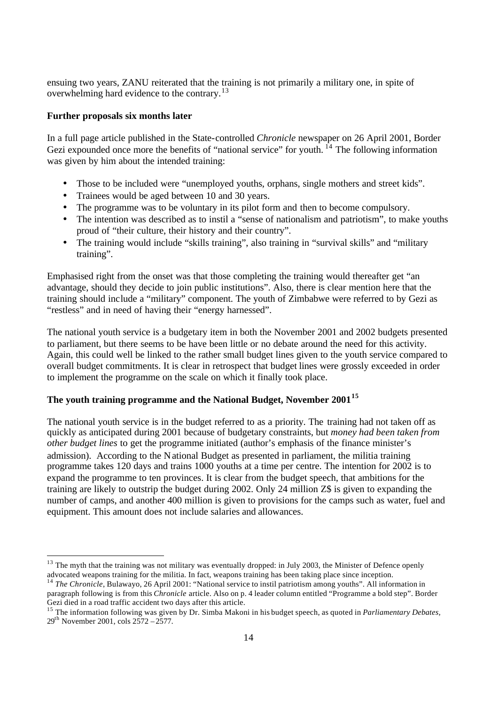ensuing two years, ZANU reiterated that the training is not primarily a military one, in spite of overwhelming hard evidence to the contrary.<sup>13</sup>

#### **Further proposals six months later**

In a full page article published in the State-controlled *Chronicle* newspaper on 26 April 2001, Border Gezi expounded once more the benefits of "national service" for youth.  $^{14}$  The following information was given by him about the intended training:

- Those to be included were "unemployed youths, orphans, single mothers and street kids".
- Trainees would be aged between 10 and 30 years.
- The programme was to be voluntary in its pilot form and then to become compulsory.
- The intention was described as to instil a "sense of nationalism and patriotism", to make youths proud of "their culture, their history and their country".
- The training would include "skills training", also training in "survival skills" and "military training".

Emphasised right from the onset was that those completing the training would thereafter get "an advantage, should they decide to join public institutions". Also, there is clear mention here that the training should include a "military" component. The youth of Zimbabwe were referred to by Gezi as "restless" and in need of having their "energy harnessed".

The national youth service is a budgetary item in both the November 2001 and 2002 budgets presented to parliament, but there seems to be have been little or no debate around the need for this activity. Again, this could well be linked to the rather small budget lines given to the youth service compared to overall budget commitments. It is clear in retrospect that budget lines were grossly exceeded in order to implement the programme on the scale on which it finally took place.

## **The youth training programme and the National Budget, November 2001<sup>15</sup>**

The national youth service is in the budget referred to as a priority. The training had not taken off as quickly as anticipated during 2001 because of budgetary constraints, but *money had been taken from other budget lines* to get the programme initiated (author's emphasis of the finance minister's admission). According to the National Budget as presented in parliament, the militia training programme takes 120 days and trains 1000 youths at a time per centre. The intention for 2002 is to expand the programme to ten provinces. It is clear from the budget speech, that ambitions for the training are likely to outstrip the budget during 2002. Only 24 million Z\$ is given to expanding the number of camps, and another 400 million is given to provisions for the camps such as water, fuel and equipment. This amount does not include salaries and allowances.

 $13$  The myth that the training was not military was eventually dropped: in July 2003, the Minister of Defence openly advocated weapons training for the militia. In fact, weapons training has been taking place since inception.

<sup>14</sup> *The Chronicle*, Bulawayo, 26 April 2001: "National service to instil patriotism among youths". All information in paragraph following is from this *Chronicle* article. Also on p. 4 leader column entitled "Programme a bold step". Border Gezi died in a road traffic accident two days after this article.

<sup>&</sup>lt;sup>15</sup> The information following was given by Dr. Simba Makoni in his budget speech, as quoted in *Parliamentary Debates*, 29th November 2001, cols 2572 – 2577.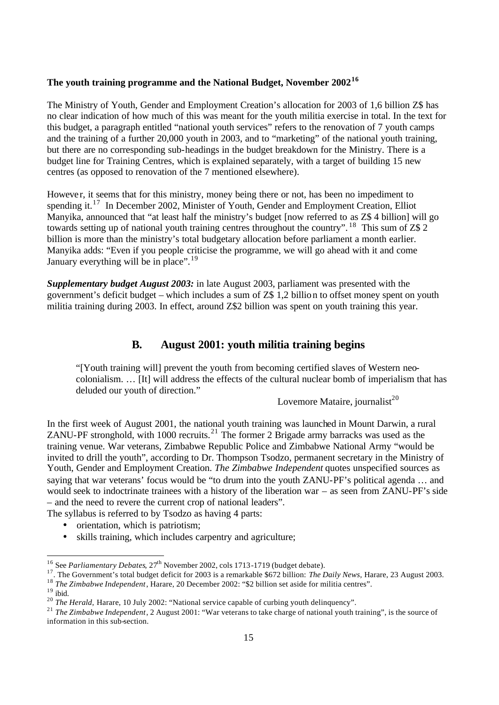## **The youth training programme and the National Budget, November 2002<sup>16</sup>**

The Ministry of Youth, Gender and Employment Creation's allocation for 2003 of 1,6 billion Z\$ has no clear indication of how much of this was meant for the youth militia exercise in total. In the text for this budget, a paragraph entitled "national youth services" refers to the renovation of 7 youth camps and the training of a further 20,000 youth in 2003, and to "marketing" of the national youth training, but there are no corresponding sub-headings in the budget breakdown for the Ministry. There is a budget line for Training Centres, which is explained separately, with a target of building 15 new centres (as opposed to renovation of the 7 mentioned elsewhere).

Howeve r, it seems that for this ministry, money being there or not, has been no impediment to spending it.<sup>17</sup> In December 2002, Minister of Youth, Gender and Employment Creation, Elliot Manyika, announced that "at least half the ministry's budget [now referred to as Z\$ 4 billion] will go towards setting up of national youth training centres throughout the country". <sup>18</sup> This sum of Z\$ 2 billion is more than the ministry's total budgetary allocation before parliament a month earlier. Manyika adds: "Even if you people criticise the programme, we will go ahead with it and come January everything will be in place".<sup>19</sup>

*Supplementary budget August 2003:* in late August 2003, parliament was presented with the government's deficit budget – which includes a sum of Z\$ 1,2 billion to offset money spent on youth militia training during 2003. In effect, around Z\$2 billion was spent on youth training this year.

### **B. August 2001: youth militia training begins**

"[Youth training will] prevent the youth from becoming certified slaves of Western neocolonialism. … [It] will address the effects of the cultural nuclear bomb of imperialism that has deluded our youth of direction."

Lovemore Mataire, journalist<sup>20</sup>

In the first week of August 2001, the national youth training was launched in Mount Darwin, a rural ZANU-PF stronghold, with 1000 recruits.<sup>21</sup> The former 2 Brigade army barracks was used as the training venue. War veterans, Zimbabwe Republic Police and Zimbabwe National Army "would be invited to drill the youth", according to Dr. Thompson Tsodzo, permanent secretary in the Ministry of Youth, Gender and Employment Creation. *The Zimbabwe Independent* quotes unspecified sources as saying that war veterans' focus would be "to drum into the youth ZANU-PF's political agenda … and would seek to indoctrinate trainees with a history of the liberation war – as seen from ZANU-PF's side – and the need to revere the current crop of national leaders".

The syllabus is referred to by Tsodzo as having 4 parts:

- orientation, which is patriotism;
- skills training, which includes carpentry and agriculture;

<sup>&</sup>lt;sup>16</sup> See *Parliamentary Debates*, 27<sup>th</sup> November 2002, cols 1713-1719 (budget debate).

<sup>17</sup>. The Government's total budget deficit for 2003 is a remarkable \$672 billion: *The Daily News,* Harare, 23 August 2003. <sup>18</sup> *The Zimbabwe Independent*, Harare, 20 December 2002: "\$2 billion set aside for militia centres".

 $19$  ibid.

<sup>&</sup>lt;sup>20</sup> *The Herald,* Harare, 10 July 2002: "National service capable of curbing youth delinquency".

<sup>21</sup> *The Zimbabwe Independent*, 2 August 2001: "War veterans to take charge of national youth training", is the source of information in this sub-section.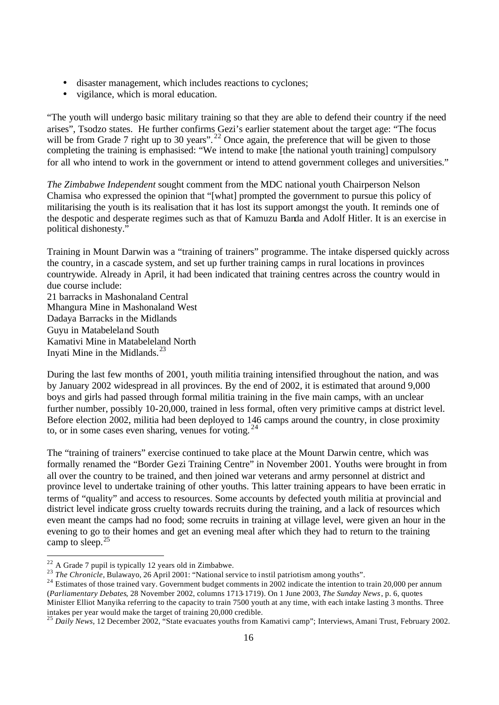- disaster management, which includes reactions to cyclones;
- vigilance, which is moral education.

"The youth will undergo basic military training so that they are able to defend their country if the need arises", Tsodzo states. He further confirms Gezi's earlier statement about the target age: "The focus will be from Grade 7 right up to 30 years".<sup>22</sup> Once again, the preference that will be given to those completing the training is emphasised: "We intend to make [the national youth training] compulsory for all who intend to work in the government or intend to attend government colleges and universities."

*The Zimbabwe Independent* sought comment from the MDC national youth Chairperson Nelson Chamisa who expressed the opinion that "[what] prompted the government to pursue this policy of militarising the youth is its realisation that it has lost its support amongst the youth. It reminds one of the despotic and desperate regimes such as that of Kamuzu Banda and Adolf Hitler. It is an exercise in political dishonesty."

Training in Mount Darwin was a "training of trainers" programme. The intake dispersed quickly across the country, in a cascade system, and set up further training camps in rural locations in provinces countrywide. Already in April, it had been indicated that training centres across the country would in due course include:

21 barracks in Mashonaland Central Mhangura Mine in Mashonaland West Dadaya Barracks in the Midlands Guyu in Matabeleland South Kamativi Mine in Matabeleland North Inyati Mine in the Midlands.<sup>23</sup>

During the last few months of 2001, youth militia training intensified throughout the nation, and was by January 2002 widespread in all provinces. By the end of 2002, it is estimated that around 9,000 boys and girls had passed through formal militia training in the five main camps, with an unclear further number, possibly 10-20,000, trained in less formal, often very primitive camps at district level. Before election 2002, militia had been deployed to 146 camps around the country, in close proximity to, or in some cases even sharing, venues for voting.  $24$ 

The "training of trainers" exercise continued to take place at the Mount Darwin centre, which was formally renamed the "Border Gezi Training Centre" in November 2001. Youths were brought in from all over the country to be trained, and then joined war veterans and army personnel at district and province level to undertake training of other youths. This latter training appears to have been erratic in terms of "quality" and access to resources. Some accounts by defected youth militia at provincial and district level indicate gross cruelty towards recruits during the training, and a lack of resources which even meant the camps had no food; some recruits in training at village level, were given an hour in the evening to go to their homes and get an evening meal after which they had to return to the training camp to sleep. $25$ 

 $22$  A Grade 7 pupil is typically 12 years old in Zimbabwe.

<sup>&</sup>lt;sup>23</sup> *The Chronicle*, Bulawayo, 26 April 2001: "National service to instil patriotism among youths".

 $^{24}$  Estimates of those trained vary. Government budget comments in 2002 indicate the intention to train 20,000 per annum (*Parliamentary Debates*, 28 November 2002, columns 1713-1719). On 1 June 2003, *The Sunday News*, p. 6, quotes Minister Elliot Manyika referring to the capacity to train 7500 youth at any time, with each intake lasting 3 months. Three intakes per year would make the target of training 20,000 credible.

<sup>25</sup> *Daily News*, 12 December 2002, "State evacuates youths from Kamativi camp"; Interviews, Amani Trust, February 2002.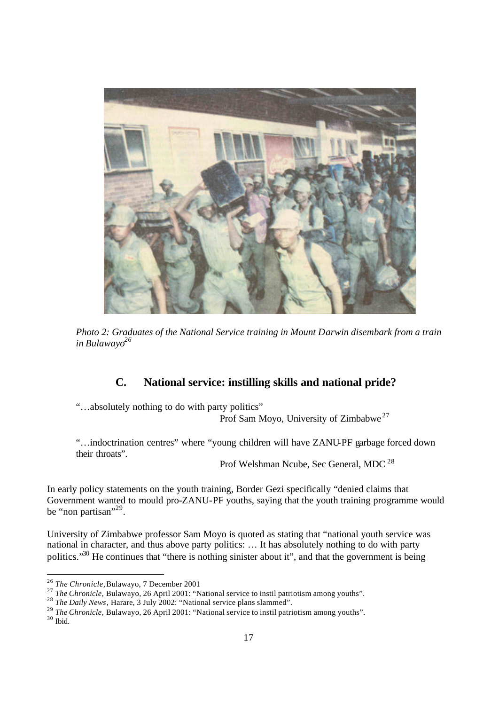

*Photo 2: Graduates of the National Service training in Mount Darwin disembark from a train in Bulawayo<sup>26</sup>*

## **C. National service: instilling skills and national pride?**

"…absolutely nothing to do with party politics"

Prof Sam Moyo, University of Zimbabwe<sup>27</sup>

"…indoctrination centres" where "young children will have ZANU-PF garbage forced down their throats".

Prof Welshman Ncube, Sec General, MDC <sup>28</sup>

In early policy statements on the youth training, Border Gezi specifically "denied claims that Government wanted to mould pro-ZANU-PF youths, saying that the youth training programme would be "non partisan"<sup>29</sup>.

University of Zimbabwe professor Sam Moyo is quoted as stating that "national youth service was national in character, and thus above party politics: … It has absolutely nothing to do with party politics."<sup>30</sup> He continues that "there is nothing sinister about it", and that the government is being

 $30$  Ibid.

<sup>26</sup> *The Chronicle,* Bulawayo, 7 December 2001

<sup>27</sup> *The Chronicle,* Bulawayo, 26 April 2001: "National service to instil patriotism among youths".

<sup>28</sup> *The Daily News*, Harare, 3 July 2002: "National service plans slammed".

<sup>29</sup> *The Chronicle,* Bulawayo, 26 April 2001: "National service to instil patriotism among youths".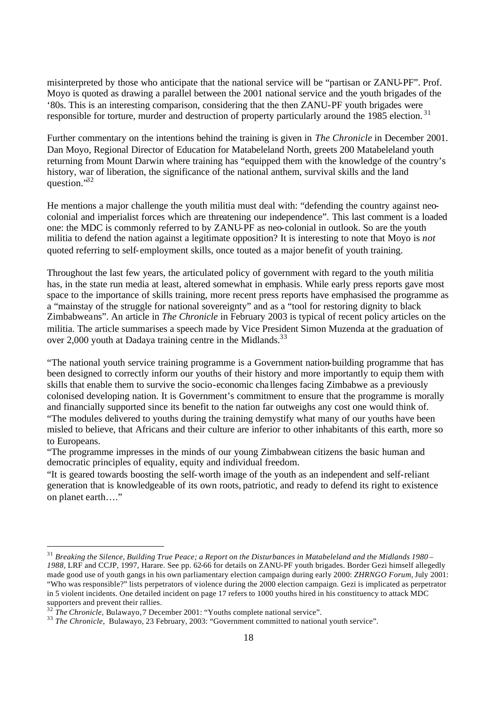misinterpreted by those who anticipate that the national service will be "partisan or ZANU-PF". Prof. Moyo is quoted as drawing a parallel between the 2001 national service and the youth brigades of the '80s. This is an interesting comparison, considering that the then ZANU-PF youth brigades were responsible for torture, murder and destruction of property particularly around the 1985 election.<sup>31</sup>

Further commentary on the intentions behind the training is given in *The Chronicle* in December 2001. Dan Moyo, Regional Director of Education for Matabeleland North, greets 200 Matabeleland youth returning from Mount Darwin where training has "equipped them with the knowledge of the country's history, war of liberation, the significance of the national anthem, survival skills and the land question."<sup>32</sup>

He mentions a major challenge the youth militia must deal with: "defending the country against neocolonial and imperialist forces which are threatening our independence". This last comment is a loaded one: the MDC is commonly referred to by ZANU-PF as neo-colonial in outlook. So are the youth militia to defend the nation against a legitimate opposition? It is interesting to note that Moyo is *not* quoted referring to self- employment skills, once touted as a major benefit of youth training.

Throughout the last few years, the articulated policy of government with regard to the youth militia has, in the state run media at least, altered somewhat in emphasis. While early press reports gave most space to the importance of skills training, more recent press reports have emphasised the programme as a "mainstay of the struggle for national sovereignty" and as a "tool for restoring dignity to black Zimbabweans". An article in *The Chronicle* in February 2003 is typical of recent policy articles on the militia. The article summarises a speech made by Vice President Simon Muzenda at the graduation of over 2,000 youth at Dadaya training centre in the Midlands.<sup>33</sup>

"The national youth service training programme is a Government nation-building programme that has been designed to correctly inform our youths of their history and more importantly to equip them with skills that enable them to survive the socio-economic cha llenges facing Zimbabwe as a previously colonised developing nation. It is Government's commitment to ensure that the programme is morally and financially supported since its benefit to the nation far outweighs any cost one would think of. "The modules delivered to youths during the training demystify what many of our youths have been misled to believe, that Africans and their culture are inferior to other inhabitants of this earth, more so to Europeans.

"The programme impresses in the minds of our young Zimbabwean citizens the basic human and democratic principles of equality, equity and individual freedom.

"It is geared towards boosting the self-worth image of the youth as an independent and self-reliant generation that is knowledgeable of its own roots, patriotic, and ready to defend its right to existence on planet earth…."

<sup>31</sup> *Breaking the Silence, Building True Peace; a Report on the Disturbances in Matabeleland and the Midlands 1980 – 1988,* LRF and CCJP, 1997, Harare. See pp. 62-66 for details on ZANU-PF youth brigades. Border Gezi himself allegedly made good use of youth gangs in his own parliamentary election campaign during early 2000: *ZHRNGO Forum,* July 2001: "Who was responsible?" lists perpetrators of violence during the 2000 election campaign. Gezi is implicated as perpetrator in 5 violent incidents. One detailed incident on page 17 refers to 1000 youths hired in his constituency to attack MDC supporters and prevent their rallies.

<sup>&</sup>lt;sup>32</sup> The Chronicle, Bulawayo, 7 December 2001: "Youths complete national service".

<sup>&</sup>lt;sup>33</sup> *The Chronicle*, Bulawayo, 23 February, 2003: "Government committed to national youth service".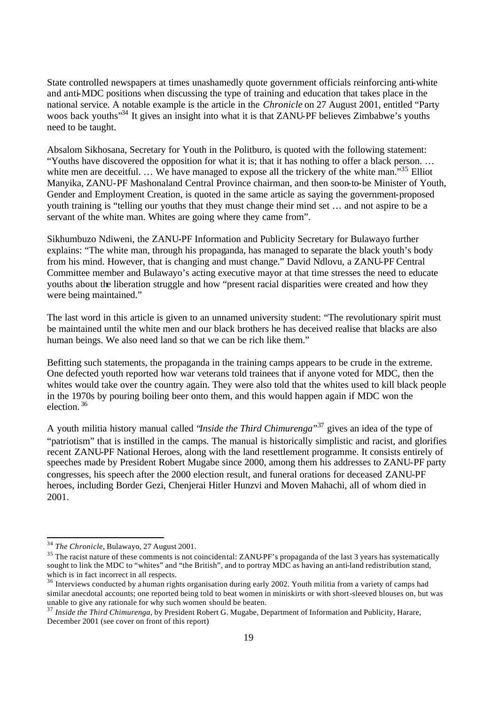State controlled newspapers at times unashamedly quote government officials reinforcing anti-white and anti-MDC positions when discussing the type of training and education that takes place in the national service. A notable example is the article in the *Chronicle* on 27 August 2001, entitled "Party woos back youths<sup>334</sup> It gives an insight into what it is that ZANU-PF believes Zimbabwe's youths need to be taught.

Absalom Sikhosana, Secretary for Youth in the Politburo, is quoted with the following statement: "Youths have discovered the opposition for what it is; that it has nothing to offer a black person. … white men are deceitful. ... We have managed to expose all the trickery of the white man."<sup>35</sup> Elliot Manyika, ZANU-PF Mashonaland Central Province chairman, and then soon-to-be Minister of Youth, Gender and Employment Creation, is quoted in the same article as saying the government-proposed youth training is "telling our youths that they must change their mind set … and not aspire to be a servant of the white man. Whites are going where they came from".

Sikhumbuzo Ndiweni, the ZANU-PF Information and Publicity Secretary for Bulawayo further explains: "The white man, through his propaganda, has managed to separate the black youth's body from his mind. However, that is changing and must change." David Ndlovu, a ZANU-PF Central Committee member and Bulawayo's acting executive mayor at that time stresses the need to educate youths about the liberation struggle and how "present racial disparities were created and how they were being maintained."

The last word in this article is given to an unnamed university student: "The revolutionary spirit must be maintained until the white men and our black brothers he has deceived realise that blacks are also human beings. We also need land so that we can be rich like them."

Befitting such statements, the propaganda in the training camps appears to be crude in the extreme. One defected youth reported how war veterans told trainees that if anyone voted for MDC, then the whites would take over the country again. They were also told that the whites used to kill black people in the 1970s by pouring boiling beer onto them, and this would happen again if MDC won the election.<sup>36</sup>

A youth militia history manual called "*Inside the Third Chimurenga*" <sup>37</sup> gives an idea of the type of "patriotism" that is instilled in the camps. The manual is historically simplistic and racist, and glorifies recent ZANU-PF National Heroes, along with the land resettlement programme. It consists entirely of speeches made by President Robert Mugabe since 2000, among them his addresses to ZANU-PF party congresses, his speech after the 2000 election result, and funeral orations for deceased ZANU-PF heroes, including Border Gezi, Chenjerai Hitler Hunzvi and Moven Mahachi, all of whom died in 2001.

<sup>34</sup> *The Chronicle*, Bulawayo, 27 August 2001.

<sup>&</sup>lt;sup>35</sup> The racist nature of these comments is not coincidental: ZANU-PF's propaganda of the last 3 years has systematically sought to link the MDC to "whites" and "the British", and to portray MDC as having an anti-land redistribution stand, which is in fact incorrect in all respects.

<sup>&</sup>lt;sup>36</sup> Interviews conducted by a human rights organisation during early 2002. Youth militia from a variety of camps had similar anecdotal accounts; one reported being told to beat women in miniskirts or with short-sleeved blouses on, but was unable to give any rationale for why such women should be beaten.

<sup>&</sup>lt;sup>37</sup> Inside the Third Chimurenga, by President Robert G. Mugabe, Department of Information and Publicity, Harare, December 2001 (see cover on front of this report)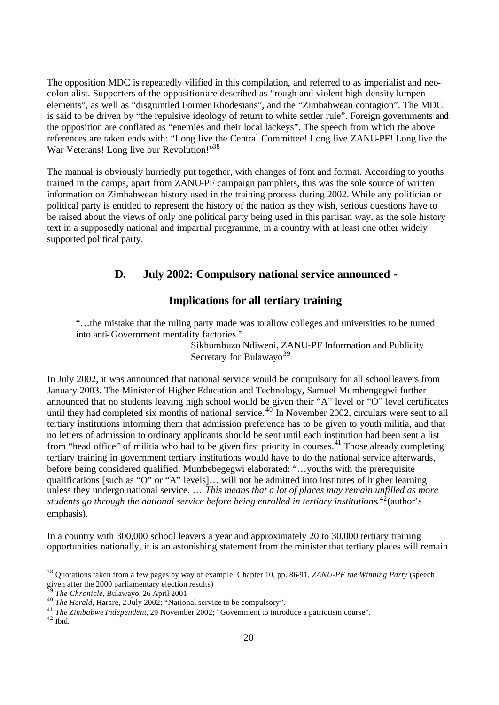The opposition MDC is repeatedly vilified in this compilation, and referred to as imperialist and neocolonialist. Supporters of the opposition are described as "rough and violent high-density lumpen elements", as well as "disgruntled Former Rhodesians", and the "Zimbabwean contagion". The MDC is said to be driven by "the repulsive ideology of return to white settler rule". Foreign governments and the opposition are conflated as "enemies and their local lackeys". The speech from which the above references are taken ends with: "Long live the Central Committee! Long live ZANU-PF! Long live the War Veterans! Long live our Revolution!"<sup>38</sup>

The manual is obviously hurriedly put together, with changes of font and format. According to youths trained in the camps, apart from ZANU-PF campaign pamphlets, this was the sole source of written information on Zimbabwean history used in the training process during 2002. While any politician or political party is entitled to represent the history of the nation as they wish, serious questions have to be raised about the views of only one political party being used in this partisan way, as the sole history text in a supposedly national and impartial programme, in a country with at least one other widely supported political party.

## **D. July 2002: Compulsory national service announced -**

## **Implications for all tertiary training**

"…the mistake that the ruling party made was to allow colleges and universities to be turned into anti-Government mentality factories."

Sikhumbuzo Ndiweni, ZANU-PF Information and Publicity Secretary for Bulawayo<sup>39</sup>

In July 2002, it was announced that national service would be compulsory for all school leavers from January 2003. The Minister of Higher Education and Technology, Samuel Mumbengegwi further announced that no students leaving high school would be given their "A" level or "O" level certificates until they had completed six months of national service.<sup>40</sup> In November 2002, circulars were sent to all tertiary institutions informing them that admission preference has to be given to youth militia, and that no letters of admission to ordinary applicants should be sent until each institution had been sent a list from "head office" of militia who had to be given first priority in courses.<sup>41</sup> Those already completing tertiary training in government tertiary institutions would have to do the national service afterwards, before being considered qualified. Mumbebegegwi elaborated: "…youths with the prerequisite qualifications [such as "O" or "A" levels]… will not be admitted into institutes of higher learning unless they undergo national service. … *This means that a lot of places may remain unfilled as more students go through the national service before being enrolled in tertiary institutions*. <sup>42</sup>(author's emphasis).

In a country with 300,000 school leavers a year and approximately 20 to 30,000 tertiary training opportunities nationally, it is an astonishing statement from the minister that tertiary places will remain

<sup>38</sup> Quotations taken from a few pages by way of example: Chapter 10, pp. 86-91, *ZANU-PF the Winning Party* (speech given after the 2000 parliamentary election results)

<sup>39</sup> *The Chronicle*, Bulawayo, 26 April 2001

<sup>40</sup> *The Herald*, Harare, 2 July 2002: "National service to be compulsory".

<sup>&</sup>lt;sup>41</sup> *The Zimbabwe Independent*, 29 November 2002; "Government to introduce a patriotism course".

 $42$  Ibid.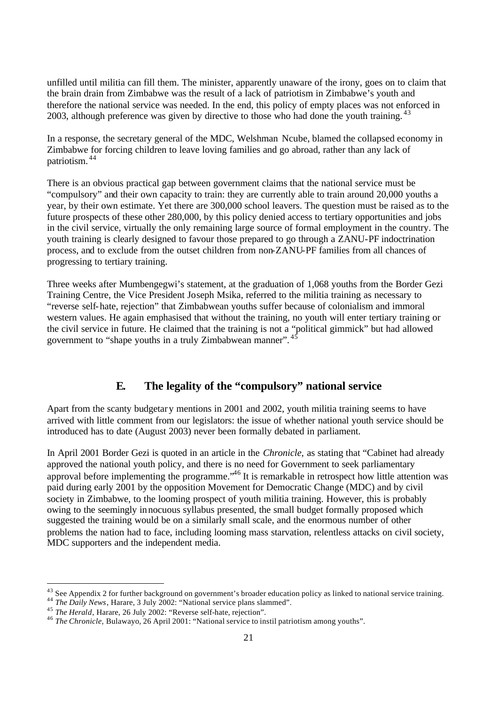unfilled until militia can fill them. The minister, apparently unaware of the irony, goes on to claim that the brain drain from Zimbabwe was the result of a lack of patriotism in Zimbabwe's youth and therefore the national service was needed. In the end, this policy of empty places was not enforced in 2003, although preference was given by directive to those who had done the youth training.<sup>43</sup>

In a response, the secretary general of the MDC, Welshman Ncube, blamed the collapsed economy in Zimbabwe for forcing children to leave loving families and go abroad, rather than any lack of patriotism. <sup>44</sup>

There is an obvious practical gap between government claims that the national service must be "compulsory" and their own capacity to train: they are currently able to train around 20,000 youths a year, by their own estimate. Yet there are 300,000 school leavers. The question must be raised as to the future prospects of these other 280,000, by this policy denied access to tertiary opportunities and jobs in the civil service, virtually the only remaining large source of formal employment in the country. The youth training is clearly designed to favour those prepared to go through a ZANU-PF indoctrination process, and to exclude from the outset children from non-ZANU-PF families from all chances of progressing to tertiary training.

Three weeks after Mumbengegwi's statement, at the graduation of 1,068 youths from the Border Gezi Training Centre, the Vice President Joseph Msika, referred to the militia training as necessary to "reverse self-hate, rejection" that Zimbabwean youths suffer because of colonialism and immoral western values. He again emphasised that without the training, no youth will enter tertiary training or the civil service in future. He claimed that the training is not a "political gimmick" but had allowed government to "shape youths in a truly Zimbabwean manner". <sup>45</sup>

## **E. The legality of the "compulsory" national service**

Apart from the scanty budgetary mentions in 2001 and 2002, youth militia training seems to have arrived with little comment from our legislators: the issue of whether national youth service should be introduced has to date (August 2003) never been formally debated in parliament.

In April 2001 Border Gezi is quoted in an article in the *Chronicle,* as stating that "Cabinet had already approved the national youth policy, and there is no need for Government to seek parliamentary approval before implementing the programme.<sup> $46$ </sup> It is remarkable in retrospect how little attention was paid during early 2001 by the opposition Movement for Democratic Change (MDC) and by civil society in Zimbabwe, to the looming prospect of youth militia training. However, this is probably owing to the seemingly innocuous syllabus presented, the small budget formally proposed which suggested the training would be on a similarly small scale, and the enormous number of other problems the nation had to face, including looming mass starvation, relentless attacks on civil society, MDC supporters and the independent media.

<sup>&</sup>lt;sup>43</sup> See Appendix 2 for further background on government's broader education policy as linked to national service training.

<sup>44</sup> *The Daily News*, Harare, 3 July 2002: "National service plans slammed".

<sup>45</sup> *The Herald*, Harare, 26 July 2002: "Reverse self-hate, rejection".

<sup>46</sup> *The Chronicle,* Bulawayo, 26 April 2001: "National service to instil patriotism among youths".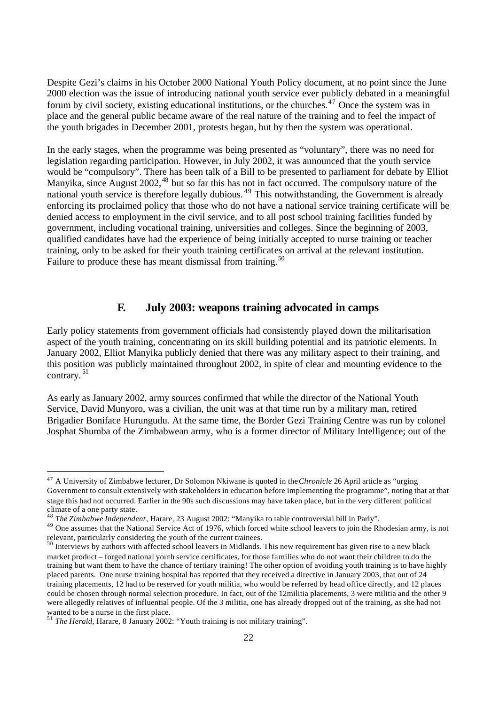Despite Gezi's claims in his October 2000 National Youth Policy document, at no point since the June 2000 election was the issue of introducing national youth service ever publicly debated in a meaningful forum by civil society, existing educational institutions, or the churches.<sup>47</sup> Once the system was in place and the general public became aware of the real nature of the training and to feel the impact of the youth brigades in December 2001, protests began, but by then the system was operational.

In the early stages, when the programme was being presented as "voluntary", there was no need for legislation regarding participation. However, in July 2002, it was announced that the youth service would be "compulsory". There has been talk of a Bill to be presented to parliament for debate by Elliot Manyika, since August 2002,<sup>48</sup> but so far this has not in fact occurred. The compulsory nature of the national youth service is therefore legally dubious.<sup>49</sup> This notwithstanding, the Government is already enforcing its proclaimed policy that those who do not have a national service training certificate will be denied access to employment in the civil service, and to all post school training facilities funded by government, including vocational training, universities and colleges. Since the beginning of 2003, qualified candidates have had the experience of being initially accepted to nurse training or teacher training, only to be asked for their youth training certificates on arrival at the relevant institution. Failure to produce these has meant dismissal from training.<sup>50</sup>

#### **F. July 2003: weapons training advocated in camps**

Early policy statements from government officials had consistently played down the militarisation aspect of the youth training, concentrating on its skill building potential and its patriotic elements. In January 2002, Elliot Manyika publicly denied that there was any military aspect to their training, and this position was publicly maintained throughout 2002, in spite of clear and mounting evidence to the contrary. <sup>51</sup>

As early as January 2002, army sources confirmed that while the director of the National Youth Service, David Munyoro, was a civilian, the unit was at that time run by a military man, retired Brigadier Boniface Hurungudu. At the same time, the Border Gezi Training Centre was run by colonel Josphat Shumba of the Zimbabwean army, who is a former director of Military Intelligence; out of the

<sup>47</sup> A University of Zimbabwe lecturer, Dr Solomon Nkiwane is quoted in the *Chronicle* 26 April article as "urging Government to consult extensively with stakeholders in education before implementing the programme", noting that at that stage this had not occurred. Earlier in the 90s such discussions may have taken place, but in the very different political climate of a one party state.

<sup>48</sup> *The Zimbabwe Independent*, Harare, 23 August 2002: "Manyika to table controversial bill in Parly".

<sup>&</sup>lt;sup>49</sup> One assumes that the National Service Act of 1976, which forced white school leavers to join the Rhodesian army, is not relevant, particularly considering the youth of the current trainees.

 $50$  Interviews by authors with affected school leavers in Midlands. This new requirement has given rise to a new black market product – forged national youth service certificates, for those families who do not want their children to do the training but want them to have the chance of tertiary training! The other option of avoiding youth training is to have highly placed parents. One nurse training hospital has reported that they received a directive in January 2003, that out of 24 training placements, 12 had to be reserved for youth militia, who would be referred by head office directly, and 12 places could be chosen through normal selection procedure. In fact, out of the 12militia placements, 3 were militia and the other 9 were allegedly relatives of influential people. Of the 3 militia, one has already dropped out of the training, as she had not wanted to be a nurse in the first place.

<sup>51</sup> *The Herald*, Harare, 8 January 2002: "Youth training is not military training".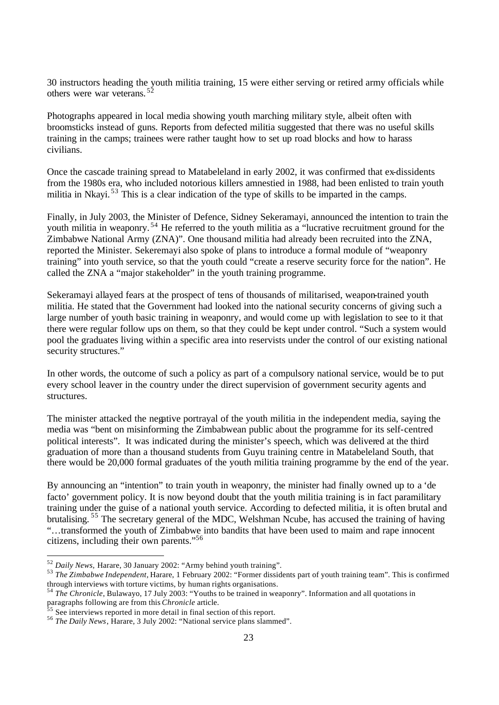30 instructors heading the youth militia training, 15 were either serving or retired army officials while others were war veterans. <sup>52</sup>

Photographs appeared in local media showing youth marching military style, albeit often with broomsticks instead of guns. Reports from defected militia suggested that there was no useful skills training in the camps; trainees were rather taught how to set up road blocks and how to harass civilians.

Once the cascade training spread to Matabeleland in early 2002, it was confirmed that ex-dissidents from the 1980s era, who included notorious killers amnestied in 1988, had been enlisted to train youth militia in Nkayi.<sup>53</sup> This is a clear indication of the type of skills to be imparted in the camps.

Finally, in July 2003, the Minister of Defence, Sidney Sekeramayi, announced the intention to train the youth militia in weaponry. <sup>54</sup> He referred to the youth militia as a "lucrative recruitment ground for the Zimbabwe National Army (ZNA)". One thousand militia had already been recruited into the ZNA, reported the Minister. Sekeremayi also spoke of plans to introduce a formal module of "weaponry training" into youth service, so that the youth could "create a reserve security force for the nation". He called the ZNA a "major stakeholder" in the youth training programme.

Sekeramayi allayed fears at the prospect of tens of thousands of militarised, weapon-trained youth militia. He stated that the Government had looked into the national security concerns of giving such a large number of youth basic training in weaponry, and would come up with legislation to see to it that there were regular follow ups on them, so that they could be kept under control. "Such a system would pool the graduates living within a specific area into reservists under the control of our existing national security structures."

In other words, the outcome of such a policy as part of a compulsory national service, would be to put every school leaver in the country under the direct supervision of government security agents and structures.

The minister attacked the negative portrayal of the youth militia in the independent media, saying the media was "bent on misinforming the Zimbabwean public about the programme for its self-centred political interests". It was indicated during the minister's speech, which was delivered at the third graduation of more than a thousand students from Guyu training centre in Matabeleland South, that there would be 20,000 formal graduates of the youth militia training programme by the end of the year.

By announcing an "intention" to train youth in weaponry, the minister had finally owned up to a 'de facto' government policy. It is now beyond doubt that the youth militia training is in fact paramilitary training under the guise of a national youth service. According to defected militia, it is often brutal and brutalising. <sup>55</sup> The secretary general of the MDC, Welshman Ncube, has accused the training of having "…transformed the youth of Zimbabwe into bandits that have been used to maim and rape innocent citizens, including their own parents."<sup>56</sup>

<sup>52</sup> *Daily News,* Harare, 30 January 2002: "Army behind youth training".

<sup>53</sup> *The Zimbabwe Independent,* Harare, 1 February 2002: "Former dissidents part of youth training team". This is confirmed through interviews with torture victims, by human rights organisations.

<sup>54</sup> *The Chronicle*, Bulawayo, 17 July 2003: "Youths to be trained in weaponry". Information and all quotations in paragraphs following are from this *Chronicle* article.

 $\frac{55}{55}$  See interviews reported in more detail in final section of this report.

<sup>56</sup> *The Daily News*, Harare, 3 July 2002: "National service plans slammed".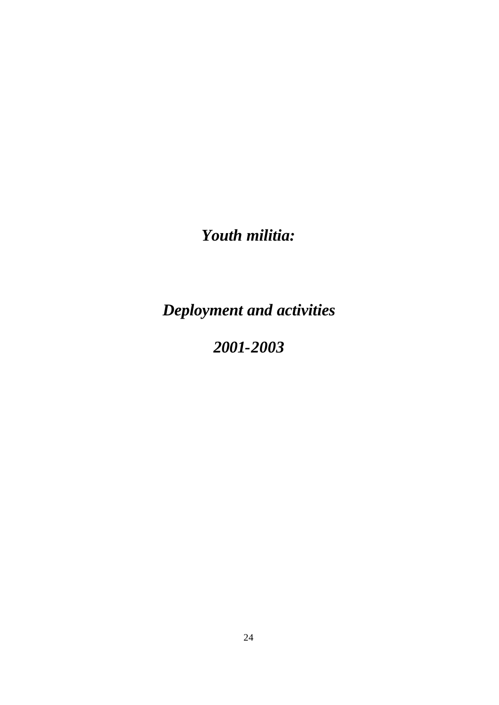*Youth militia:* 

*Deployment and activities*

# *2001-2003*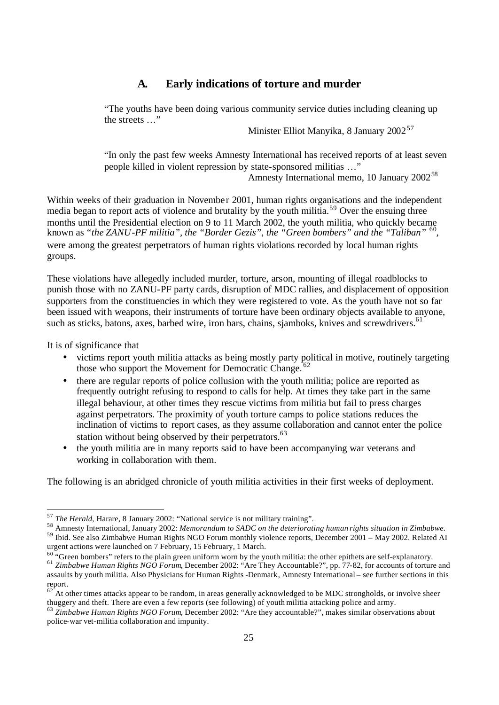## **A. Early indications of torture and murder**

"The youths have been doing various community service duties including cleaning up the streets …"

Minister Elliot Manyika, 8 January 2002<sup>57</sup>

"In only the past few weeks Amnesty International has received reports of at least seven people killed in violent repression by state-sponsored militias …"

Amnesty International memo, 10 January 2002<sup>58</sup>

Within weeks of their graduation in November 2001, human rights organisations and the independent media began to report acts of violence and brutality by the youth militia.<sup>59</sup> Over the ensuing three months until the Presidential election on 9 to 11 March 2002, the youth militia, who quickly became known as *"the ZANU-PF militia", the "Border Gezis", the "Green bombers" and the "Taliban"* <sup>60</sup> , were among the greatest perpetrators of human rights violations recorded by local human rights groups.

These violations have allegedly included murder, torture, arson, mounting of illegal roadblocks to punish those with no ZANU-PF party cards, disruption of MDC rallies, and displacement of opposition supporters from the constituencies in which they were registered to vote. As the youth have not so far been issued with weapons, their instruments of torture have been ordinary objects available to anyone, such as sticks, batons, axes, barbed wire, iron bars, chains, sjamboks, knives and screwdrivers.<sup>61</sup>

It is of significance that

- victims report youth militia attacks as being mostly party political in motive, routinely targeting those who support the Movement for Democratic Change.<sup>6</sup>
- there are regular reports of police collusion with the youth militia; police are reported as frequently outright refusing to respond to calls for help. At times they take part in the same illegal behaviour, at other times they rescue victims from militia but fail to press charges against perpetrators. The proximity of youth torture camps to police stations reduces the inclination of victims to report cases, as they assume collaboration and cannot enter the police station without being observed by their perpetrators.<sup>63</sup>
- the youth militia are in many reports said to have been accompanying war veterans and working in collaboration with them.

The following is an abridged chronicle of youth militia activities in their first weeks of deployment.

<sup>57</sup> *The Herald*, Harare, 8 January 2002: "National service is not military training".

<sup>58</sup> Amnesty International, January 2002: *Memorandum to SADC on the deteriorating human rights situation in Zimbabwe.*

<sup>59</sup> Ibid. See also Zimbabwe Human Rights NGO Forum monthly violence reports, December 2001 – May 2002. Related AI urgent actions were launched on 7 February, 15 February, 1 March.

 $60$  "Green bombers" refers to the plain green uniform worn by the youth militia: the other epithets are self-explanatory.

<sup>61</sup> *Zimbabwe Human Rights NGO Forum*, December 2002: "Are They Accountable?", pp. 77-82, for accounts of torture and assaults by youth militia. Also Physicians for Human Rights -Denmark, Amnesty International – see further sections in this report.

 $62<sup>2</sup>$ At other times attacks appear to be random, in areas generally acknowledged to be MDC strongholds, or involve sheer thuggery and theft. There are even a few reports (see following) of youth militia attacking police and army.

<sup>63</sup> *Zimbabwe Human Rights NGO Forum*, December 2002: "Are they accountable?", makes similar observations about police-war vet-militia collaboration and impunity.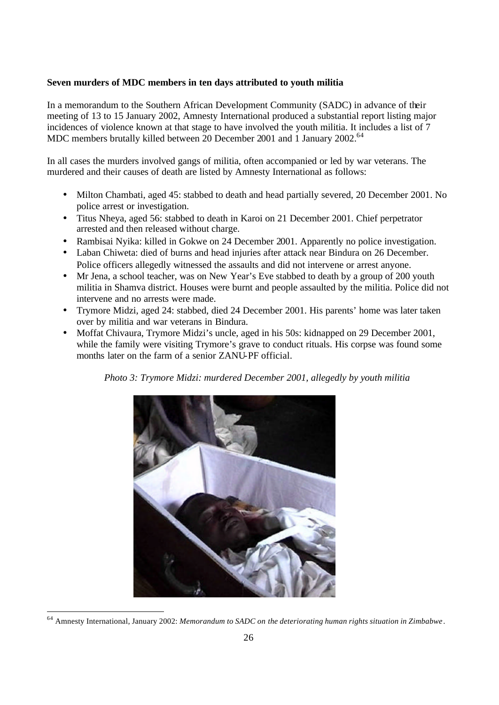#### **Seven murders of MDC members in ten days attributed to youth militia**

In a memorandum to the Southern African Development Community (SADC) in advance of their meeting of 13 to 15 January 2002, Amnesty International produced a substantial report listing major incidences of violence known at that stage to have involved the youth militia. It includes a list of 7 MDC members brutally killed between 20 December 2001 and 1 January 2002.<sup>64</sup>

In all cases the murders involved gangs of militia, often accompanied or led by war veterans. The murdered and their causes of death are listed by Amnesty International as follows:

- Milton Chambati, aged 45: stabbed to death and head partially severed, 20 December 2001. No police arrest or investigation.
- Titus Nheya, aged 56: stabbed to death in Karoi on 21 December 2001. Chief perpetrator arrested and then released without charge.
- Rambisai Nyika: killed in Gokwe on 24 December 2001. Apparently no police investigation.
- Laban Chiweta: died of burns and head injuries after attack near Bindura on 26 December. Police officers allegedly witnessed the assaults and did not intervene or arrest anyone.
- Mr Jena, a school teacher, was on New Year's Eve stabbed to death by a group of 200 youth militia in Shamva district. Houses were burnt and people assaulted by the militia. Police did not intervene and no arrests were made.
- Trymore Midzi, aged 24: stabbed, died 24 December 2001. His parents' home was later taken over by militia and war veterans in Bindura.
- Moffat Chivaura, Trymore Midzi's uncle, aged in his 50s: kidnapped on 29 December 2001, while the family were visiting Trymore's grave to conduct rituals. His corpse was found some months later on the farm of a senior ZANU-PF official.

*Photo 3: Trymore Midzi: murdered December 2001, allegedly by youth militia*



<sup>64</sup> Amnesty International, January 2002: *Memorandum to SADC on the deteriorating human rights situation in Zimbabwe*.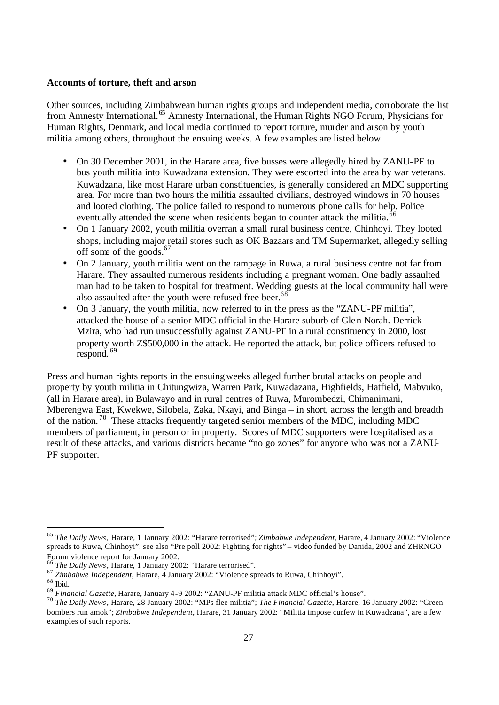#### **Accounts of torture, theft and arson**

Other sources, including Zimbabwean human rights groups and independent media, corroborate the list from Amnesty International.<sup>65</sup> Amnesty International, the Human Rights NGO Forum, Physicians for Human Rights, Denmark, and local media continued to report torture, murder and arson by youth militia among others, throughout the ensuing weeks. A few examples are listed below.

- On 30 December 2001, in the Harare area, five busses were allegedly hired by ZANU-PF to bus youth militia into Kuwadzana extension. They were escorted into the area by war veterans. Kuwadzana, like most Harare urban constituencies, is generally considered an MDC supporting area. For more than two hours the militia assaulted civilians, destroyed windows in 70 houses and looted clothing. The police failed to respond to numerous phone calls for help. Police eventually attended the scene when residents began to counter attack the militia.<sup>66</sup>
- On 1 January 2002, youth militia overran a small rural business centre, Chinhoyi. They looted shops, including major retail stores such as OK Bazaars and TM Supermarket, allegedly selling off some of the goods.<sup>67</sup>
- On 2 January, youth militia went on the rampage in Ruwa, a rural business centre not far from Harare. They assaulted numerous residents including a pregnant woman. One badly assaulted man had to be taken to hospital for treatment. Wedding guests at the local community hall were also assaulted after the youth were refused free beer.<sup>68</sup>
- On 3 January, the youth militia, now referred to in the press as the "ZANU-PF militia", attacked the house of a senior MDC official in the Harare suburb of Glen Norah. Derrick Mzira, who had run unsuccessfully against ZANU-PF in a rural constituency in 2000, lost property worth Z\$500,000 in the attack. He reported the attack, but police officers refused to respond.<sup>69</sup>

Press and human rights reports in the ensuing weeks alleged further brutal attacks on people and property by youth militia in Chitungwiza, Warren Park, Kuwadazana, Highfields, Hatfield, Mabvuko, (all in Harare area), in Bulawayo and in rural centres of Ruwa, Murombedzi, Chimanimani, Mberengwa East, Kwekwe, Silobela, Zaka, Nkayi, and Binga – in short, across the length and breadth of the nation. <sup>70</sup> These attacks frequently targeted senior members of the MDC, including MDC members of parliament, in person or in property. Scores of MDC supporters were hospitalised as a result of these attacks, and various districts became "no go zones" for anyone who was not a ZANU-PF supporter.

<sup>65</sup> *The Daily News*, Harare, 1 January 2002: "Harare terrorised"; *Zimbabwe Independent*, Harare, 4 January 2002: "Violence spreads to Ruwa, Chinhoyi". see also "Pre poll 2002: Fighting for rights" – video funded by Danida, 2002 and ZHRNGO Forum violence report for January 2002.

<sup>66</sup> *The Daily News*, Harare, 1 January 2002: "Harare terrorised".

<sup>67</sup> *Zimbabwe Independent*, Harare, 4 January 2002: "Violence spreads to Ruwa, Chinhoyi".

<sup>68</sup> Ibid.

<sup>69</sup> *Financial Gazette*, Harare, January 4-9 2002: "ZANU-PF militia attack MDC official's house".

<sup>70</sup> *The Daily News*, Harare, 28 January 2002: "MPs flee militia"; *The Financial Gazette*, Harare, 16 January 2002: "Green bombers run amok"; *Zimbabwe Independent*, Harare, 31 January 2002: "Militia impose curfew in Kuwadzana", are a few examples of such reports.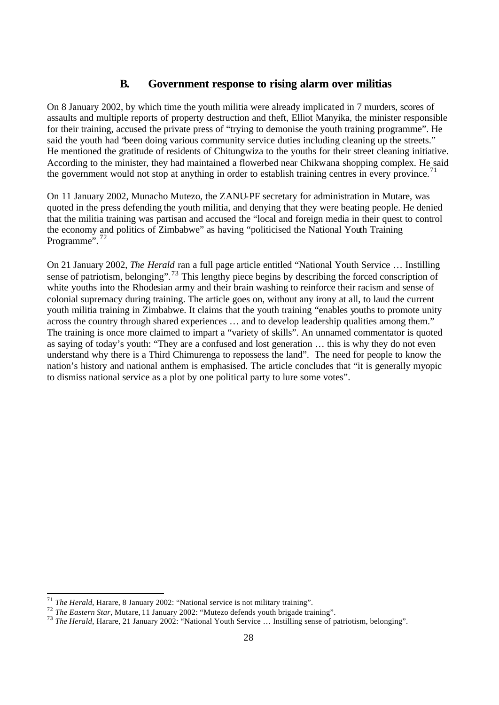## **B. Government response to rising alarm over militias**

On 8 January 2002, by which time the youth militia were already implicated in 7 murders, scores of assaults and multiple reports of property destruction and theft, Elliot Manyika, the minister responsible for their training, accused the private press of "trying to demonise the youth training programme". He said the youth had "been doing various community service duties including cleaning up the streets." He mentioned the gratitude of residents of Chitungwiza to the youths for their street cleaning initiative. According to the minister, they had maintained a flowerbed near Chikwana shopping complex. He said the government would not stop at anything in order to establish training centres in every province.<sup>71</sup>

On 11 January 2002, Munacho Mutezo, the ZANU-PF secretary for administration in Mutare, was quoted in the press defending the youth militia, and denying that they were beating people. He denied that the militia training was partisan and accused the "local and foreign media in their quest to control the economy and politics of Zimbabwe" as having "politicised the National Youth Training Programme".<sup>72</sup>

On 21 January 2002, *The Herald* ran a full page article entitled "National Youth Service … Instilling sense of patriotism, belonging".<sup>73</sup> This lengthy piece begins by describing the forced conscription of white youths into the Rhodesian army and their brain washing to reinforce their racism and sense of colonial supremacy during training. The article goes on, without any irony at all, to laud the current youth militia training in Zimbabwe. It claims that the youth training "enables youths to promote unity across the country through shared experiences … and to develop leadership qualities among them." The training is once more claimed to impart a "variety of skills". An unnamed commentator is quoted as saying of today's youth: "They are a confused and lost generation … this is why they do not even understand why there is a Third Chimurenga to repossess the land". The need for people to know the nation's history and national anthem is emphasised. The article concludes that "it is generally myopic to dismiss national service as a plot by one political party to lure some votes".

 <sup>71</sup> *The Herald*, Harare, 8 January 2002: "National service is not military training".

<sup>&</sup>lt;sup>72</sup> The Eastern Star, Mutare, 11 January 2002: "Mutezo defends youth brigade training".

<sup>&</sup>lt;sup>73</sup> *The Eastern Star*, Mattace, 11 January 2002: "National Youth Service ... Instilling sense of patriotism, belonging".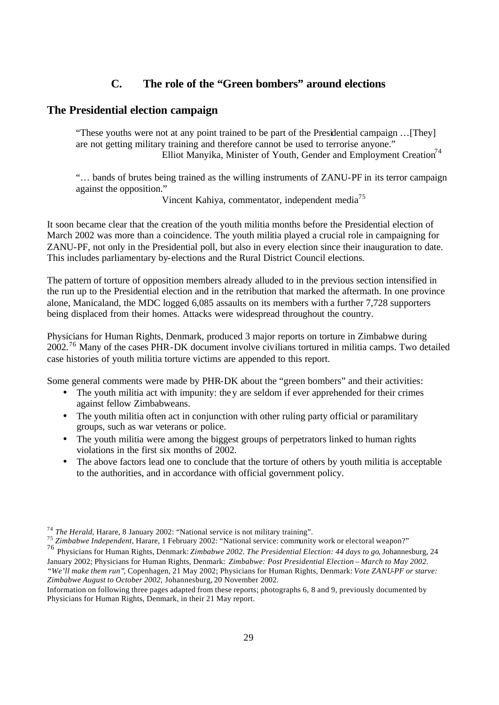# **C. The role of the "Green bombers" around elections**

#### **The Presidential election campaign**

"These youths were not at any point trained to be part of the Presidential campaign …[They] are not getting military training and therefore cannot be used to terrorise anyone." Elliot Manyika, Minister of Youth, Gender and Employment Creation<sup>74</sup>

"… bands of brutes being trained as the willing instruments of ZANU-PF in its terror campaign against the opposition."

Vincent Kahiya, commentator, independent media<sup>75</sup>

It soon became clear that the creation of the youth militia months before the Presidential election of March 2002 was more than a coincidence. The youth militia played a crucial role in campaigning for ZANU-PF, not only in the Presidential poll, but also in every election since their inauguration to date. This includes parliamentary by-elections and the Rural District Council elections.

The pattern of torture of opposition members already alluded to in the previous section intensified in the run up to the Presidential election and in the retribution that marked the aftermath. In one province alone, Manicaland, the MDC logged 6,085 assaults on its members with a further 7,728 supporters being displaced from their homes. Attacks were widespread throughout the country.

Physicians for Human Rights, Denmark, produced 3 major reports on torture in Zimbabwe during 2002.<sup>76</sup> Many of the cases PHR-DK document involve civilians tortured in militia camps. Two detailed case histories of youth militia torture victims are appended to this report.

Some general comments were made by PHR-DK about the "green bombers" and their activities:

- The youth militia act with impunity: they are seldom if ever apprehended for their crimes against fellow Zimbabweans.
- The youth militia often act in conjunction with other ruling party official or paramilitary groups, such as war veterans or police.
- The youth militia were among the biggest groups of perpetrators linked to human rights violations in the first six months of 2002.
- The above factors lead one to conclude that the torture of others by youth militia is acceptable to the authorities, and in accordance with official government policy.

<sup>74</sup> *The Herald*, Harare, 8 January 2002: "National service is not military training".

<sup>75</sup> *Zimbabwe Independent*, Harare, 1 February 2002: "National service: community work or electoral weapon?"

<sup>76</sup> Physicians for Human Rights, Denmark: *Zimbabwe 2002. The Presidential Election: 44 days to go*, Johannesburg, 24 January 2002; Physicians for Human Rights, Denmark: *Zimbabwe: Post Presidential Election – March to May 2002. "We'll make them run"*, Copenhagen, 21 May 2002; Physicians for Human Rights, Denmark: *Vote ZANU-PF or starve: Zimbabwe August to October 2002,* Johannesburg, 20 November 2002.

Information on following three pages adapted from these reports; photographs 6, 8 and 9, previously documented by Physicians for Human Rights, Denmark, in their 21 May report.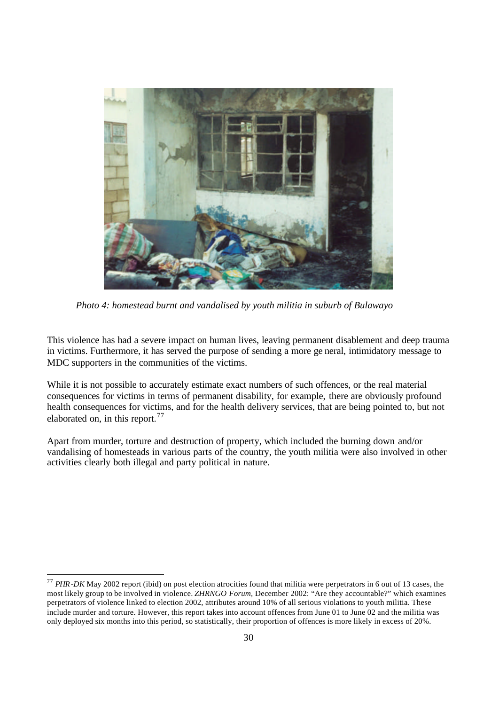

*Photo 4: homestead burnt and vandalised by youth militia in suburb of Bulawayo*

This violence has had a severe impact on human lives, leaving permanent disablement and deep trauma in victims. Furthermore, it has served the purpose of sending a more ge neral, intimidatory message to MDC supporters in the communities of the victims.

While it is not possible to accurately estimate exact numbers of such offences, or the real material consequences for victims in terms of permanent disability, for example, there are obviously profound health consequences for victims, and for the health delivery services, that are being pointed to, but not elaborated on, in this report.<sup>77</sup>

Apart from murder, torture and destruction of property, which included the burning down and/or vandalising of homesteads in various parts of the country, the youth militia were also involved in other activities clearly both illegal and party political in nature.

<sup>77</sup> *PHR-DK* May 2002 report (ibid) on post election atrocities found that militia were perpetrators in 6 out of 13 cases, the most likely group to be involved in violence. *ZHRNGO Forum,* December 2002: "Are they accountable?" which examines perpetrators of violence linked to election 2002, attributes around 10% of all serious violations to youth militia. These include murder and torture. However, this report takes into account offences from June 01 to June 02 and the militia was only deployed six months into this period, so statistically, their proportion of offences is more likely in excess of 20%.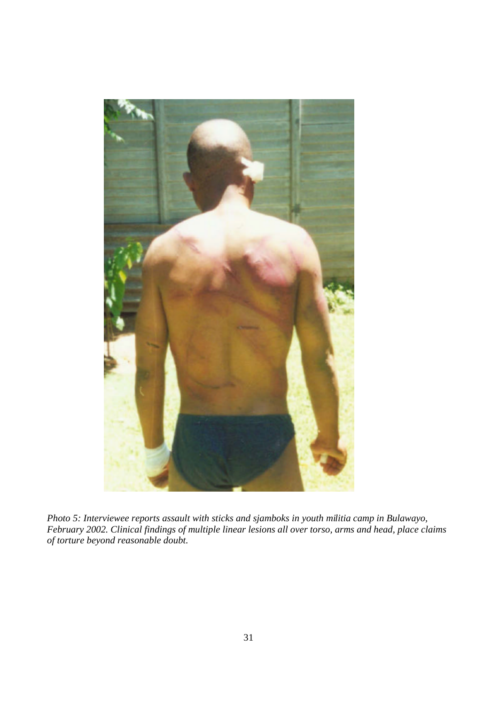

*Photo 5: Interviewee reports assault with sticks and sjamboks in youth militia camp in Bulawayo, February 2002. Clinical findings of multiple linear lesions all over torso, arms and head, place claims of torture beyond reasonable doubt.*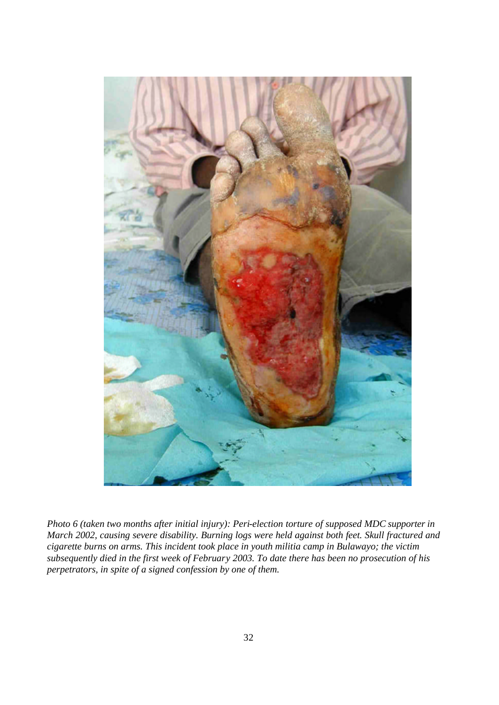

*Photo 6 (taken two months after initial injury): Peri-election torture of supposed MDC supporter in March 2002, causing severe disability. Burning logs were held against both feet. Skull fractured and cigarette burns on arms. This incident took place in youth militia camp in Bulawayo; the victim subsequently died in the first week of February 2003. To date there has been no prosecution of his perpetrators, in spite of a signed confession by one of them.*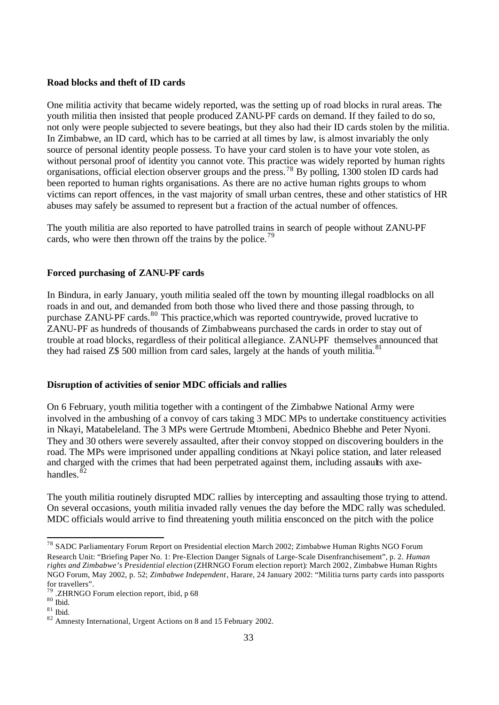#### **Road blocks and theft of ID cards**

One militia activity that became widely reported, was the setting up of road blocks in rural areas. The youth militia then insisted that people produced ZANU-PF cards on demand. If they failed to do so, not only were people subjected to severe beatings, but they also had their ID cards stolen by the militia. In Zimbabwe, an ID card, which has to be carried at all times by law, is almost invariably the only source of personal identity people possess. To have your card stolen is to have your vote stolen, as without personal proof of identity you cannot vote. This practice was widely reported by human rights organisations, official election observer groups and the press.<sup>78</sup> By polling, 1300 stolen ID cards had been reported to human rights organisations. As there are no active human rights groups to whom victims can report offences, in the vast majority of small urban centres, these and other statistics of HR abuses may safely be assumed to represent but a fraction of the actual number of offences.

The youth militia are also reported to have patrolled trains in search of people without ZANU-PF cards, who were then thrown off the trains by the police.<sup>79</sup>

#### **Forced purchasing of ZANU-PF cards**

In Bindura, in early January, youth militia sealed off the town by mounting illegal roadblocks on all roads in and out, and demanded from both those who lived there and those passing through, to purchase ZANU-PF cards.<sup>80</sup> This practice, which was reported countrywide, proved lucrative to ZANU-PF as hundreds of thousands of Zimbabweans purchased the cards in order to stay out of trouble at road blocks, regardless of their political allegiance. ZANU-PF themselves announced that they had raised  $Z\$  500 million from card sales, largely at the hands of youth militia.<sup>81</sup>

#### **Disruption of activities of senior MDC officials and rallies**

On 6 February, youth militia together with a contingent of the Zimbabwe National Army were involved in the ambushing of a convoy of cars taking 3 MDC MPs to undertake constituency activities in Nkayi, Matabeleland. The 3 MPs were Gertrude Mtombeni, Abednico Bhebhe and Peter Nyoni. They and 30 others were severely assaulted, after their convoy stopped on discovering boulders in the road. The MPs were imprisoned under appalling conditions at Nkayi police station, and later released and charged with the crimes that had been perpetrated against them, including assaults with axehandles. $^{\bar{8}2}$ 

The youth militia routinely disrupted MDC rallies by intercepting and assaulting those trying to attend. On several occasions, youth militia invaded rally venues the day before the MDC rally was scheduled. MDC officials would arrive to find threatening youth militia ensconced on the pitch with the police

<sup>&</sup>lt;sup>78</sup> SADC Parliamentary Forum Report on Presidential election March 2002; Zimbabwe Human Rights NGO Forum Research Unit: "Briefing Paper No. 1: Pre-Election Danger Signals of Large-Scale Disenfranchisement", p. 2. *Human rights and Zimbabwe's Presidential election* (ZHRNGO Forum election report)*:* March 2002*,* Zimbabwe Human Rights NGO Forum, May 2002, p. 52; *Zimbabwe Independent*, Harare, 24 January 2002: "Militia turns party cards into passports for travellers".

<sup>79</sup> .ZHRNGO Forum election report, ibid, p 68

 $80$  Ibid.

 $81$  Ibid.

<sup>82</sup> Amnesty International, Urgent Actions on 8 and 15 February 2002.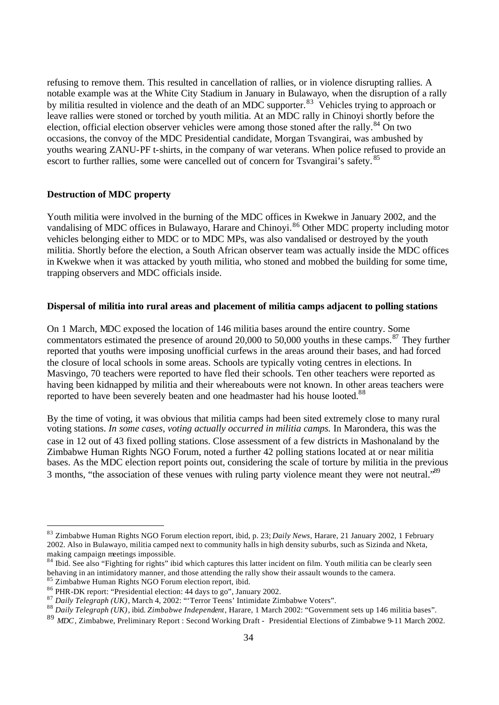refusing to remove them. This resulted in cancellation of rallies, or in violence disrupting rallies. A notable example was at the White City Stadium in January in Bulawayo, when the disruption of a rally by militia resulted in violence and the death of an MDC supporter.<sup>83</sup> Vehicles trying to approach or leave rallies were stoned or torched by youth militia. At an MDC rally in Chinoyi shortly before the election, official election observer vehicles were among those stoned after the rally.<sup>84</sup> On two occasions, the convoy of the MDC Presidential candidate, Morgan Tsvangirai, was ambushed by youths wearing ZANU-PF t-shirts, in the company of war veterans. When police refused to provide an escort to further rallies, some were cancelled out of concern for Tsvangirai's safety. <sup>85</sup>

#### **Destruction of MDC property**

Youth militia were involved in the burning of the MDC offices in Kwekwe in January 2002, and the vandalising of MDC offices in Bulawayo, Harare and Chinoyi.<sup>86</sup> Other MDC property including motor vehicles belonging either to MDC or to MDC MPs, was also vandalised or destroyed by the youth militia. Shortly before the election, a South African observer team was actually inside the MDC offices in Kwekwe when it was attacked by youth militia, who stoned and mobbed the building for some time, trapping observers and MDC officials inside.

#### **Dispersal of militia into rural areas and placement of militia camps adjacent to polling stations**

On 1 March, MDC exposed the location of 146 militia bases around the entire country. Some commentators estimated the presence of around 20,000 to 50,000 youths in these camps. $87$  They further reported that youths were imposing unofficial curfews in the areas around their bases, and had forced the closure of local schools in some areas. Schools are typically voting centres in elections. In Masvingo, 70 teachers were reported to have fled their schools. Ten other teachers were reported as having been kidnapped by militia and their whereabouts were not known. In other areas teachers were reported to have been severely beaten and one headmaster had his house looted.<sup>88</sup>

By the time of voting, it was obvious that militia camps had been sited extremely close to many rural voting stations. *In some cases, voting actually occurred in militia camps.* In Marondera, this was the case in 12 out of 43 fixed polling stations. Close assessment of a few districts in Mashonaland by the Zimbabwe Human Rights NGO Forum, noted a further 42 polling stations located at or near militia bases. As the MDC election report points out, considering the scale of torture by militia in the previous 3 months, "the association of these venues with ruling party violence meant they were not neutral."<sup>89</sup>

<sup>83</sup> Zimbabwe Human Rights NGO Forum election report, ibid, p. 23; *Daily News*, Harare, 21 January 2002, 1 February 2002. Also in Bulawayo, militia camped next to community halls in high density suburbs, such as Sizinda and Nketa, making campaign meetings impossible.

 $84$  Ibid. See also "Fighting for rights" ibid which captures this latter incident on film. Youth militia can be clearly seen behaving in an intimidatory manner, and those attending the rally show their assault wounds to the camera. 85 Zimbabwe Human Rights NGO Forum election report, ibid.

<sup>86</sup> PHR-DK report: "Presidential election: 44 days to go", January 2002.

<sup>87</sup> *Daily Telegraph (UK)*, March 4, 2002: "'Terror Teens' Intimidate Zimbabwe Voters".

<sup>88</sup> *Daily Telegraph (UK)*, ibid. *Zimbabwe Independent*, Harare, 1 March 2002: "Government sets up 146 militia bases".

<sup>89</sup> *MDC*, Zimbabwe, Preliminary Report : Second Working Draft - Presidential Elections of Zimbabwe 9-11 March 2002.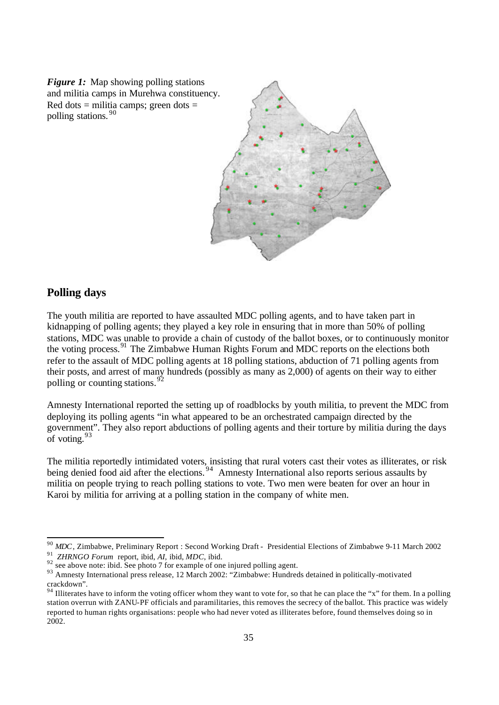*Figure 1:* Map showing polling stations and militia camps in Murehwa constituency. Red dots  $=$  militia camps; green dots  $=$ polling stations. <sup>90</sup>



## **Polling days**

The youth militia are reported to have assaulted MDC polling agents, and to have taken part in kidnapping of polling agents; they played a key role in ensuring that in more than 50% of polling stations, MDC was unable to provide a chain of custody of the ballot boxes, or to continuously monitor the voting process.<sup>91</sup> The Zimbabwe Human Rights Forum and MDC reports on the elections both refer to the assault of MDC polling agents at 18 polling stations, abduction of 71 polling agents from their posts, and arrest of many hundreds (possibly as many as 2,000) of agents on their way to either polling or counting stations.  $92$ 

Amnesty International reported the setting up of roadblocks by youth militia, to prevent the MDC from deploying its polling agents "in what appeared to be an orchestrated campaign directed by the government". They also report abductions of polling agents and their torture by militia during the days of voting.  $93$ 

The militia reportedly intimidated voters, insisting that rural voters cast their votes as illiterates, or risk being denied food aid after the elections.<sup>94</sup> Amnesty International also reports serious assaults by militia on people trying to reach polling stations to vote. Two men were beaten for over an hour in Karoi by militia for arriving at a polling station in the company of white men.

<sup>90</sup> *MDC*, Zimbabwe, Preliminary Report : Second Working Draft - Presidential Elections of Zimbabwe 9-11 March 2002 91 *ZHRNGO Forum* report, ibid, *AI,* ibid, *MDC*, ibid.

 $92$  see above note: ibid. See photo 7 for example of one injured polling agent.

<sup>&</sup>lt;sup>93</sup> Amnesty International press release, 12 March 2002: "Zimbabwe: Hundreds detained in politically-motivated crackdown".

<sup>&</sup>lt;sup>94</sup> Illiterates have to inform the voting officer whom they want to vote for, so that he can place the "x" for them. In a polling station overrun with ZANU-PF officials and paramilitaries, this removes the secrecy of the ballot. This practice was widely reported to human rights organisations: people who had never voted as illiterates before, found themselves doing so in 2002.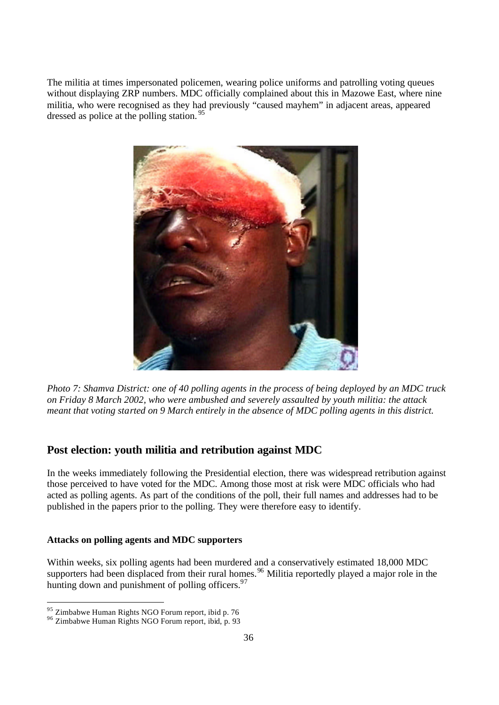The militia at times impersonated policemen, wearing police uniforms and patrolling voting queues without displaying ZRP numbers. MDC officially complained about this in Mazowe East, where nine militia, who were recognised as they had previously "caused mayhem" in adjacent areas, appeared dressed as police at the polling station.<sup>95</sup>



*Photo 7: Shamva District: one of 40 polling agents in the process of being deployed by an MDC truck on Friday 8 March 2002, who were ambushed and severely assaulted by youth militia: the attack meant that voting started on 9 March entirely in the absence of MDC polling agents in this district.* 

### **Post election: youth militia and retribution against MDC**

In the weeks immediately following the Presidential election, there was widespread retribution against those perceived to have voted for the MDC. Among those most at risk were MDC officials who had acted as polling agents. As part of the conditions of the poll, their full names and addresses had to be published in the papers prior to the polling. They were therefore easy to identify.

#### **Attacks on polling agents and MDC supporters**

Within weeks, six polling agents had been murdered and a conservatively estimated 18,000 MDC supporters had been displaced from their rural homes.<sup>96</sup> Militia reportedly played a major role in the hunting down and punishment of polling officers.  $97$ 

<sup>&</sup>lt;sup>95</sup> Zimbabwe Human Rights NGO Forum report, ibid p. 76

 $96$  Zimbabwe Human Rights NGO Forum report, ibid, p. 93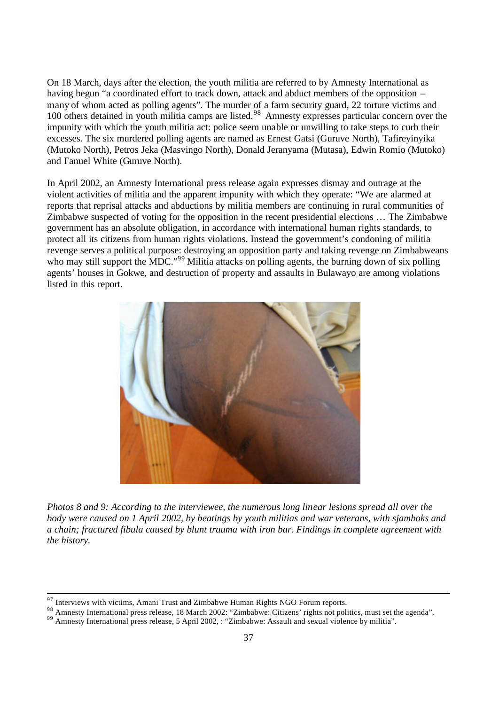On 18 March, days after the election, the youth militia are referred to by Amnesty International as having begun "a coordinated effort to track down, attack and abduct members of the opposition – many of whom acted as polling agents". The murder of a farm security guard, 22 torture victims and 100 others detained in youth militia camps are listed.<sup>98</sup> Amnesty expresses particular concern over the impunity with which the youth militia act: police seem unable or unwilling to take steps to curb their excesses. The six murdered polling agents are named as Ernest Gatsi (Guruve North), Tafireyinyika (Mutoko North), Petros Jeka (Masvingo North), Donald Jeranyama (Mutasa), Edwin Romio (Mutoko) and Fanuel White (Guruve North).

In April 2002, an Amnesty International press release again expresses dismay and outrage at the violent activities of militia and the apparent impunity with which they operate: "We are alarmed at reports that reprisal attacks and abductions by militia members are continuing in rural communities of Zimbabwe suspected of voting for the opposition in the recent presidential elections … The Zimbabwe government has an absolute obligation, in accordance with international human rights standards, to protect all its citizens from human rights violations. Instead the government's condoning of militia revenge serves a political purpose: destroying an opposition party and taking revenge on Zimbabweans who may still support the MDC."<sup>99</sup> Militia attacks on polling agents, the burning down of six polling agents' houses in Gokwe, and destruction of property and assaults in Bulawayo are among violations listed in this report.



*Photos 8 and 9: According to the interviewee, the numerous long linear lesions spread all over the body were caused on 1 April 2002, by beatings by youth militias and war veterans, with sjamboks and a chain; fractured fibula caused by blunt trauma with iron bar. Findings in complete agreement with the history.*

 $97$  Interviews with victims, Amani Trust and Zimbabwe Human Rights NGO Forum reports.

<sup>98</sup> Amnesty International press release, 18 March 2002: "Zimbabwe: Citizens' rights not politics, must set the agenda".

<sup>99</sup> Amnesty International press release, 5 April 2002, : "Zimbabwe: Assault and sexual violence by militia".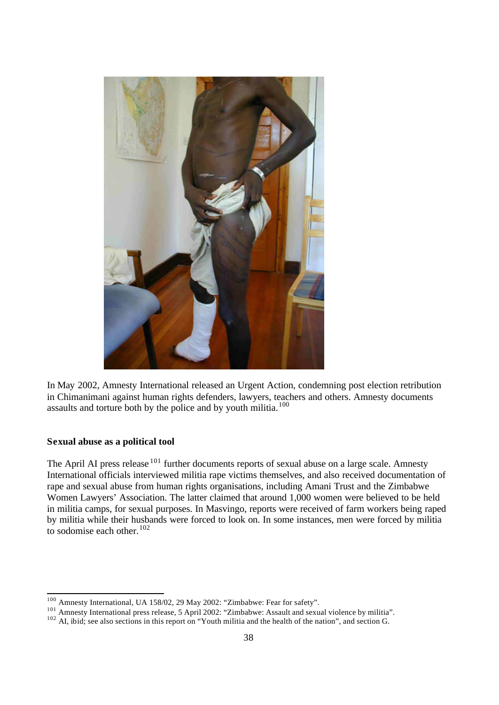

In May 2002, Amnesty International released an Urgent Action, condemning post election retribution in Chimanimani against human rights defenders, lawyers, teachers and others. Amnesty documents assaults and torture both by the police and by youth militia.<sup>100</sup>

## **Sexual abuse as a political tool**

The April AI press release <sup>101</sup> further documents reports of sexual abuse on a large scale. Amnesty International officials interviewed militia rape victims themselves, and also received documentation of rape and sexual abuse from human rights organisations, including Amani Trust and the Zimbabwe Women Lawyers' Association. The latter claimed that around 1,000 women were believed to be held in militia camps, for sexual purposes. In Masvingo, reports were received of farm workers being raped by militia while their husbands were forced to look on. In some instances, men were forced by militia to sodomise each other. $102$ 

<sup>&</sup>lt;sup>100</sup> Amnesty International, UA 158/02, 29 May 2002: "Zimbabwe: Fear for safety".

<sup>&</sup>lt;sup>101</sup> Amnesty International press release, 5 April 2002: "Zimbabwe: Assault and sexual violence by militia".

 $102$  AI, ibid; see also sections in this report on "Youth militia and the health of the nation", and section G.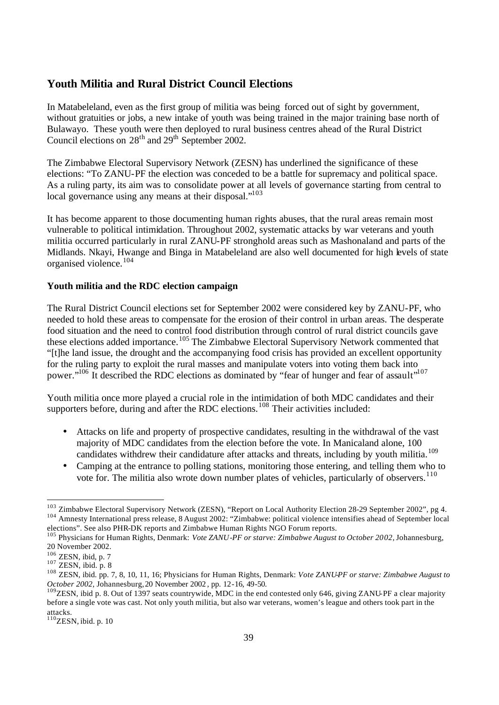## **Youth Militia and Rural District Council Elections**

In Matabeleland, even as the first group of militia was being forced out of sight by government, without gratuities or jobs, a new intake of youth was being trained in the major training base north of Bulawayo. These youth were then deployed to rural business centres ahead of the Rural District Council elections on  $28<sup>th</sup>$  and  $29<sup>th</sup>$  September 2002.

The Zimbabwe Electoral Supervisory Network (ZESN) has underlined the significance of these elections: "To ZANU-PF the election was conceded to be a battle for supremacy and political space. As a ruling party, its aim was to consolidate power at all levels of governance starting from central to local governance using any means at their disposal."<sup>103</sup>

It has become apparent to those documenting human rights abuses, that the rural areas remain most vulnerable to political intimidation. Throughout 2002, systematic attacks by war veterans and youth militia occurred particularly in rural ZANU-PF stronghold areas such as Mashonaland and parts of the Midlands. Nkayi, Hwange and Binga in Matabeleland are also well documented for high levels of state organised violence.<sup>104</sup>

#### **Youth militia and the RDC election campaign**

The Rural District Council elections set for September 2002 were considered key by ZANU-PF, who needed to hold these areas to compensate for the erosion of their control in urban areas. The desperate food situation and the need to control food distribution through control of rural district councils gave these elections added importance.<sup>105</sup> The Zimbabwe Electoral Supervisory Network commented that "[t]he land issue, the drought and the accompanying food crisis has provided an excellent opportunity for the ruling party to exploit the rural masses and manipulate voters into voting them back into power."<sup>106</sup> It described the RDC elections as dominated by "fear of hunger and fear of assault"<sup>107</sup>

Youth militia once more played a crucial role in the intimidation of both MDC candidates and their supporters before, during and after the RDC elections.<sup>108</sup> Their activities included:

- Attacks on life and property of prospective candidates, resulting in the withdrawal of the vast majority of MDC candidates from the election before the vote. In Manicaland alone, 100 candidates withdrew their candidature after attacks and threats, including by youth militia.<sup>109</sup>
- Camping at the entrance to polling stations, monitoring those entering, and telling them who to vote for. The militia also wrote down number plates of vehicles, particularly of observers.<sup>110</sup>

<sup>&</sup>lt;sup>103</sup> Zimbabwe Electoral Supervisory Network (ZESN), "Report on Local Authority Election 28-29 September 2002", pg 4. <sup>104</sup> Amnesty International press release, 8 August 2002: "Zimbabwe: political violence intensifies ahead of September local elections". See also PHR-DK reports and Zimbabwe Human Rights NGO Forum reports.

<sup>105</sup> Physicians for Human Rights, Denmark: *Vote ZANU-PF or starve: Zimbabwe August to October 2002,* Johannesburg, 20 November 2002.

 $106$  ZESN, ibid, p. 7

 $107$  ZESN, ibid. p. 8

<sup>108</sup> ZESN, ibid. pp. 7, 8, 10, 11, 16; Physicians for Human Rights, Denmark: *Vote ZANU-PF or starve: Zimbabwe August to October 2002,* Johannesburg,20 November 2002 , pp. 12-16, 49-50.

<sup>&</sup>lt;sup>109</sup>ZESN, ibid p. 8. Out of 1397 seats countrywide, MDC in the end contested only 646, giving ZANU-PF a clear majority before a single vote was cast. Not only youth militia, but also war veterans, women's league and others took part in the attacks.

 $110$ ZESN, ibid. p. 10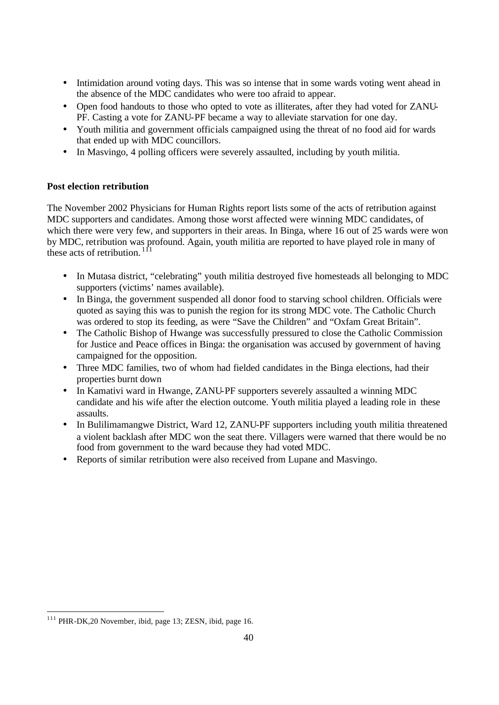- Intimidation around voting days. This was so intense that in some wards voting went ahead in the absence of the MDC candidates who were too afraid to appear.
- Open food handouts to those who opted to vote as illiterates, after they had voted for ZANU-PF. Casting a vote for ZANU-PF became a way to alleviate starvation for one day.
- Youth militia and government officials campaigned using the threat of no food aid for wards that ended up with MDC councillors.
- In Masvingo, 4 polling officers were severely assaulted, including by youth militia.

## **Post election retribution**

The November 2002 Physicians for Human Rights report lists some of the acts of retribution against MDC supporters and candidates. Among those worst affected were winning MDC candidates, of which there were very few, and supporters in their areas. In Binga, where 16 out of 25 wards were won by MDC, retribution was profound. Again, youth militia are reported to have played role in many of these acts of retribution.<sup>11</sup>

- In Mutasa district, "celebrating" youth militia destroyed five homesteads all belonging to MDC supporters (victims' names available).
- In Binga, the government suspended all donor food to starving school children. Officials were quoted as saying this was to punish the region for its strong MDC vote. The Catholic Church was ordered to stop its feeding, as were "Save the Children" and "Oxfam Great Britain".
- The Catholic Bishop of Hwange was successfully pressured to close the Catholic Commission for Justice and Peace offices in Binga: the organisation was accused by government of having campaigned for the opposition.
- Three MDC families, two of whom had fielded candidates in the Binga elections, had their properties burnt down
- In Kamativi ward in Hwange, ZANU-PF supporters severely assaulted a winning MDC candidate and his wife after the election outcome. Youth militia played a leading role in these assaults.
- In Bulilimamangwe District, Ward 12, ZANU-PF supporters including youth militia threatened a violent backlash after MDC won the seat there. Villagers were warned that there would be no food from government to the ward because they had voted MDC.
- Reports of similar retribution were also received from Lupane and Masvingo.

 $111$  PHR-DK, 20 November, ibid, page 13; ZESN, ibid, page 16.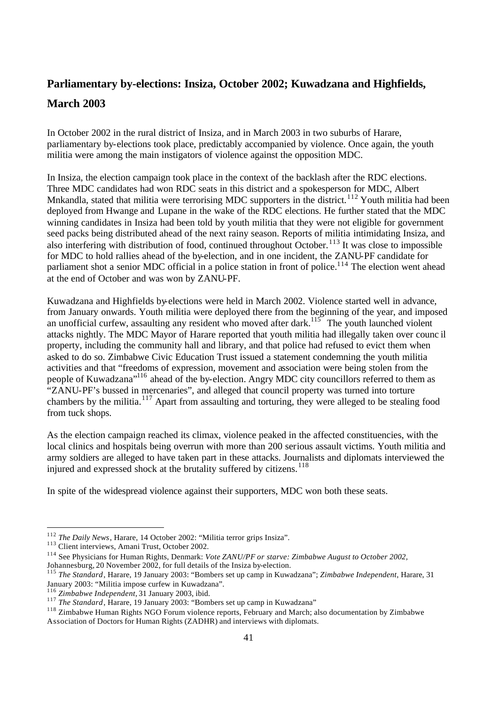## **Parliamentary by-elections: Insiza, October 2002; Kuwadzana and Highfields, March 2003**

In October 2002 in the rural district of Insiza, and in March 2003 in two suburbs of Harare, parliamentary by-elections took place, predictably accompanied by violence. Once again, the youth militia were among the main instigators of violence against the opposition MDC.

In Insiza, the election campaign took place in the context of the backlash after the RDC elections. Three MDC candidates had won RDC seats in this district and a spokesperson for MDC, Albert Mnkandla, stated that militia were terrorising MDC supporters in the district.<sup>112</sup> Youth militia had been deployed from Hwange and Lupane in the wake of the RDC elections. He further stated that the MDC winning candidates in Insiza had been told by youth militia that they were not eligible for government seed packs being distributed ahead of the next rainy season. Reports of militia intimidating Insiza, and also interfering with distribution of food, continued throughout October.<sup>113</sup> It was close to impossible for MDC to hold rallies ahead of the by-election, and in one incident, the ZANU-PF candidate for parliament shot a senior MDC official in a police station in front of police.<sup>114</sup> The election went ahead at the end of October and was won by ZANU-PF.

Kuwadzana and Highfields by-elections were held in March 2002. Violence started well in advance, from January onwards. Youth militia were deployed there from the beginning of the year, and imposed an unofficial curfew, assaulting any resident who moved after dark.<sup>115</sup> The youth launched violent attacks nightly. The MDC Mayor of Harare reported that youth militia had illegally taken over counc il property, including the community hall and library, and that police had refused to evict them when asked to do so. Zimbabwe Civic Education Trust issued a statement condemning the youth militia activities and that "freedoms of expression, movement and association were being stolen from the people of Kuwadzana"<sup>116</sup> ahead of the by-election. Angry MDC city councillors referred to them as "ZANU-PF's bussed in mercenaries", and alleged that council property was turned into torture chambers by the militia.<sup>117</sup> Apart from assaulting and torturing, they were alleged to be stealing food from tuck shops.

As the election campaign reached its climax, violence peaked in the affected constituencies, with the local clinics and hospitals being overrun with more than 200 serious assault victims. Youth militia and army soldiers are alleged to have taken part in these attacks. Journalists and diplomats interviewed the injured and expressed shock at the brutality suffered by citizens.<sup>118</sup>

In spite of the widespread violence against their supporters, MDC won both these seats.

<sup>112</sup> *The Daily News*, Harare, 14 October 2002: "Militia terror grips Insiza".

<sup>&</sup>lt;sup>113</sup> Client interviews, Amani Trust, October 2002.

<sup>114</sup> See Physicians for Human Rights, Denmark: *Vote ZANU/PF or starve: Zimbabwe August to October 2002,*  Johannesburg, 20 November 2002, for full details of the Insiza by-election.

<sup>115</sup> *The Standard*, Harare, 19 January 2003: "Bombers set up camp in Kuwadzana"; *Zimbabwe Independent*, Harare, 31 January 2003: "Militia impose curfew in Kuwadzana".

<sup>116</sup> *Zimbabwe Independent,* 31 January 2003, ibid.

<sup>117</sup> *The Standard*, Harare, 19 January 2003: "Bombers set up camp in Kuwadzana"

<sup>118</sup> Zimbabwe Human Rights NGO Forum violence reports, February and March; also documentation by Zimbabwe Association of Doctors for Human Rights (ZADHR) and interviews with diplomats.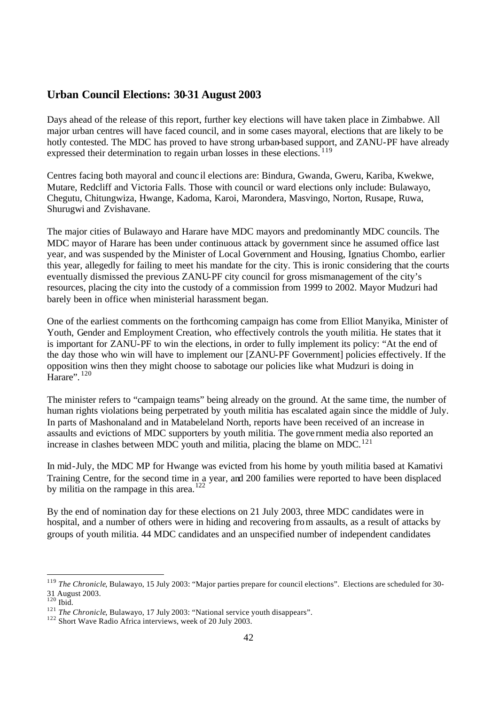## **Urban Council Elections: 30-31 August 2003**

Days ahead of the release of this report, further key elections will have taken place in Zimbabwe. All major urban centres will have faced council, and in some cases mayoral, elections that are likely to be hotly contested. The MDC has proved to have strong urban-based support, and ZANU-PF have already expressed their determination to regain urban losses in these elections.<sup>119</sup>

Centres facing both mayoral and counc il elections are: Bindura, Gwanda, Gweru, Kariba, Kwekwe, Mutare, Redcliff and Victoria Falls. Those with council or ward elections only include: Bulawayo, Chegutu, Chitungwiza, Hwange, Kadoma, Karoi, Marondera, Masvingo, Norton, Rusape, Ruwa, Shurugwi and Zvishavane.

The major cities of Bulawayo and Harare have MDC mayors and predominantly MDC councils. The MDC mayor of Harare has been under continuous attack by government since he assumed office last year, and was suspended by the Minister of Local Government and Housing, Ignatius Chombo, earlier this year, allegedly for failing to meet his mandate for the city. This is ironic considering that the courts eventually dismissed the previous ZANU-PF city council for gross mismanagement of the city's resources, placing the city into the custody of a commission from 1999 to 2002. Mayor Mudzuri had barely been in office when ministerial harassment began.

One of the earliest comments on the forthcoming campaign has come from Elliot Manyika, Minister of Youth, Gender and Employment Creation, who effectively controls the youth militia. He states that it is important for ZANU-PF to win the elections, in order to fully implement its policy: "At the end of the day those who win will have to implement our [ZANU-PF Government] policies effectively. If the opposition wins then they might choose to sabotage our policies like what Mudzuri is doing in Harare". <sup>120</sup>

The minister refers to "campaign teams" being already on the ground. At the same time, the number of human rights violations being perpetrated by youth militia has escalated again since the middle of July. In parts of Mashonaland and in Matabeleland North, reports have been received of an increase in assaults and evictions of MDC supporters by youth militia. The gove rnment media also reported an increase in clashes between MDC youth and militia, placing the blame on MDC.<sup>121</sup>

In mid-July, the MDC MP for Hwange was evicted from his home by youth militia based at Kamativi Training Centre, for the second time in a year, and 200 families were reported to have been displaced by militia on the rampage in this area.<sup>122</sup>

By the end of nomination day for these elections on 21 July 2003, three MDC candidates were in hospital, and a number of others were in hiding and recovering from assaults, as a result of attacks by groups of youth militia. 44 MDC candidates and an unspecified number of independent candidates

<sup>&</sup>lt;sup>119</sup> *The Chronicle*, Bulawayo, 15 July 2003: "Major parties prepare for council elections". Elections are scheduled for 30-31 August 2003.

 $120$  Ibid.

<sup>&</sup>lt;sup>121</sup> *The Chronicle*, Bulawayo, 17 July 2003: "National service youth disappears".

<sup>122</sup> Short Wave Radio Africa interviews, week of 20 July 2003.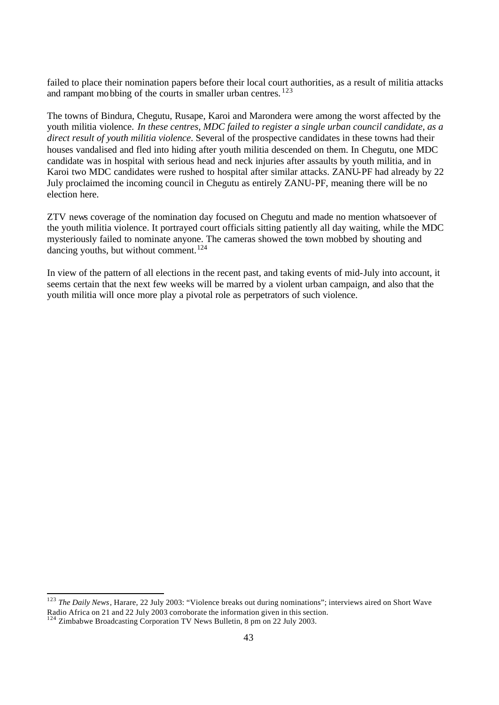failed to place their nomination papers before their local court authorities, as a result of militia attacks and rampant mobbing of the courts in smaller urban centres.<sup>123</sup>

The towns of Bindura, Chegutu, Rusape, Karoi and Marondera were among the worst affected by the youth militia violence. *In these centres, MDC failed to register a single urban council candidate, as a direct result of youth militia violence*. Several of the prospective candidates in these towns had their houses vandalised and fled into hiding after youth militia descended on them. In Chegutu, one MDC candidate was in hospital with serious head and neck injuries after assaults by youth militia, and in Karoi two MDC candidates were rushed to hospital after similar attacks. ZANU-PF had already by 22 July proclaimed the incoming council in Chegutu as entirely ZANU-PF, meaning there will be no election here.

ZTV news coverage of the nomination day focused on Chegutu and made no mention whatsoever of the youth militia violence. It portrayed court officials sitting patiently all day waiting, while the MDC mysteriously failed to nominate anyone. The cameras showed the town mobbed by shouting and dancing youths, but without comment.<sup>124</sup>

In view of the pattern of all elections in the recent past, and taking events of mid-July into account, it seems certain that the next few weeks will be marred by a violent urban campaign, and also that the youth militia will once more play a pivotal role as perpetrators of such violence.

<sup>123</sup> *The Daily News*, Harare, 22 July 2003: "Violence breaks out during nominations"; interviews aired on Short Wave Radio Africa on 21 and 22 July 2003 corroborate the information given in this section.

 $124$  Zimbabwe Broadcasting Corporation TV News Bulletin, 8 pm on 22 July 2003.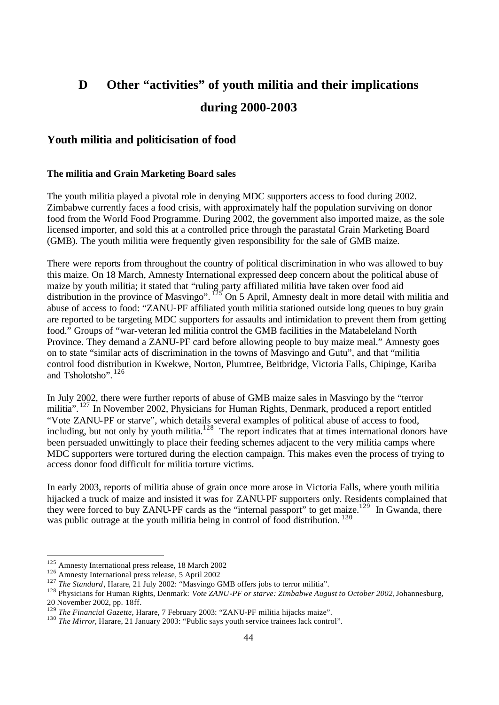# **D Other "activities" of youth militia and their implications during 2000-2003**

## **Youth militia and politicisation of food**

#### **The militia and Grain Marketing Board sales**

The youth militia played a pivotal role in denying MDC supporters access to food during 2002. Zimbabwe currently faces a food crisis, with approximately half the population surviving on donor food from the World Food Programme. During 2002, the government also imported maize, as the sole licensed importer, and sold this at a controlled price through the parastatal Grain Marketing Board (GMB). The youth militia were frequently given responsibility for the sale of GMB maize.

There were reports from throughout the country of political discrimination in who was allowed to buy this maize. On 18 March, Amnesty International expressed deep concern about the political abuse of maize by youth militia; it stated that "ruling party affiliated militia have taken over food aid distribution in the province of Masvingo".  $^{125}$  On 5 April, Amnesty dealt in more detail with militia and abuse of access to food: "ZANU-PF affiliated youth militia stationed outside long queues to buy grain are reported to be targeting MDC supporters for assaults and intimidation to prevent them from getting food." Groups of "war-veteran led militia control the GMB facilities in the Matabeleland North Province. They demand a ZANU-PF card before allowing people to buy maize meal." Amnesty goes on to state "similar acts of discrimination in the towns of Masvingo and Gutu", and that "militia control food distribution in Kwekwe, Norton, Plumtree, Beitbridge, Victoria Falls, Chipinge, Kariba and Tsholotsho". <sup>126</sup>

In July 2002, there were further reports of abuse of GMB maize sales in Masvingo by the "terror militia". <sup>127</sup> In November 2002, Physicians for Human Rights, Denmark, produced a report entitled "Vote ZANU-PF or starve", which details several examples of political abuse of access to food, including, but not only by youth militia.<sup>128</sup> The report indicates that at times international donors have been persuaded unwittingly to place their feeding schemes adjacent to the very militia camps where MDC supporters were tortured during the election campaign. This makes even the process of trying to access donor food difficult for militia torture victims.

In early 2003, reports of militia abuse of grain once more arose in Victoria Falls, where youth militia hijacked a truck of maize and insisted it was for ZANU-PF supporters only. Residents complained that they were forced to buy ZANU-PF cards as the "internal passport" to get maize.<sup>129</sup> In Gwanda, there was public outrage at the youth militia being in control of food distribution.<sup>130</sup>

<sup>&</sup>lt;sup>125</sup> Amnesty International press release, 18 March 2002

<sup>&</sup>lt;sup>126</sup> Amnesty International press release, 5 April 2002

<sup>&</sup>lt;sup>127</sup> *The Standard*, Harare, 21 July 2002: "Masvingo GMB offers jobs to terror militia".

<sup>&</sup>lt;sup>128</sup> Physicians for Human Rights, Denmark: *Vote ZANU-PF or starve: Zimbabwe August to October 2002*, Johannesburg, 20 November 2002, pp. 18ff.

<sup>129</sup> *The Financial Gazette*, Harare, 7 February 2003: "ZANU-PF militia hijacks maize".

<sup>&</sup>lt;sup>130</sup> *The Mirror*, Harare, 21 January 2003: "Public says youth service trainees lack control".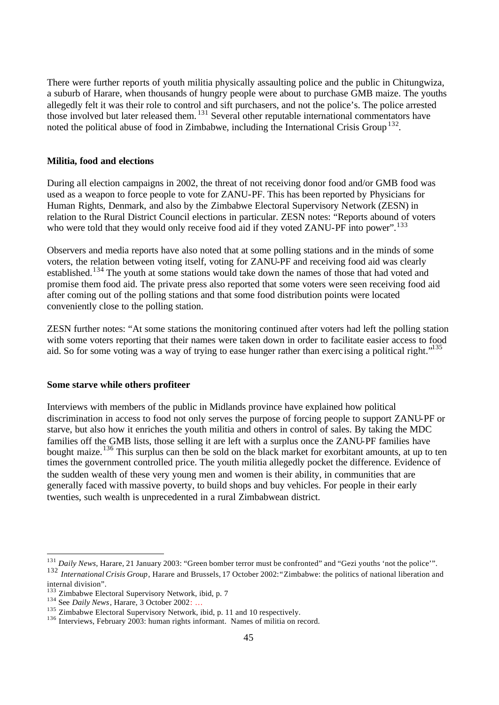There were further reports of youth militia physically assaulting police and the public in Chitungwiza, a suburb of Harare, when thousands of hungry people were about to purchase GMB maize. The youths allegedly felt it was their role to control and sift purchasers, and not the police's. The police arrested those involved but later released them. <sup>131</sup> Several other reputable international commentators have noted the political abuse of food in Zimbabwe, including the International Crisis Group<sup>132</sup>.

#### **Militia, food and elections**

During all election campaigns in 2002, the threat of not receiving donor food and/or GMB food was used as a weapon to force people to vote for ZANU-PF. This has been reported by Physicians for Human Rights, Denmark, and also by the Zimbabwe Electoral Supervisory Network (ZESN) in relation to the Rural District Council elections in particular. ZESN notes: "Reports abound of voters who were told that they would only receive food aid if they voted ZANU-PF into power".<sup>133</sup>

Observers and media reports have also noted that at some polling stations and in the minds of some voters, the relation between voting itself, voting for ZANU-PF and receiving food aid was clearly established.<sup>134</sup> The youth at some stations would take down the names of those that had voted and promise them food aid. The private press also reported that some voters were seen receiving food aid after coming out of the polling stations and that some food distribution points were located conveniently close to the polling station.

ZESN further notes: "At some stations the monitoring continued after voters had left the polling station with some voters reporting that their names were taken down in order to facilitate easier access to food aid. So for some voting was a way of trying to ease hunger rather than exerc ising a political right."<sup>135</sup>

#### **Some starve while others profiteer**

Interviews with members of the public in Midlands province have explained how political discrimination in access to food not only serves the purpose of forcing people to support ZANU-PF or starve, but also how it enriches the youth militia and others in control of sales. By taking the MDC families off the GMB lists, those selling it are left with a surplus once the ZANU-PF families have bought maize.<sup>136</sup> This surplus can then be sold on the black market for exorbitant amounts, at up to ten times the government controlled price. The youth militia allegedly pocket the difference. Evidence of the sudden wealth of these very young men and women is their ability, in communities that are generally faced with massive poverty, to build shops and buy vehicles. For people in their early twenties, such wealth is unprecedented in a rural Zimbabwean district.

<sup>&</sup>lt;sup>131</sup> Daily News, Harare, 21 January 2003: "Green bomber terror must be confronted" and "Gezi youths 'not the police'".

<sup>132</sup> *International Crisis Group*, Harare and Brussels, 17 October 2002: "Zimbabwe: the politics of national liberation and internal division".

<sup>&</sup>lt;sup>133</sup> Zimbabwe Electoral Supervisory Network, ibid, p. 7

<sup>&</sup>lt;sup>134</sup> See *Daily News*, Harare, 3 October 2002: ...

<sup>&</sup>lt;sup>135</sup> Zimbabwe Electoral Supervisory Network, ibid, p. 11 and 10 respectively.

<sup>&</sup>lt;sup>136</sup> Interviews, February 2003: human rights informant. Names of militia on record.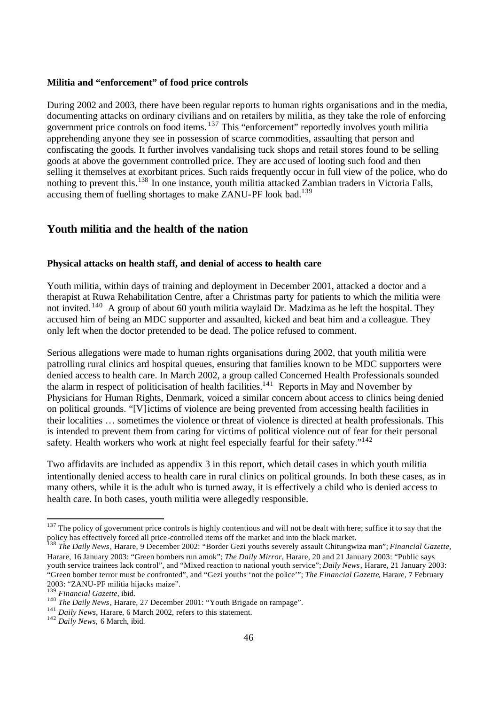#### **Militia and "enforcement" of food price controls**

During 2002 and 2003, there have been regular reports to human rights organisations and in the media, documenting attacks on ordinary civilians and on retailers by militia, as they take the role of enforcing government price controls on food items. <sup>137</sup> This "enforcement" reportedly involves youth militia apprehending anyone they see in possession of scarce commodities, assaulting that person and confiscating the goods. It further involves vandalising tuck shops and retail stores found to be selling goods at above the government controlled price. They are accused of looting such food and then selling it themselves at exorbitant prices. Such raids frequently occur in full view of the police, who do nothing to prevent this.<sup>138</sup> In one instance, youth militia attacked Zambian traders in Victoria Falls, accusing them of fuelling shortages to make ZANU-PF look bad.<sup>139</sup>

## **Youth militia and the health of the nation**

#### **Physical attacks on health staff, and denial of access to health care**

Youth militia, within days of training and deployment in December 2001, attacked a doctor and a therapist at Ruwa Rehabilitation Centre, after a Christmas party for patients to which the militia were not invited. <sup>140</sup> A group of about 60 youth militia waylaid Dr. Madzima as he left the hospital. They accused him of being an MDC supporter and assaulted, kicked and beat him and a colleague. They only left when the doctor pretended to be dead. The police refused to comment.

Serious allegations were made to human rights organisations during 2002, that youth militia were patrolling rural clinics and hospital queues, ensuring that families known to be MDC supporters were denied access to health care. In March 2002, a group called Concerned Health Professionals sounded the alarm in respect of politicisation of health facilities.<sup>141</sup> Reports in May and November by Physicians for Human Rights, Denmark, voiced a similar concern about access to clinics being denied on political grounds. "[V]ictims of violence are being prevented from accessing health facilities in their localities … sometimes the violence or threat of violence is directed at health professionals. This is intended to prevent them from caring for victims of political violence out of fear for their personal safety. Health workers who work at night feel especially fearful for their safety."<sup>142</sup>

Two affidavits are included as appendix 3 in this report, which detail cases in which youth militia intentionally denied access to health care in rural clinics on political grounds. In both these cases, as in many others, while it is the adult who is turned away, it is effectively a child who is denied access to health care. In both cases, youth militia were allegedly responsible.

 $137$  The policy of government price controls is highly contentious and will not be dealt with here; suffice it to say that the policy has effectively forced all price-controlled items off the market and into the black market.

<sup>138</sup> *The Daily News*, Harare, 9 December 2002: "Border Gezi youths severely assault Chitungwiza man"; *Financial Gazette,* Harare, 16 January 2003: "Green bombers run amok"; *The Daily Mirror*, Harare, 20 and 21 January 2003: "Public says youth service trainees lack control", and "Mixed reaction to national youth service"; *Daily News*, Harare, 21 January 2003: "Green bomber terror must be confronted", and "Gezi youths 'not the police'"; *The Financial Gazette*, Harare, 7 February 2003: "ZANU-PF militia hijacks maize".

<sup>139</sup> *Financial Gazette*, ibid.

<sup>140</sup> *The Daily News*, Harare, 27 December 2001: "Youth Brigade on rampage".

<sup>141</sup> *Daily News*, Harare, 6 March 2002, refers to this statement.

<sup>142</sup> *Daily News,* 6 March, ibid.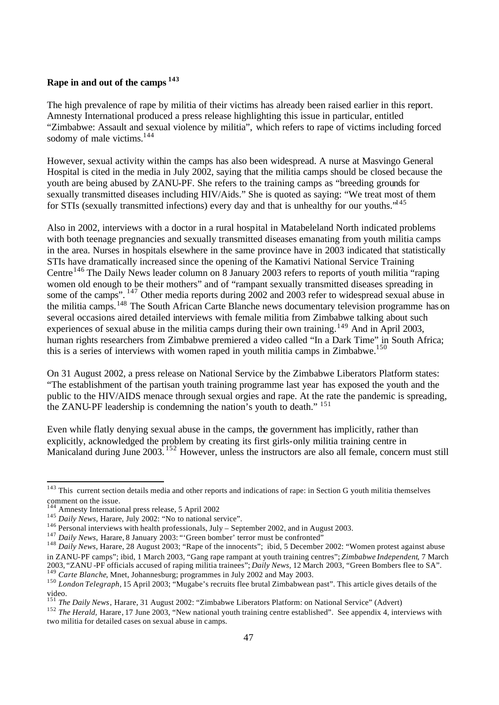## **Rape in and out of the camps <sup>143</sup>**

The high prevalence of rape by militia of their victims has already been raised earlier in this report. Amnesty International produced a press release highlighting this issue in particular, entitled "Zimbabwe: Assault and sexual violence by militia", which refers to rape of victims including forced sodomy of male victims.<sup>144</sup>

However, sexual activity within the camps has also been widespread. A nurse at Masvingo General Hospital is cited in the media in July 2002, saying that the militia camps should be closed because the youth are being abused by ZANU-PF. She refers to the training camps as "breeding grounds for sexually transmitted diseases including HIV/Aids." She is quoted as saying: "We treat most of them for STIs (sexually transmitted infections) every day and that is unhealthy for our youths."<sup>145</sup>

Also in 2002, interviews with a doctor in a rural hospital in Matabeleland North indicated problems with both teenage pregnancies and sexually transmitted diseases emanating from youth militia camps in the area. Nurses in hospitals elsewhere in the same province have in 2003 indicated that statistically STIs have dramatically increased since the opening of the Kamativi National Service Training Centre<sup>146</sup> The Daily News leader column on 8 January 2003 refers to reports of youth militia "raping" women old enough to be their mothers" and of "rampant sexually transmitted diseases spreading in some of the camps". <sup>147</sup> Other media reports during 2002 and 2003 refer to widespread sexual abuse in the militia camps.<sup>148</sup> The South African Carte Blanche news documentary television programme has on several occasions aired detailed interviews with female militia from Zimbabwe talking about such experiences of sexual abuse in the militia camps during their own training.<sup>149</sup> And in April 2003, human rights researchers from Zimbabwe premiered a video called "In a Dark Time" in South Africa; this is a series of interviews with women raped in youth militia camps in Zimbabwe.<sup>150</sup>

On 31 August 2002, a press release on National Service by the Zimbabwe Liberators Platform states: "The establishment of the partisan youth training programme last year has exposed the youth and the public to the HIV/AIDS menace through sexual orgies and rape. At the rate the pandemic is spreading, the ZANU-PF leadership is condemning the nation's youth to death." <sup>151</sup>

Even while flatly denying sexual abuse in the camps, the government has implicitly, rather than explicitly, acknowledged the problem by creating its first girls-only militia training centre in Manicaland during June 2003.<sup>152</sup> However, unless the instructors are also all female, concern must still

 $143$  This current section details media and other reports and indications of rape: in Section G youth militia themselves comment on the issue.

<sup>&</sup>lt;sup>4</sup> Amnesty International press release, 5 April 2002

<sup>&</sup>lt;sup>145</sup> *Daily News*, Harare, July 2002: "No to national service".

<sup>&</sup>lt;sup>146</sup> Personal interviews with health professionals, July – September 2002, and in August 2003.

<sup>&</sup>lt;sup>147</sup> *Daily News*, Harare, 8 January 2003: "'Green bomber' terror must be confronted"

<sup>&</sup>lt;sup>148</sup> *Daily News,* Harare, 28 August 2003; "Rape of the innocents"; ibid, 5 December 2002: "Women protest against abuse in ZANU-PF camps"; ibid, 1 March 2003, "Gang rape rampant at youth training centres"; *Zimbabwe Independent*, 7 March 2003, "ZANU -PF officials accused of raping militia trainees"; *Daily News,* 12 March 2003, "Green Bombers flee to SA". <sup>149</sup> *Carte Blanche*, Mnet, Johannesburg; programmes in July 2002 and May 2003.

<sup>150</sup> *London Telegraph,* 15 April 2003; "Mugabe's recruits flee brutal Zimbabwean past". This article gives details of the video.

<sup>151</sup> *The Daily News*, Harare, 31 August 2002: "Zimbabwe Liberators Platform: on National Service" (Advert)

<sup>&</sup>lt;sup>152</sup> *The Herald, Harare, 17 June 2003, "New national youth training centre established". See appendix 4, interviews with* two militia for detailed cases on sexual abuse in camps.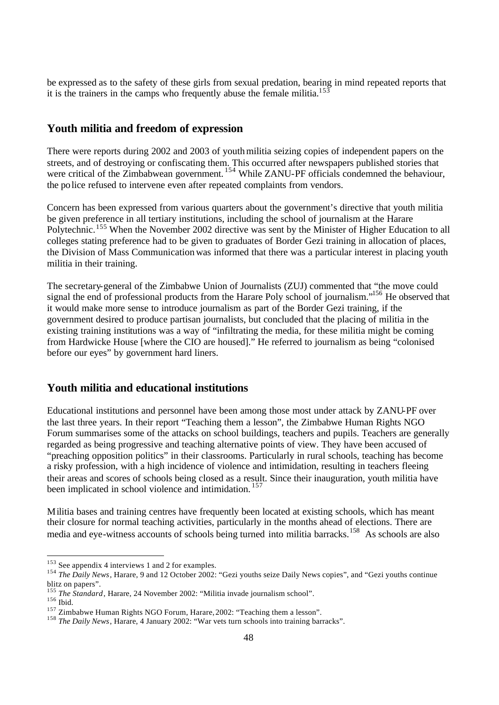be expressed as to the safety of these girls from sexual predation, bearing in mind repeated reports that it is the trainers in the camps who frequently abuse the female militia.<sup>153</sup>

## **Youth militia and freedom of expression**

There were reports during 2002 and 2003 of youth militia seizing copies of independent papers on the streets, and of destroying or confiscating them. This occurred after newspapers published stories that were critical of the Zimbabwean government.<sup>154</sup> While ZANU-PF officials condemned the behaviour, the police refused to intervene even after repeated complaints from vendors.

Concern has been expressed from various quarters about the government's directive that youth militia be given preference in all tertiary institutions, including the school of journalism at the Harare Polytechnic.<sup>155</sup> When the November 2002 directive was sent by the Minister of Higher Education to all colleges stating preference had to be given to graduates of Border Gezi training in allocation of places, the Division of Mass Communication was informed that there was a particular interest in placing youth militia in their training.

The secretary-general of the Zimbabwe Union of Journalists (ZUJ) commented that "the move could signal the end of professional products from the Harare Poly school of journalism."<sup>156</sup> He observed that it would make more sense to introduce journalism as part of the Border Gezi training, if the government desired to produce partisan journalists, but concluded that the placing of militia in the existing training institutions was a way of "infiltrating the media, for these militia might be coming from Hardwicke House [where the CIO are housed]." He referred to journalism as being "colonised before our eyes" by government hard liners.

## **Youth militia and educational institutions**

Educational institutions and personnel have been among those most under attack by ZANU-PF over the last three years. In their report "Teaching them a lesson", the Zimbabwe Human Rights NGO Forum summarises some of the attacks on school buildings, teachers and pupils. Teachers are generally regarded as being progressive and teaching alternative points of view. They have been accused of "preaching opposition politics" in their classrooms. Particularly in rural schools, teaching has become a risky profession, with a high incidence of violence and intimidation, resulting in teachers fleeing their areas and scores of schools being closed as a result. Since their inauguration, youth militia have been implicated in school violence and intimidation.<sup>157</sup>

Militia bases and training centres have frequently been located at existing schools, which has meant their closure for normal teaching activities, particularly in the months ahead of elections. There are media and eye-witness accounts of schools being turned into militia barracks.<sup>158</sup> As schools are also

 $153$  See appendix 4 interviews 1 and 2 for examples.

<sup>&</sup>lt;sup>154</sup> *The Daily News*, Harare, 9 and 12 October 2002: "Gezi youths seize Daily News copies", and "Gezi youths continue blitz on papers".

<sup>&</sup>lt;sup>155</sup> *The Standard*, Harare, 24 November 2002: "Militia invade journalism school".

<sup>156</sup> Ibid.

<sup>157</sup> Zimbabwe Human Rights NGO Forum, Harare, 2002: "Teaching them a lesson".

<sup>158</sup> *The Daily News*, Harare, 4 January 2002: "War vets turn schools into training barracks".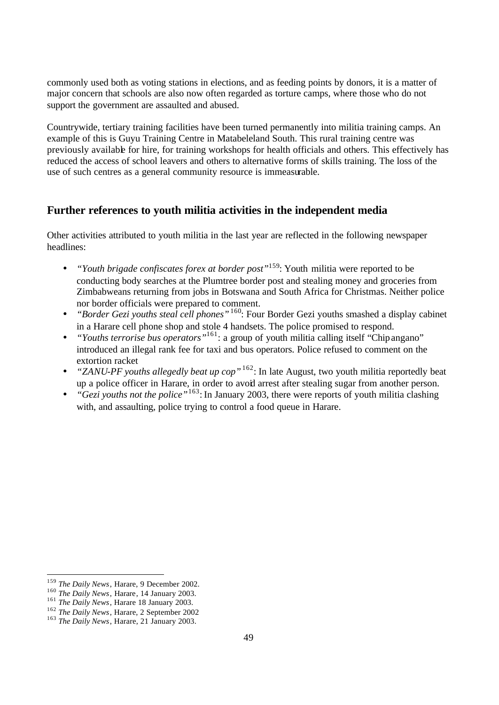commonly used both as voting stations in elections, and as feeding points by donors, it is a matter of major concern that schools are also now often regarded as torture camps, where those who do not support the government are assaulted and abused.

Countrywide, tertiary training facilities have been turned permanently into militia training camps. An example of this is Guyu Training Centre in Matabeleland South. This rural training centre was previously available for hire, for training workshops for health officials and others. This effectively has reduced the access of school leavers and others to alternative forms of skills training. The loss of the use of such centres as a general community resource is immeasurable.

## **Further references to youth militia activities in the independent media**

Other activities attributed to youth militia in the last year are reflected in the following newspaper headlines:

- *"Youth brigade confiscates forex at border post"*<sup>159</sup>: Youth militia were reported to be conducting body searches at the Plumtree border post and stealing money and groceries from Zimbabweans returning from jobs in Botswana and South Africa for Christmas. Neither police nor border officials were prepared to comment.
- *"Border Gezi youths steal cell phones"*<sup>160</sup>: Four Border Gezi youths smashed a display cabinet in a Harare cell phone shop and stole 4 handsets. The police promised to respond.
- *"Youths terrorise bus operators*<sup>"161</sup>: a group of youth militia calling itself "Chipangano" introduced an illegal rank fee for taxi and bus operators. Police refused to comment on the extortion racket
- *"ZANU-PF youths allegedly beat up cop"*<sup>162</sup>: In late August, two youth militia reportedly beat up a police officer in Harare, in order to avoid arrest after stealing sugar from another person.
- *"Gezi youths not the police*"<sup>163</sup>: In January 2003, there were reports of youth militia clashing with, and assaulting, police trying to control a food queue in Harare.

<sup>159</sup> *The Daily News*, Harare, 9 December 2002.

<sup>160</sup> *The Daily News*, Harare, 14 January 2003.

<sup>&</sup>lt;sup>161</sup> *The Daily News*, Harare 18 January 2003.

<sup>162</sup> *The Daily News*, Harare, 2 September 2002

<sup>163</sup> *The Daily News*, Harare, 21 January 2003.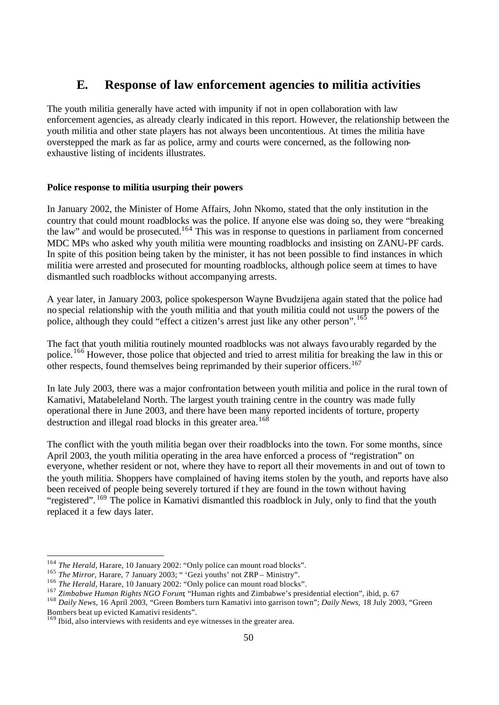## **E. Response of law enforcement agencies to militia activities**

The youth militia generally have acted with impunity if not in open collaboration with law enforcement agencies, as already clearly indicated in this report. However, the relationship between the youth militia and other state players has not always been uncontentious. At times the militia have overstepped the mark as far as police, army and courts were concerned, as the following nonexhaustive listing of incidents illustrates.

## **Police response to militia usurping their powers**

In January 2002, the Minister of Home Affairs, John Nkomo, stated that the only institution in the country that could mount roadblocks was the police. If anyone else was doing so, they were "breaking the law" and would be prosecuted.<sup>164</sup> This was in response to questions in parliament from concerned MDC MPs who asked why youth militia were mounting roadblocks and insisting on ZANU-PF cards. In spite of this position being taken by the minister, it has not been possible to find instances in which militia were arrested and prosecuted for mounting roadblocks, although police seem at times to have dismantled such roadblocks without accompanying arrests.

A year later, in January 2003, police spokesperson Wayne Bvudzijena again stated that the police had no special relationship with the youth militia and that youth militia could not usurp the powers of the police, although they could "effect a citizen's arrest just like any other person". <sup>165</sup>

The fact that youth militia routinely mounted roadblocks was not always favourably regarded by the police.<sup>166</sup> However, those police that objected and tried to arrest militia for breaking the law in this or other respects, found themselves being reprimanded by their superior officers.<sup>167</sup>

In late July 2003, there was a major confrontation between youth militia and police in the rural town of Kamativi, Matabeleland North. The largest youth training centre in the country was made fully operational there in June 2003, and there have been many reported incidents of torture, property destruction and illegal road blocks in this greater area.<sup>168</sup>

The conflict with the youth militia began over their roadblocks into the town. For some months, since April 2003, the youth militia operating in the area have enforced a process of "registration" on everyone, whether resident or not, where they have to report all their movements in and out of town to the youth militia. Shoppers have complained of having items stolen by the youth, and reports have also been received of people being severely tortured if they are found in the town without having "registered". <sup>169</sup> The police in Kamativi dismantled this roadblock in July, only to find that the youth replaced it a few days later.

<sup>&</sup>lt;sup>164</sup> *The Herald*, Harare, 10 January 2002: "Only police can mount road blocks".

<sup>&</sup>lt;sup>165</sup> *The Mirror*, Harare, 7 January 2003; " 'Gezi youths' not ZRP – Ministry".

<sup>&</sup>lt;sup>166</sup> *The Herald*, Harare, 10 January 2002: "Only police can mount road blocks".

<sup>&</sup>lt;sup>167</sup> *Zimbabwe Human Rights NGO Forum*; "Human rights and Zimbabwe's presidential election", ibid, p. 67

<sup>168</sup> *Daily News,* 16 April 2003, "Green Bombers turn Kamativi into garrison town"; *Daily News,* 18 July 2003, "Green Bombers beat up evicted Kamativi residents".

<sup>&</sup>lt;sup>169</sup> Ibid, also interviews with residents and eye witnesses in the greater area.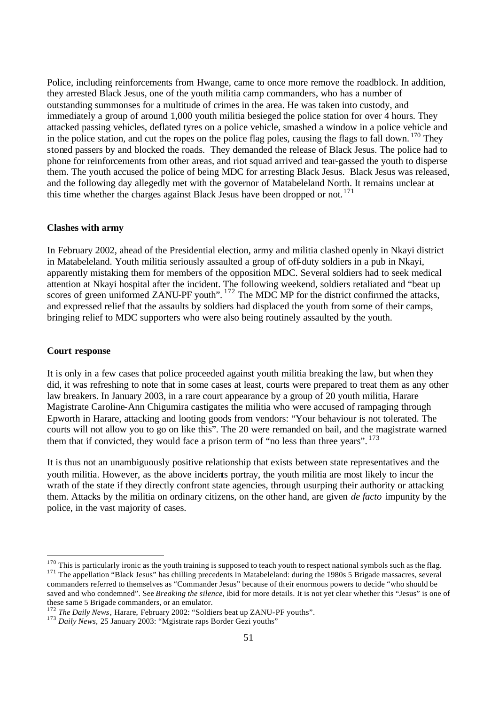Police, including reinforcements from Hwange, came to once more remove the roadblock. In addition, they arrested Black Jesus, one of the youth militia camp commanders, who has a number of outstanding summonses for a multitude of crimes in the area. He was taken into custody, and immediately a group of around 1,000 youth militia besieged the police station for over 4 hours. They attacked passing vehicles, deflated tyres on a police vehicle, smashed a window in a police vehicle and in the police station, and cut the ropes on the police flag poles, causing the flags to fall down.  $170$  They stoned passers by and blocked the roads. They demanded the release of Black Jesus. The police had to phone for reinforcements from other areas, and riot squad arrived and tear-gassed the youth to disperse them. The youth accused the police of being MDC for arresting Black Jesus. Black Jesus was released, and the following day allegedly met with the governor of Matabeleland North. It remains unclear at this time whether the charges against Black Jesus have been dropped or not.<sup>171</sup>

#### **Clashes with army**

In February 2002, ahead of the Presidential election, army and militia clashed openly in Nkayi district in Matabeleland. Youth militia seriously assaulted a group of off-duty soldiers in a pub in Nkayi, apparently mistaking them for members of the opposition MDC. Several soldiers had to seek medical attention at Nkayi hospital after the incident. The following weekend, soldiers retaliated and "beat up scores of green uniformed ZANU-PF youth".  $^{172}$  The MDC MP for the district confirmed the attacks, and expressed relief that the assaults by soldiers had displaced the youth from some of their camps, bringing relief to MDC supporters who were also being routinely assaulted by the youth.

#### **Court response**

It is only in a few cases that police proceeded against youth militia breaking the law, but when they did, it was refreshing to note that in some cases at least, courts were prepared to treat them as any other law breakers. In January 2003, in a rare court appearance by a group of 20 youth militia, Harare Magistrate Caroline-Ann Chigumira castigates the militia who were accused of rampaging through Epworth in Harare, attacking and looting goods from vendors: "Your behaviour is not tolerated. The courts will not allow you to go on like this". The 20 were remanded on bail, and the magistrate warned them that if convicted, they would face a prison term of "no less than three years".  $173$ 

It is thus not an unambiguously positive relationship that exists between state representatives and the youth militia. However, as the above incidents portray, the youth militia are most likely to incur the wrath of the state if they directly confront state agencies, through usurping their authority or attacking them. Attacks by the militia on ordinary citizens, on the other hand, are given *de facto* impunity by the police, in the vast majority of cases.

 $170$  This is particularly ironic as the youth training is supposed to teach youth to respect national symbols such as the flag. <sup>171</sup> The appellation "Black Jesus" has chilling precedents in Matabeleland: during the 1980s 5 Brigade massacres, several commanders referred to themselves as "Commander Jesus" because of their enormous powers to decide "who should be saved and who condemned". See *Breaking the silence,* ibid for more details. It is not yet clear whether this "Jesus" is one of these same 5 Brigade commanders, or an emulator.

<sup>&</sup>lt;sup>172</sup> *The Daily News*, Harare, February 2002: "Soldiers beat up ZANU-PF youths".

<sup>&</sup>lt;sup>173</sup> Daily News, 25 January 2003: "Mgistrate raps Border Gezi youths"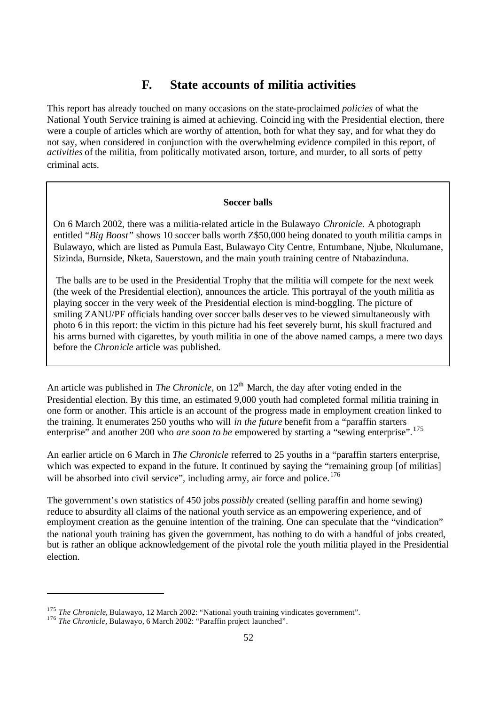## **F. State accounts of militia activities**

This report has already touched on many occasions on the state-proclaimed *policies* of what the National Youth Service training is aimed at achieving. Coincid ing with the Presidential election, there were a couple of articles which are worthy of attention, both for what they say, and for what they do not say, when considered in conjunction with the overwhelming evidence compiled in this report, of *activities* of the militia, from politically motivated arson, torture, and murder, to all sorts of petty criminal acts.

#### **Soccer balls**

On 6 March 2002, there was a militia-related article in the Bulawayo *Chronicle.* A photograph entitled *"Big Boost"* shows 10 soccer balls worth Z\$50,000 being donated to youth militia camps in Bulawayo, which are listed as Pumula East, Bulawayo City Centre, Entumbane, Njube, Nkulumane, Sizinda, Burnside, Nketa, Sauerstown, and the main youth training centre of Ntabazinduna.

Ins anns burned with eigalettes, by youth finding in one before the *Chronicle* article was published. The balls are to be used in the Presidential Trophy that the militia will compete for the next week (the week of the Presidential election), announces the article. This portrayal of the youth militia as playing soccer in the very week of the Presidential election is mind-boggling. The picture of smiling ZANU/PF officials handing over soccer balls deser ves to be viewed simultaneously with photo 6 in this report: the victim in this picture had his feet severely burnt, his skull fractured and his arms burned with cigarettes, by youth militia in one of the above named camps, a mere two days

An article was published in *The Chronicle*, on 12<sup>th</sup> March, the day after voting ended in the Presidential election. By this time, an estimated 9,000 youth had completed formal militia training in one form or another. This article is an account of the progress made in employment creation linked to the training. It enumerates 250 youths who will *in the future* benefit from a "paraffin starters enterprise" and another 200 who *are soon to be* empowered by starting a "sewing enterprise".<sup>175</sup>

An earlier article on 6 March in *The Chronicle* referred to 25 youths in a "paraffin starters enterprise, which was expected to expand in the future. It continued by saying the "remaining group [of militias] will be absorbed into civil service", including army, air force and police.<sup>176</sup>

The government's own statistics of 450 jobs *possibly* created (selling paraffin and home sewing) reduce to absurdity all claims of the national youth service as an empowering experience, and of employment creation as the genuine intention of the training. One can speculate that the "vindication" the national youth training has given the government, has nothing to do with a handful of jobs created, but is rather an oblique acknowledgement of the pivotal role the youth militia played in the Presidential election.

<sup>&</sup>lt;sup>175</sup> *The Chronicle*, Bulawayo, 12 March 2002: "National youth training vindicates government".

<sup>&</sup>lt;sup>176</sup> The Chronicle, Bulawayo, 6 March 2002: "Paraffin project launched".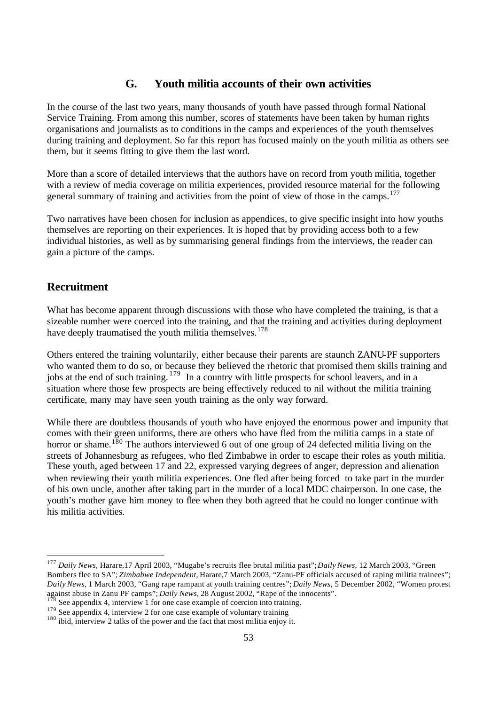## **G. Youth militia accounts of their own activities**

In the course of the last two years, many thousands of youth have passed through formal National Service Training. From among this number, scores of statements have been taken by human rights organisations and journalists as to conditions in the camps and experiences of the youth themselves during training and deployment. So far this report has focused mainly on the youth militia as others see them, but it seems fitting to give them the last word.

More than a score of detailed interviews that the authors have on record from youth militia, together with a review of media coverage on militia experiences, provided resource material for the following general summary of training and activities from the point of view of those in the camps.<sup>177</sup>

Two narratives have been chosen for inclusion as appendices, to give specific insight into how youths themselves are reporting on their experiences. It is hoped that by providing access both to a few individual histories, as well as by summarising general findings from the interviews, the reader can gain a picture of the camps.

## **Recruitment**

What has become apparent through discussions with those who have completed the training, is that a sizeable number were coerced into the training, and that the training and activities during deployment have deeply traumatised the youth militia themselves.<sup>178</sup>

Others entered the training voluntarily, either because their parents are staunch ZANU-PF supporters who wanted them to do so, or because they believed the rhetoric that promised them skills training and jobs at the end of such training. <sup>179</sup> In a country with little prospects for school leavers, and in a situation where those few prospects are being effectively reduced to nil without the militia training certificate, many may have seen youth training as the only way forward.

While there are doubtless thousands of youth who have enjoyed the enormous power and impunity that comes with their green uniforms, there are others who have fled from the militia camps in a state of horror or shame.<sup>180</sup> The authors interviewed 6 out of one group of 24 defected militia living on the streets of Johannesburg as refugees, who fled Zimbabwe in order to escape their roles as youth militia. These youth, aged between 17 and 22, expressed varying degrees of anger, depression and alienation when reviewing their youth militia experiences. One fled after being forced to take part in the murder of his own uncle, another after taking part in the murder of a local MDC chairperson. In one case, the youth's mother gave him money to flee when they both agreed that he could no longer continue with his militia activities.

<sup>177</sup> *Daily News,* Harare,17 April 2003, "Mugabe's recruits flee brutal militia past"; *Daily News,* 12 March 2003, "Green Bombers flee to SA"; *Zimbabwe Independent,* Harare,7 March 2003, "Zanu-PF officials accused of raping militia trainees"; *Daily News,* 1 March 2003, "Gang rape rampant at youth training centres"; *Daily News,* 5 December 2002, "Women protest against abuse in Zanu PF camps"; *Daily News,* 28 August 2002, "Rape of the innocents". See appendix 4, interview  $\hat{1}$  for one case example of coercion into training.

 $179$  See appendix 4, interview 2 for one case example of voluntary training

<sup>&</sup>lt;sup>180</sup> ibid, interview 2 talks of the power and the fact that most militia enjoy it.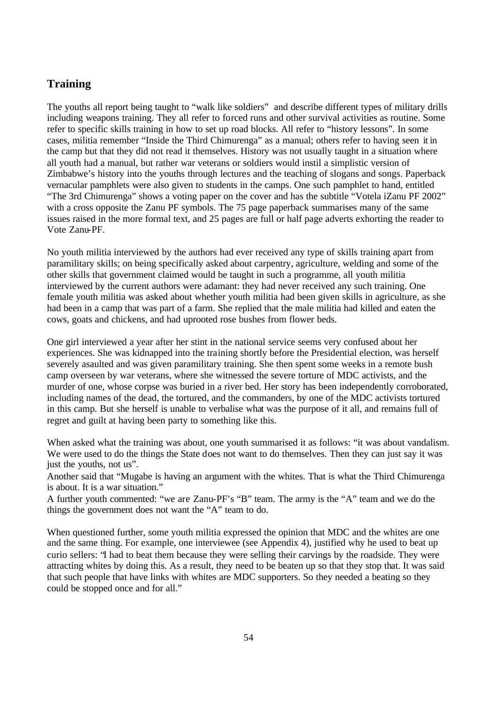## **Training**

The youths all report being taught to "walk like soldiers" and describe different types of military drills including weapons training. They all refer to forced runs and other survival activities as routine. Some refer to specific skills training in how to set up road blocks. All refer to "history lessons". In some cases, militia remember "Inside the Third Chimurenga" as a manual; others refer to having seen it in the camp but that they did not read it themselves. History was not usually taught in a situation where all youth had a manual, but rather war veterans or soldiers would instil a simplistic version of Zimbabwe's history into the youths through lectures and the teaching of slogans and songs. Paperback vernacular pamphlets were also given to students in the camps. One such pamphlet to hand, entitled "The 3rd Chimurenga" shows a voting paper on the cover and has the subtitle "Votela iZanu PF 2002" with a cross opposite the Zanu PF symbols. The 75 page paperback summarises many of the same issues raised in the more formal text, and 25 pages are full or half page adverts exhorting the reader to Vote Zanu-PF.

No youth militia interviewed by the authors had ever received any type of skills training apart from paramilitary skills; on being specifically asked about carpentry, agriculture, welding and some of the other skills that government claimed would be taught in such a programme, all youth militia interviewed by the current authors were adamant: they had never received any such training. One female youth militia was asked about whether youth militia had been given skills in agriculture, as she had been in a camp that was part of a farm. She replied that the male militia had killed and eaten the cows, goats and chickens, and had uprooted rose bushes from flower beds.

One girl interviewed a year after her stint in the national service seems very confused about her experiences. She was kidnapped into the training shortly before the Presidential election, was herself severely asaulted and was given paramilitary training. She then spent some weeks in a remote bush camp overseen by war veterans, where she witnessed the severe torture of MDC activists, and the murder of one, whose corpse was buried in a river bed. Her story has been independently corroborated, including names of the dead, the tortured, and the commanders, by one of the MDC activists tortured in this camp. But she herself is unable to verbalise what was the purpose of it all, and remains full of regret and guilt at having been party to something like this.

When asked what the training was about, one youth summarised it as follows: "it was about vandalism. We were used to do the things the State does not want to do themselves. Then they can just say it was just the youths, not us".

Another said that "Mugabe is having an argument with the whites. That is what the Third Chimurenga is about. It is a war situation."

A further youth commented: "we are Zanu-PF's "B" team. The army is the "A" team and we do the things the government does not want the "A" team to do.

When questioned further, some youth militia expressed the opinion that MDC and the whites are one and the same thing. For example, one interviewee (see Appendix 4), justified why he used to beat up curio sellers: "I had to beat them because they were selling their carvings by the roadside. They were attracting whites by doing this. As a result, they need to be beaten up so that they stop that. It was said that such people that have links with whites are MDC supporters. So they needed a beating so they could be stopped once and for all."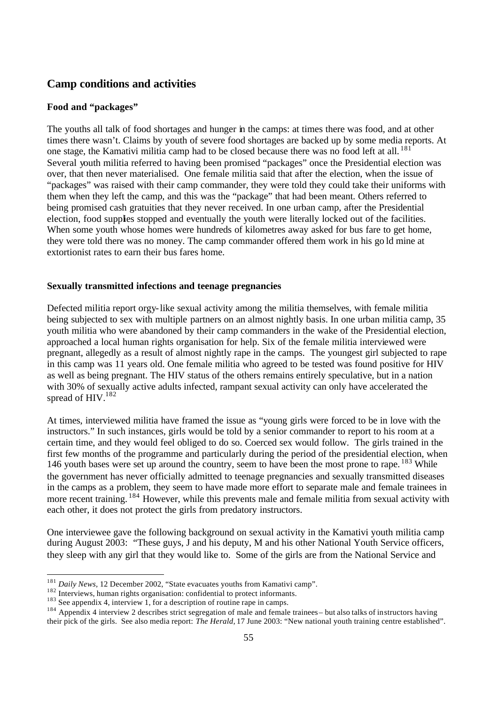## **Camp conditions and activities**

## **Food and "packages"**

The youths all talk of food shortages and hunger in the camps: at times there was food, and at other times there wasn't. Claims by youth of severe food shortages are backed up by some media reports. At one stage, the Kamativi militia camp had to be closed because there was no food left at all. <sup>181</sup> Several youth militia referred to having been promised "packages" once the Presidential election was over, that then never materialised. One female militia said that after the election, when the issue of "packages" was raised with their camp commander, they were told they could take their uniforms with them when they left the camp, and this was the "package" that had been meant. Others referred to being promised cash gratuities that they never received. In one urban camp, after the Presidential election, food supplies stopped and eventually the youth were literally locked out of the facilities. When some youth whose homes were hundreds of kilometres away asked for bus fare to get home, they were told there was no money. The camp commander offered them work in his go ld mine at extortionist rates to earn their bus fares home.

#### **Sexually transmitted infections and teenage pregnancies**

Defected militia report orgy-like sexual activity among the militia themselves, with female militia being subjected to sex with multiple partners on an almost nightly basis. In one urban militia camp, 35 youth militia who were abandoned by their camp commanders in the wake of the Presidential election, approached a local human rights organisation for help. Six of the female militia interviewed were pregnant, allegedly as a result of almost nightly rape in the camps. The youngest girl subjected to rape in this camp was 11 years old. One female militia who agreed to be tested was found positive for HIV as well as being pregnant. The HIV status of the others remains entirely speculative, but in a nation with 30% of sexually active adults infected, rampant sexual activity can only have accelerated the spread of HIV.<sup>182</sup>

At times, interviewed militia have framed the issue as "young girls were forced to be in love with the instructors." In such instances, girls would be told by a senior commander to report to his room at a certain time, and they would feel obliged to do so. Coerced sex would follow. The girls trained in the first few months of the programme and particularly during the period of the presidential election, when 146 youth bases were set up around the country, seem to have been the most prone to rape. <sup>183</sup> While the government has never officially admitted to teenage pregnancies and sexually transmitted diseases in the camps as a problem, they seem to have made more effort to separate male and female trainees in more recent training. <sup>184</sup> However, while this prevents male and female militia from sexual activity with each other, it does not protect the girls from predatory instructors.

One interviewee gave the following background on sexual activity in the Kamativi youth militia camp during August 2003: "These guys, J and his deputy, M and his other National Youth Service officers, they sleep with any girl that they would like to. Some of the girls are from the National Service and

<sup>&</sup>lt;sup>181</sup> Daily News, 12 December 2002, "State evacuates youths from Kamativi camp".

<sup>&</sup>lt;sup>182</sup> Interviews, 12 December 2002, but confidential to protect informants.

 $183$  See appendix 4, interview 1, for a description of routine rape in camps.

<sup>&</sup>lt;sup>184</sup> Appendix 4 interview 2 describes strict segregation of male and female trainees – but also talks of instructors having their pick of the girls. See also media report: *The Herald,* 17 June 2003: "New national youth training centre established".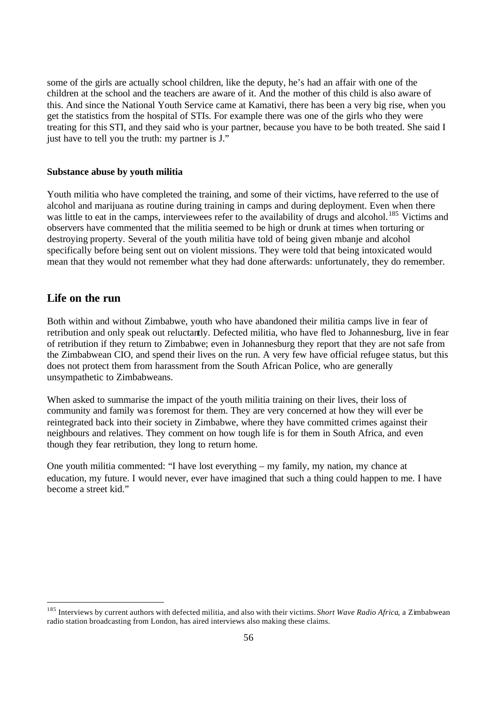some of the girls are actually school children, like the deputy, he's had an affair with one of the children at the school and the teachers are aware of it. And the mother of this child is also aware of this. And since the National Youth Service came at Kamativi, there has been a very big rise, when you get the statistics from the hospital of STIs. For example there was one of the girls who they were treating for this STI, and they said who is your partner, because you have to be both treated. She said I just have to tell you the truth: my partner is J."

#### **Substance abuse by youth militia**

Youth militia who have completed the training, and some of their victims, have referred to the use of alcohol and marijuana as routine during training in camps and during deployment. Even when there was little to eat in the camps, interviewees refer to the availability of drugs and alcohol.<sup>185</sup> Victims and observers have commented that the militia seemed to be high or drunk at times when torturing or destroying property. Several of the youth militia have told of being given mbanje and alcohol specifically before being sent out on violent missions. They were told that being intoxicated would mean that they would not remember what they had done afterwards: unfortunately, they do remember.

## **Life on the run**

Both within and without Zimbabwe, youth who have abandoned their militia camps live in fear of retribution and only speak out reluctantly. Defected militia, who have fled to Johannesburg, live in fear of retribution if they return to Zimbabwe; even in Johannesburg they report that they are not safe from the Zimbabwean CIO, and spend their lives on the run. A very few have official refugee status, but this does not protect them from harassment from the South African Police, who are generally unsympathetic to Zimbabweans.

When asked to summarise the impact of the youth militia training on their lives, their loss of community and family wa s foremost for them. They are very concerned at how they will ever be reintegrated back into their society in Zimbabwe, where they have committed crimes against their neighbours and relatives. They comment on how tough life is for them in South Africa, and even though they fear retribution, they long to return home.

One youth militia commented: "I have lost everything – my family, my nation, my chance at education, my future. I would never, ever have imagined that such a thing could happen to me. I have become a street kid."

<sup>185</sup> Interviews by current authors with defected militia, and also with their victims. *Short Wave Radio Africa*, a Zimbabwean radio station broadcasting from London, has aired interviews also making these claims.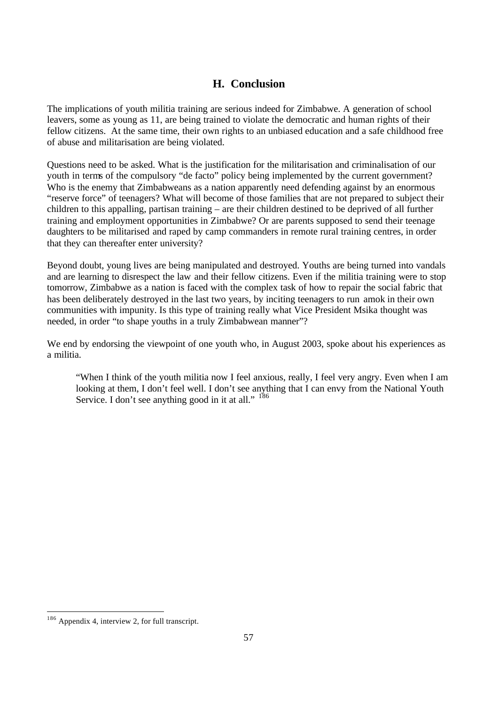## **H. Conclusion**

The implications of youth militia training are serious indeed for Zimbabwe. A generation of school leavers, some as young as 11, are being trained to violate the democratic and human rights of their fellow citizens. At the same time, their own rights to an unbiased education and a safe childhood free of abuse and militarisation are being violated.

Questions need to be asked. What is the justification for the militarisation and criminalisation of our youth in terms of the compulsory "de facto" policy being implemented by the current government? Who is the enemy that Zimbabweans as a nation apparently need defending against by an enormous "reserve force" of teenagers? What will become of those families that are not prepared to subject their children to this appalling, partisan training – are their children destined to be deprived of all further training and employment opportunities in Zimbabwe? Or are parents supposed to send their teenage daughters to be militarised and raped by camp commanders in remote rural training centres, in order that they can thereafter enter university?

Beyond doubt, young lives are being manipulated and destroyed. Youths are being turned into vandals and are learning to disrespect the law and their fellow citizens. Even if the militia training were to stop tomorrow, Zimbabwe as a nation is faced with the complex task of how to repair the social fabric that has been deliberately destroyed in the last two years, by inciting teenagers to run amok in their own communities with impunity. Is this type of training really what Vice President Msika thought was needed, in order "to shape youths in a truly Zimbabwean manner"?

We end by endorsing the viewpoint of one youth who, in August 2003, spoke about his experiences as a militia.

"When I think of the youth militia now I feel anxious, really, I feel very angry. Even when I am looking at them, I don't feel well. I don't see anything that I can envy from the National Youth Service. I don't see anything good in it at all." <sup>186</sup>

<sup>&</sup>lt;sup>186</sup> Appendix 4, interview 2, for full transcript.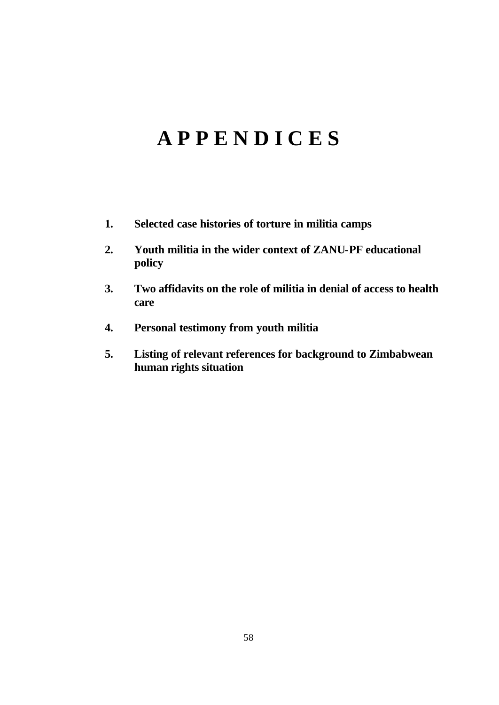# **A P P E N D I C E S**

- **1. Selected case histories of torture in militia camps**
- **2. Youth militia in the wider context of ZANU-PF educational policy**
- **3. Two affidavits on the role of militia in denial of access to health care**
- **4. Personal testimony from youth militia**
- **5. Listing of relevant references for background to Zimbabwean human rights situation**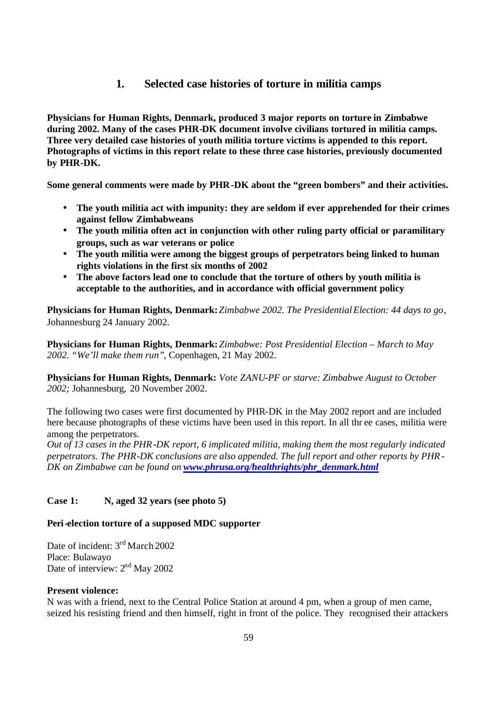## **1. Selected case histories of torture in militia camps**

**Physicians for Human Rights, Denmark, produced 3 major reports on torture in Zimbabwe during 2002. Many of the cases PHR-DK document involve civilians tortured in militia camps. Three very detailed case histories of youth militia torture victims is appended to this report. Photographs of victims in this report relate to these three case histories, previously documented by PHR-DK.** 

**Some general comments were made by PHR-DK about the "green bombers" and their activities.**

- **The youth militia act with impunity: they are seldom if ever apprehended for their crimes against fellow Zimbabweans**
- **The youth militia often act in conjunction with other ruling party official or paramilitary groups, such as war veterans or police**
- **The youth militia were among the biggest groups of perpetrators being linked to human rights violations in the first six months of 2002**
- **The above factors lead one to conclude that the torture of others by youth militia is acceptable to the authorities, and in accordance with official government policy**

**Physicians for Human Rights, Denmark:** *Zimbabwe 2002. The Presidential Election: 44 days to go*, Johannesburg 24 January 2002.

**Physicians for Human Rights, Denmark:** *Zimbabwe: Post Presidential Election – March to May 2002. "We'll make them run"*, Copenhagen, 21 May 2002.

**Physicians for Human Rights, Denmark:** *Vote ZANU-PF or starve: Zimbabwe August to October 2002;* Johannesburg, 20 November 2002.

The following two cases were first documented by PHR-DK in the May 2002 report and are included here because photographs of these victims have been used in this report. In all thr ee cases, militia were among the perpetrators.

*Out of 13 cases in the PHR-DK report, 6 implicated militia, making them the most regularly indicated perpetrators. The PHR-DK conclusions are also appended. The full report and other reports by PHR-DK on Zimbabwe can be found on www.phrusa.org/healthrights/phr\_denmark.html*

## **Case 1: N, aged 32 years (see photo 5)**

## **Peri-election torture of a supposed MDC supporter**

Date of incident: 3<sup>rd</sup> March 2002 Place: Bulawayo Date of interview: 2<sup>nd</sup> May 2002

### **Present violence:**

N was with a friend, next to the Central Police Station at around 4 pm, when a group of men came, seized his resisting friend and then himself, right in front of the police. They recognised their attackers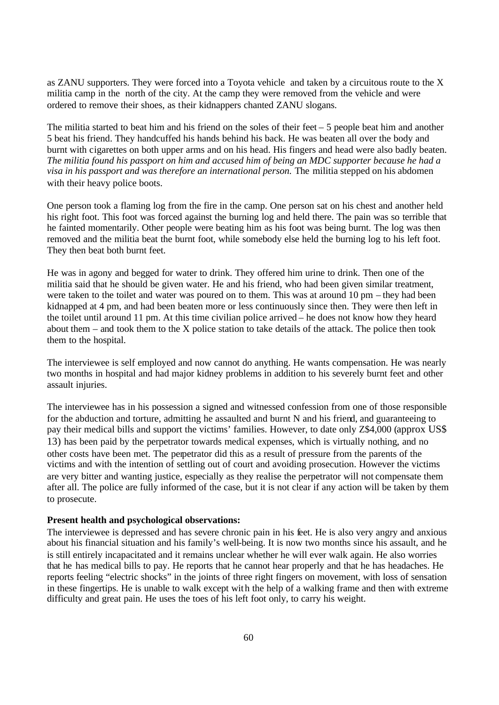as ZANU supporters. They were forced into a Toyota vehicle and taken by a circuitous route to the X militia camp in the north of the city. At the camp they were removed from the vehicle and were ordered to remove their shoes, as their kidnappers chanted ZANU slogans.

The militia started to beat him and his friend on the soles of their feet – 5 people beat him and another 5 beat his friend. They handcuffed his hands behind his back. He was beaten all over the body and burnt with cigarettes on both upper arms and on his head. His fingers and head were also badly beaten. *The militia found his passport on him and accused him of being an MDC supporter because he had a visa in his passport and was therefore an international person.* The militia stepped on his abdomen with their heavy police boots.

One person took a flaming log from the fire in the camp. One person sat on his chest and another held his right foot. This foot was forced against the burning log and held there. The pain was so terrible that he fainted momentarily. Other people were beating him as his foot was being burnt. The log was then removed and the militia beat the burnt foot, while somebody else held the burning log to his left foot. They then beat both burnt feet.

He was in agony and begged for water to drink. They offered him urine to drink. Then one of the militia said that he should be given water. He and his friend, who had been given similar treatment, were taken to the toilet and water was poured on to them. This was at around 10 pm – they had been kidnapped at 4 pm, and had been beaten more or less continuously since then. They were then left in the toilet until around 11 pm. At this time civilian police arrived – he does not know how they heard about them – and took them to the X police station to take details of the attack. The police then took them to the hospital.

The interviewee is self employed and now cannot do anything. He wants compensation. He was nearly two months in hospital and had major kidney problems in addition to his severely burnt feet and other assault injuries.

The interviewee has in his possession a signed and witnessed confession from one of those responsible for the abduction and torture, admitting he assaulted and burnt N and his friend, and guaranteeing to pay their medical bills and support the victims' families. However, to date only Z\$4,000 (approx US\$ 13) has been paid by the perpetrator towards medical expenses, which is virtually nothing, and no other costs have been met. The perpetrator did this as a result of pressure from the parents of the victims and with the intention of settling out of court and avoiding prosecution. However the victims are very bitter and wanting justice, especially as they realise the perpetrator will not compensate them after all. The police are fully informed of the case, but it is not clear if any action will be taken by them to prosecute.

#### **Present health and psychological observations:**

The interviewee is depressed and has severe chronic pain in his feet. He is also very angry and anxious about his financial situation and his family's well-being. It is now two months since his assault, and he is still entirely incapacitated and it remains unclear whether he will ever walk again. He also worries that he has medical bills to pay. He reports that he cannot hear properly and that he has headaches. He reports feeling "electric shocks" in the joints of three right fingers on movement, with loss of sensation in these fingertips. He is unable to walk except with the help of a walking frame and then with extreme difficulty and great pain. He uses the toes of his left foot only, to carry his weight.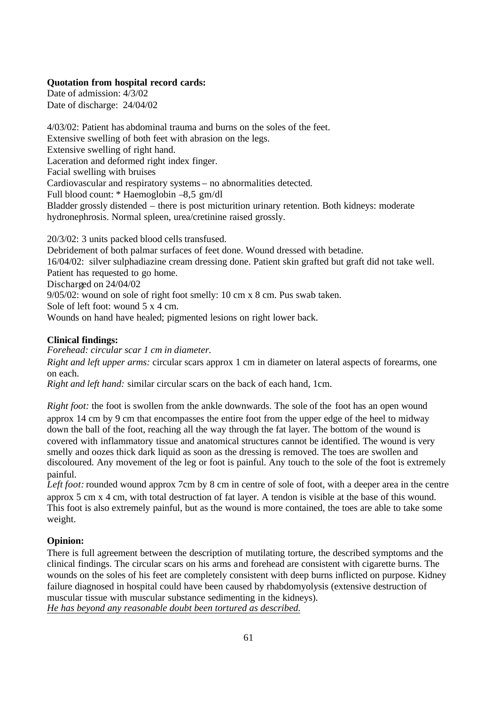## **Quotation from hospital record cards:**

Date of admission: 4/3/02 Date of discharge: 24/04/02

4/03/02: Patient has abdominal trauma and burns on the soles of the feet. Extensive swelling of both feet with abrasion on the legs. Extensive swelling of right hand. Laceration and deformed right index finger. Facial swelling with bruises Cardiovascular and respiratory systems – no abnormalities detected. Full blood count: \* Haemoglobin –8,5 gm/dl Bladder grossly distended – there is post micturition urinary retention. Both kidneys: moderate hydronephrosis. Normal spleen, urea/cretinine raised grossly.

20/3/02: 3 units packed blood cells transfused. Debridement of both palmar surfaces of feet done. Wound dressed with betadine. 16/04/02: silver sulphadiazine cream dressing done. Patient skin grafted but graft did not take well. Patient has requested to go home. Discharged on 24/04/02 9/05/02: wound on sole of right foot smelly: 10 cm x 8 cm. Pus swab taken. Sole of left foot: wound 5 x 4 cm. Wounds on hand have healed; pigmented lesions on right lower back.

## **Clinical findings:**

*Forehead: circular scar 1 cm in diameter.* 

*Right and left upper arms:* circular scars approx 1 cm in diameter on lateral aspects of forearms, one on each.

*Right and left hand:* similar circular scars on the back of each hand, 1cm.

*Right foot:* the foot is swollen from the ankle downwards. The sole of the foot has an open wound approx 14 cm by 9 cm that encompasses the entire foot from the upper edge of the heel to midway down the ball of the foot, reaching all the way through the fat layer. The bottom of the wound is covered with inflammatory tissue and anatomical structures cannot be identified. The wound is very smelly and oozes thick dark liquid as soon as the dressing is removed. The toes are swollen and discoloured. Any movement of the leg or foot is painful. Any touch to the sole of the foot is extremely painful.

Left foot: rounded wound approx 7cm by 8 cm in centre of sole of foot, with a deeper area in the centre approx 5 cm x 4 cm, with total destruction of fat layer. A tendon is visible at the base of this wound. This foot is also extremely painful, but as the wound is more contained, the toes are able to take some weight.

## **Opinion:**

There is full agreement between the description of mutilating torture, the described symptoms and the clinical findings. The circular scars on his arms and forehead are consistent with cigarette burns. The wounds on the soles of his feet are completely consistent with deep burns inflicted on purpose. Kidney failure diagnosed in hospital could have been caused by rhabdomyolysis (extensive destruction of muscular tissue with muscular substance sedimenting in the kidneys). *He has beyond any reasonable doubt been tortured as described.*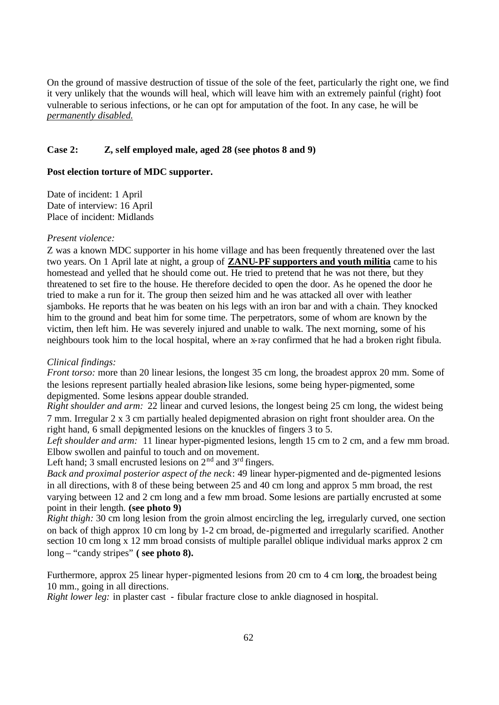On the ground of massive destruction of tissue of the sole of the feet, particularly the right one, we find it very unlikely that the wounds will heal, which will leave him with an extremely painful (right) foot vulnerable to serious infections, or he can opt for amputation of the foot. In any case, he will be *permanently disabled.* 

## **Case 2: Z, self employed male, aged 28 (see photos 8 and 9)**

## **Post election torture of MDC supporter.**

Date of incident: 1 April Date of interview: 16 April Place of incident: Midlands

#### *Present violence:*

Z was a known MDC supporter in his home village and has been frequently threatened over the last two years. On 1 April late at night, a group of **ZANU-PF supporters and youth militia** came to his homestead and yelled that he should come out. He tried to pretend that he was not there, but they threatened to set fire to the house. He therefore decided to open the door. As he opened the door he tried to make a run for it. The group then seized him and he was attacked all over with leather sjamboks. He reports that he was beaten on his legs with an iron bar and with a chain. They knocked him to the ground and beat him for some time. The perpetrators, some of whom are known by the victim, then left him. He was severely injured and unable to walk. The next morning, some of his neighbours took him to the local hospital, where an x-ray confirmed that he had a broken right fibula.

## *Clinical findings:*

*Front torso:* more than 20 linear lesions, the longest 35 cm long, the broadest approx 20 mm. Some of the lesions represent partially healed abrasion-like lesions, some being hyper-pigmented, some depigmented. Some lesions appear double stranded.

*Right shoulder and arm:* 22 linear and curved lesions, the longest being 25 cm long, the widest being 7 mm. Irregular 2 x 3 cm partially healed depigmented abrasion on right front shoulder area. On the right hand, 6 small depigmented lesions on the knuckles of fingers 3 to 5.

Left shoulder and arm: 11 linear hyper-pigmented lesions, length 15 cm to 2 cm, and a few mm broad. Elbow swollen and painful to touch and on movement.

Left hand; 3 small encrusted lesions on  $2<sup>nd</sup>$  and  $3<sup>rd</sup>$  fingers.

*Back and proximal posterior aspect of the neck*: 49 linear hyper-pigmented and de-pigmented lesions in all directions, with 8 of these being between 25 and 40 cm long and approx 5 mm broad, the rest varying between 12 and 2 cm long and a few mm broad. Some lesions are partially encrusted at some point in their length. **(see photo 9)**

*Right thigh:* 30 cm long lesion from the groin almost encircling the leg, irregularly curved, one section on back of thigh approx 10 cm long by 1-2 cm broad, de-pigmented and irregularly scarified. Another section 10 cm long x 12 mm broad consists of multiple parallel oblique individual marks approx 2 cm long – "candy stripes" **( see photo 8).** 

Furthermore, approx 25 linear hyper-pigmented lesions from 20 cm to 4 cm long, the broadest being 10 mm., going in all directions.

*Right lower leg:* in plaster cast - fibular fracture close to ankle diagnosed in hospital.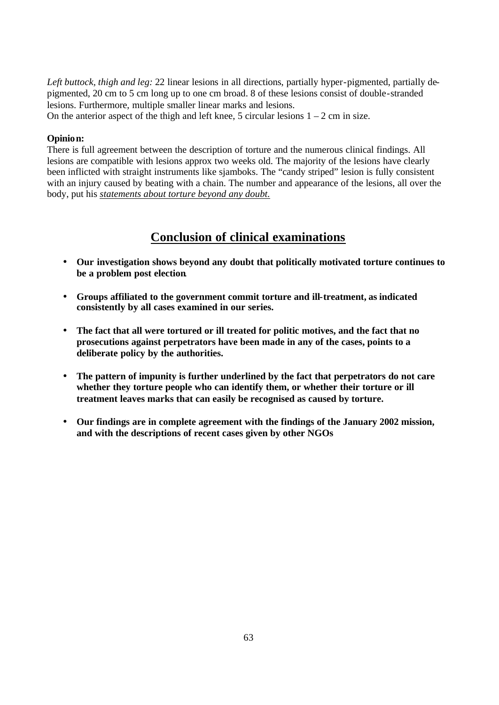*Left buttock, thigh and leg:* 22 linear lesions in all directions, partially hyper-pigmented, partially depigmented, 20 cm to 5 cm long up to one cm broad. 8 of these lesions consist of double-stranded lesions. Furthermore, multiple smaller linear marks and lesions. On the anterior aspect of the thigh and left knee, 5 circular lesions  $1 - 2$  cm in size.

## **Opinion:**

There is full agreement between the description of torture and the numerous clinical findings. All lesions are compatible with lesions approx two weeks old. The majority of the lesions have clearly been inflicted with straight instruments like sjamboks. The "candy striped" lesion is fully consistent with an injury caused by beating with a chain. The number and appearance of the lesions, all over the body, put his *statements about torture beyond any doubt.* 

## **Conclusion of clinical examinations**

- **Our investigation shows beyond any doubt that politically motivated torture continues to be a problem post election**.
- **Groups affiliated to the government commit torture and ill-treatment, as indicated consistently by all cases examined in our series.**
- **The fact that all were tortured or ill treated for politic motives, and the fact that no prosecutions against perpetrators have been made in any of the cases, points to a deliberate policy by the authorities.**
- **The pattern of impunity is further underlined by the fact that perpetrators do not care whether they torture people who can identify them, or whether their torture or ill treatment leaves marks that can easily be recognised as caused by torture.**
- **Our findings are in complete agreement with the findings of the January 2002 mission, and with the descriptions of recent cases given by other NGOs**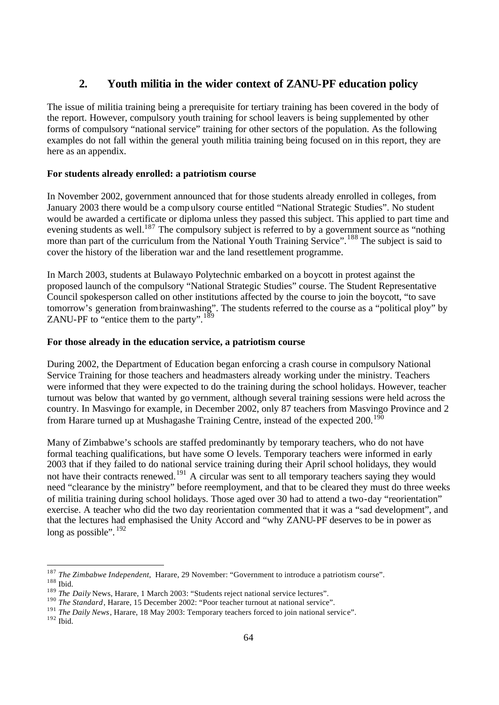## **2. Youth militia in the wider context of ZANU-PF education policy**

The issue of militia training being a prerequisite for tertiary training has been covered in the body of the report. However, compulsory youth training for school leavers is being supplemented by other forms of compulsory "national service" training for other sectors of the population. As the following examples do not fall within the general youth militia training being focused on in this report, they are here as an appendix.

## **For students already enrolled: a patriotism course**

In November 2002, government announced that for those students already enrolled in colleges, from January 2003 there would be a compulsory course entitled "National Strategic Studies". No student would be awarded a certificate or diploma unless they passed this subject. This applied to part time and evening students as well.<sup>187</sup> The compulsory subject is referred to by a government source as "nothing" more than part of the curriculum from the National Youth Training Service".<sup>188</sup> The subject is said to cover the history of the liberation war and the land resettlement programme.

In March 2003, students at Bulawayo Polytechnic embarked on a boycott in protest against the proposed launch of the compulsory "National Strategic Studies" course. The Student Representative Council spokesperson called on other institutions affected by the course to join the boycott, "to save tomorrow's generation from brainwashing". The students referred to the course as a "political ploy" by ZANU-PF to "entice them to the party".<sup>189</sup>

#### **For those already in the education service, a patriotism course**

During 2002, the Department of Education began enforcing a crash course in compulsory National Service Training for those teachers and headmasters already working under the ministry. Teachers were informed that they were expected to do the training during the school holidays. However, teacher turnout was below that wanted by go vernment, although several training sessions were held across the country. In Masvingo for example, in December 2002, only 87 teachers from Masvingo Province and 2 from Harare turned up at Mushagashe Training Centre, instead of the expected  $200^{190}$ 

Many of Zimbabwe's schools are staffed predominantly by temporary teachers, who do not have formal teaching qualifications, but have some O levels. Temporary teachers were informed in early 2003 that if they failed to do national service training during their April school holidays, they would not have their contracts renewed.<sup>191</sup> A circular was sent to all temporary teachers saying they would need "clearance by the ministry" before reemployment, and that to be cleared they must do three weeks of militia training during school holidays. Those aged over 30 had to attend a two-day "reorientation" exercise. A teacher who did the two day reorientation commented that it was a "sad development", and that the lectures had emphasised the Unity Accord and "why ZANU-PF deserves to be in power as long as possible". <sup>192</sup>

<sup>187</sup> *The Zimbabwe Independent,* Harare, 29 November: "Government to introduce a patriotism course". <sup>188</sup> Ibid.

<sup>&</sup>lt;sup>189</sup> *The Daily* News, Harare, 1 March 2003: "Students reject national service lectures".

<sup>&</sup>lt;sup>190</sup> *The Standard*, Harare, 15 December 2002: "Poor teacher turnout at national service".

<sup>&</sup>lt;sup>191</sup> *The Daily News*, Harare, 18 May 2003: Temporary teachers forced to join national service".

 $192$  Ibid.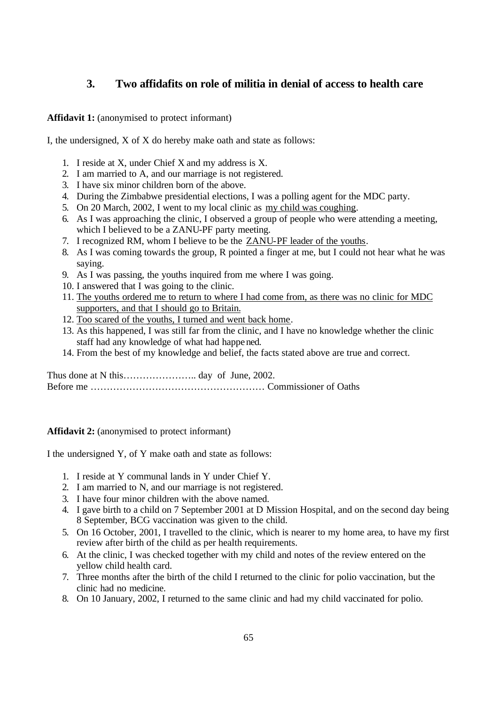## **3. Two affidafits on role of militia in denial of access to health care**

Affidavit 1: (anonymised to protect informant)

I, the undersigned, X of X do hereby make oath and state as follows:

- 1. I reside at X, under Chief X and my address is X.
- 2. I am married to A, and our marriage is not registered.
- 3. I have six minor children born of the above.
- 4. During the Zimbabwe presidential elections, I was a polling agent for the MDC party.
- 5. On 20 March, 2002, I went to my local clinic as my child was coughing.
- 6. As I was approaching the clinic, I observed a group of people who were attending a meeting, which I believed to be a ZANU-PF party meeting.
- 7. I recognized RM, whom I believe to be the ZANU-PF leader of the youths.
- 8. As I was coming towards the group, R pointed a finger at me, but I could not hear what he was saying.
- 9. As I was passing, the youths inquired from me where I was going.
- 10. I answered that I was going to the clinic.
- 11. The youths ordered me to return to where I had come from, as there was no clinic for MDC supporters, and that I should go to Britain.
- 12. Too scared of the youths, I turned and went back home.
- 13. As this happened, I was still far from the clinic, and I have no knowledge whether the clinic staff had any knowledge of what had happened.
- 14. From the best of my knowledge and belief, the facts stated above are true and correct.

Thus done at N this………………….. day of June, 2002. Before me ……………………………………………… Commissioner of Oaths

#### Affidavit 2: (anonymised to protect informant)

I the undersigned Y, of Y make oath and state as follows:

- 1. I reside at Y communal lands in Y under Chief Y.
- 2. I am married to N, and our marriage is not registered.
- 3. I have four minor children with the above named.
- 4. I gave birth to a child on 7 September 2001 at D Mission Hospital, and on the second day being 8 September, BCG vaccination was given to the child.
- 5. On 16 October, 2001, I travelled to the clinic, which is nearer to my home area, to have my first review after birth of the child as per health requirements.
- 6. At the clinic, I was checked together with my child and notes of the review entered on the yellow child health card.
- 7. Three months after the birth of the child I returned to the clinic for polio vaccination, but the clinic had no medicine.
- 8. On 10 January, 2002, I returned to the same clinic and had my child vaccinated for polio.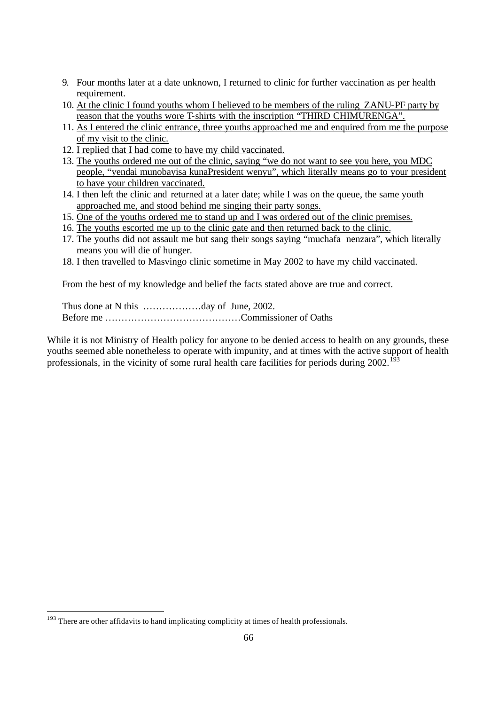- 9. Four months later at a date unknown, I returned to clinic for further vaccination as per health requirement.
- 10. At the clinic I found youths whom I believed to be members of the ruling ZANU-PF party by reason that the youths wore T-shirts with the inscription "THIRD CHIMURENGA".
- 11. As I entered the clinic entrance, three youths approached me and enquired from me the purpose of my visit to the clinic.
- 12. I replied that I had come to have my child vaccinated.
- 13. The youths ordered me out of the clinic, saying "we do not want to see you here, you MDC people, "yendai munobayisa kunaPresident wenyu", which literally means go to your president to have your children vaccinated.
- 14. I then left the clinic and returned at a later date; while I was on the queue, the same youth approached me, and stood behind me singing their party songs.
- 15. One of the youths ordered me to stand up and I was ordered out of the clinic premises.
- 16. The youths escorted me up to the clinic gate and then returned back to the clinic.
- 17. The youths did not assault me but sang their songs saying "muchafa nenzara", which literally means you will die of hunger.
- 18. I then travelled to Masvingo clinic sometime in May 2002 to have my child vaccinated.

From the best of my knowledge and belief the facts stated above are true and correct.

Thus done at N this ………………day of June, 2002. Before me ……………………………………Commissioner of Oaths

While it is not Ministry of Health policy for anyone to be denied access to health on any grounds, these youths seemed able nonetheless to operate with impunity, and at times with the active support of health professionals, in the vicinity of some rural health care facilities for periods during  $2002$ .<sup>193</sup>

 $193$  There are other affidavits to hand implicating complicity at times of health professionals.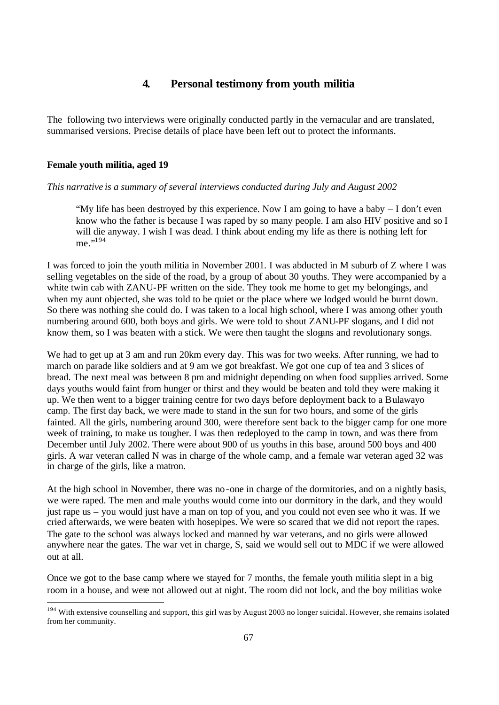## **4. Personal testimony from youth militia**

The following two interviews were originally conducted partly in the vernacular and are translated, summarised versions. Precise details of place have been left out to protect the informants.

#### **Female youth militia, aged 19**

#### *This narrative is a summary of several interviews conducted during July and August 2002*

"My life has been destroyed by this experience. Now I am going to have a baby – I don't even know who the father is because I was raped by so many people. I am also HIV positive and so I will die anyway. I wish I was dead. I think about ending my life as there is nothing left for me."<sup>194</sup>

I was forced to join the youth militia in November 2001. I was abducted in M suburb of Z where I was selling vegetables on the side of the road, by a group of about 30 youths. They were accompanied by a white twin cab with ZANU-PF written on the side. They took me home to get my belongings, and when my aunt objected, she was told to be quiet or the place where we lodged would be burnt down. So there was nothing she could do. I was taken to a local high school, where I was among other youth numbering around 600, both boys and girls. We were told to shout ZANU-PF slogans, and I did not know them, so I was beaten with a stick. We were then taught the slogans and revolutionary songs.

We had to get up at 3 am and run 20km every day. This was for two weeks. After running, we had to march on parade like soldiers and at 9 am we got breakfast. We got one cup of tea and 3 slices of bread. The next meal was between 8 pm and midnight depending on when food supplies arrived. Some days youths would faint from hunger or thirst and they would be beaten and told they were making it up. We then went to a bigger training centre for two days before deployment back to a Bulawayo camp. The first day back, we were made to stand in the sun for two hours, and some of the girls fainted. All the girls, numbering around 300, were therefore sent back to the bigger camp for one more week of training, to make us tougher. I was then redeployed to the camp in town, and was there from December until July 2002. There were about 900 of us youths in this base, around 500 boys and 400 girls. A war veteran called N was in charge of the whole camp, and a female war veteran aged 32 was in charge of the girls, like a matron.

At the high school in November, there was no-one in charge of the dormitories, and on a nightly basis, we were raped. The men and male youths would come into our dormitory in the dark, and they would just rape us – you would just have a man on top of you, and you could not even see who it was. If we cried afterwards, we were beaten with hosepipes. We were so scared that we did not report the rapes. The gate to the school was always locked and manned by war veterans, and no girls were allowed anywhere near the gates. The war vet in charge, S, said we would sell out to MDC if we were allowed out at all.

Once we got to the base camp where we stayed for 7 months, the female youth militia slept in a big room in a house, and were not allowed out at night. The room did not lock, and the boy militias woke

<sup>&</sup>lt;sup>194</sup> With extensive counselling and support, this girl was by August 2003 no longer suicidal. However, she remains isolated from her community.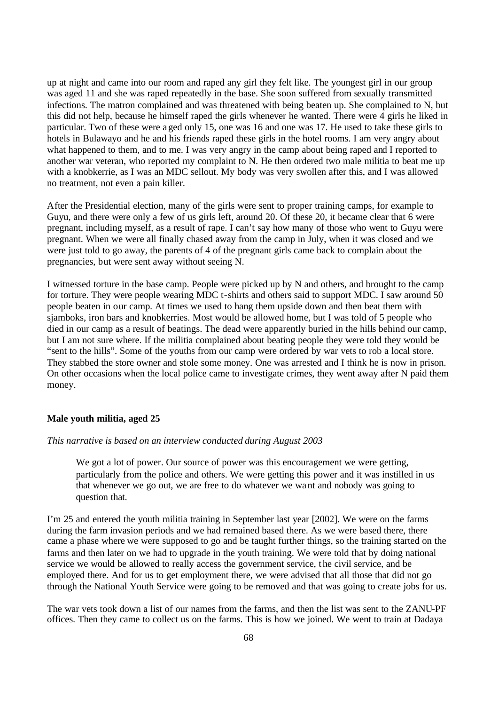up at night and came into our room and raped any girl they felt like. The youngest girl in our group was aged 11 and she was raped repeatedly in the base. She soon suffered from sexually transmitted infections. The matron complained and was threatened with being beaten up. She complained to N, but this did not help, because he himself raped the girls whenever he wanted. There were 4 girls he liked in particular. Two of these were aged only 15, one was 16 and one was 17. He used to take these girls to hotels in Bulawayo and he and his friends raped these girls in the hotel rooms. I am very angry about what happened to them, and to me. I was very angry in the camp about being raped and I reported to another war veteran, who reported my complaint to N. He then ordered two male militia to beat me up with a knobkerrie, as I was an MDC sellout. My body was very swollen after this, and I was allowed no treatment, not even a pain killer.

After the Presidential election, many of the girls were sent to proper training camps, for example to Guyu, and there were only a few of us girls left, around 20. Of these 20, it became clear that 6 were pregnant, including myself, as a result of rape. I can't say how many of those who went to Guyu were pregnant. When we were all finally chased away from the camp in July, when it was closed and we were just told to go away, the parents of 4 of the pregnant girls came back to complain about the pregnancies, but were sent away without seeing N.

I witnessed torture in the base camp. People were picked up by N and others, and brought to the camp for torture. They were people wearing MDC t-shirts and others said to support MDC. I saw around 50 people beaten in our camp. At times we used to hang them upside down and then beat them with sjamboks, iron bars and knobkerries. Most would be allowed home, but I was told of 5 people who died in our camp as a result of beatings. The dead were apparently buried in the hills behind our camp, but I am not sure where. If the militia complained about beating people they were told they would be "sent to the hills". Some of the youths from our camp were ordered by war vets to rob a local store. They stabbed the store owner and stole some money. One was arrested and I think he is now in prison. On other occasions when the local police came to investigate crimes, they went away after N paid them money.

#### **Male youth militia, aged 25**

#### *This narrative is based on an interview conducted during August 2003*

We got a lot of power. Our source of power was this encouragement we were getting, particularly from the police and others. We were getting this power and it was instilled in us that whenever we go out, we are free to do whatever we want and nobody was going to question that.

I'm 25 and entered the youth militia training in September last year [2002]. We were on the farms during the farm invasion periods and we had remained based there. As we were based there, there came a phase where we were supposed to go and be taught further things, so the training started on the farms and then later on we had to upgrade in the youth training. We were told that by doing national service we would be allowed to really access the government service, the civil service, and be employed there. And for us to get employment there, we were advised that all those that did not go through the National Youth Service were going to be removed and that was going to create jobs for us.

The war vets took down a list of our names from the farms, and then the list was sent to the ZANU-PF offices. Then they came to collect us on the farms. This is how we joined. We went to train at Dadaya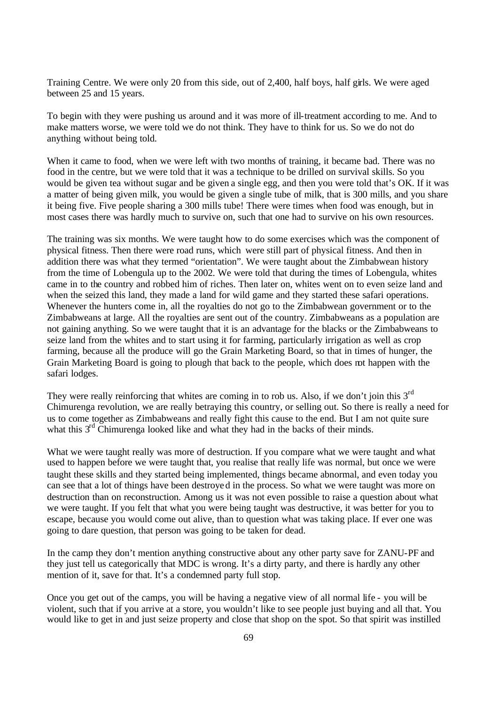Training Centre. We were only 20 from this side, out of 2,400, half boys, half girls. We were aged between 25 and 15 years.

To begin with they were pushing us around and it was more of ill-treatment according to me. And to make matters worse, we were told we do not think. They have to think for us. So we do not do anything without being told.

When it came to food, when we were left with two months of training, it became bad. There was no food in the centre, but we were told that it was a technique to be drilled on survival skills. So you would be given tea without sugar and be given a single egg, and then you were told that's OK. If it was a matter of being given milk, you would be given a single tube of milk, that is 300 mills, and you share it being five. Five people sharing a 300 mills tube! There were times when food was enough, but in most cases there was hardly much to survive on, such that one had to survive on his own resources.

The training was six months. We were taught how to do some exercises which was the component of physical fitness. Then there were road runs, which were still part of physical fitness. And then in addition there was what they termed "orientation". We were taught about the Zimbabwean history from the time of Lobengula up to the 2002. We were told that during the times of Lobengula, whites came in to the country and robbed him of riches. Then later on, whites went on to even seize land and when the seized this land, they made a land for wild game and they started these safari operations. Whenever the hunters come in, all the royalties do not go to the Zimbabwean government or to the Zimbabweans at large. All the royalties are sent out of the country. Zimbabweans as a population are not gaining anything. So we were taught that it is an advantage for the blacks or the Zimbabweans to seize land from the whites and to start using it for farming, particularly irrigation as well as crop farming, because all the produce will go the Grain Marketing Board, so that in times of hunger, the Grain Marketing Board is going to plough that back to the people, which does not happen with the safari lodges.

They were really reinforcing that whites are coming in to rob us. Also, if we don't join this  $3<sup>rd</sup>$ Chimurenga revolution, we are really betraying this country, or selling out. So there is really a need for us to come together as Zimbabweans and really fight this cause to the end. But I am not quite sure what this 3<sup>rd</sup> Chimurenga looked like and what they had in the backs of their minds.

What we were taught really was more of destruction. If you compare what we were taught and what used to happen before we were taught that, you realise that really life was normal, but once we were taught these skills and they started being implemented, things became abnormal, and even today you can see that a lot of things have been destroyed in the process. So what we were taught was more on destruction than on reconstruction. Among us it was not even possible to raise a question about what we were taught. If you felt that what you were being taught was destructive, it was better for you to escape, because you would come out alive, than to question what was taking place. If ever one was going to dare question, that person was going to be taken for dead.

In the camp they don't mention anything constructive about any other party save for ZANU-PF and they just tell us categorically that MDC is wrong. It's a dirty party, and there is hardly any other mention of it, save for that. It's a condemned party full stop.

Once you get out of the camps, you will be having a negative view of all normal life - you will be violent, such that if you arrive at a store, you wouldn't like to see people just buying and all that. You would like to get in and just seize property and close that shop on the spot. So that spirit was instilled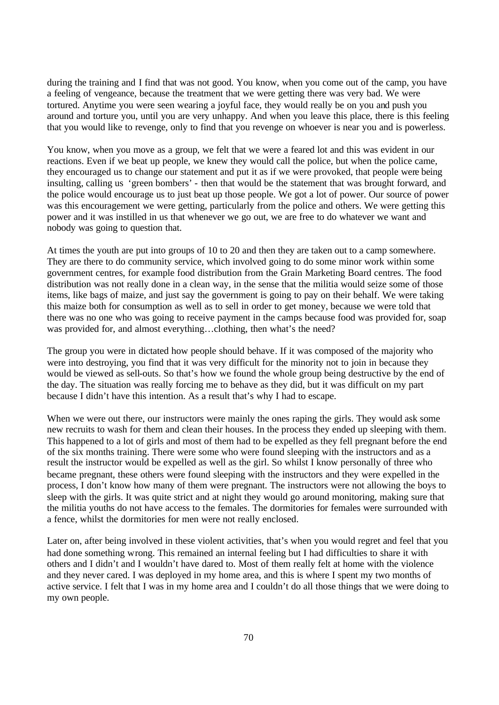during the training and I find that was not good. You know, when you come out of the camp, you have a feeling of vengeance, because the treatment that we were getting there was very bad. We were tortured. Anytime you were seen wearing a joyful face, they would really be on you and push you around and torture you, until you are very unhappy. And when you leave this place, there is this feeling that you would like to revenge, only to find that you revenge on whoever is near you and is powerless.

You know, when you move as a group, we felt that we were a feared lot and this was evident in our reactions. Even if we beat up people, we knew they would call the police, but when the police came, they encouraged us to change our statement and put it as if we were provoked, that people were being insulting, calling us 'green bombers' - then that would be the statement that was brought forward, and the police would encourage us to just beat up those people. We got a lot of power. Our source of power was this encouragement we were getting, particularly from the police and others. We were getting this power and it was instilled in us that whenever we go out, we are free to do whatever we want and nobody was going to question that.

At times the youth are put into groups of 10 to 20 and then they are taken out to a camp somewhere. They are there to do community service, which involved going to do some minor work within some government centres, for example food distribution from the Grain Marketing Board centres. The food distribution was not really done in a clean way, in the sense that the militia would seize some of those items, like bags of maize, and just say the government is going to pay on their behalf. We were taking this maize both for consumption as well as to sell in order to get money, because we were told that there was no one who was going to receive payment in the camps because food was provided for, soap was provided for, and almost everything...clothing, then what's the need?

The group you were in dictated how people should behave. If it was composed of the majority who were into destroying, you find that it was very difficult for the minority not to join in because they would be viewed as sell-outs. So that's how we found the whole group being destructive by the end of the day. The situation was really forcing me to behave as they did, but it was difficult on my part because I didn't have this intention. As a result that's why I had to escape.

When we were out there, our instructors were mainly the ones raping the girls. They would ask some new recruits to wash for them and clean their houses. In the process they ended up sleeping with them. This happened to a lot of girls and most of them had to be expelled as they fell pregnant before the end of the six months training. There were some who were found sleeping with the instructors and as a result the instructor would be expelled as well as the girl. So whilst I know personally of three who became pregnant, these others were found sleeping with the instructors and they were expelled in the process, I don't know how many of them were pregnant. The instructors were not allowing the boys to sleep with the girls. It was quite strict and at night they would go around monitoring, making sure that the militia youths do not have access to the females. The dormitories for females were surrounded with a fence, whilst the dormitories for men were not really enclosed.

Later on, after being involved in these violent activities, that's when you would regret and feel that you had done something wrong. This remained an internal feeling but I had difficulties to share it with others and I didn't and I wouldn't have dared to. Most of them really felt at home with the violence and they never cared. I was deployed in my home area, and this is where I spent my two months of active service. I felt that I was in my home area and I couldn't do all those things that we were doing to my own people.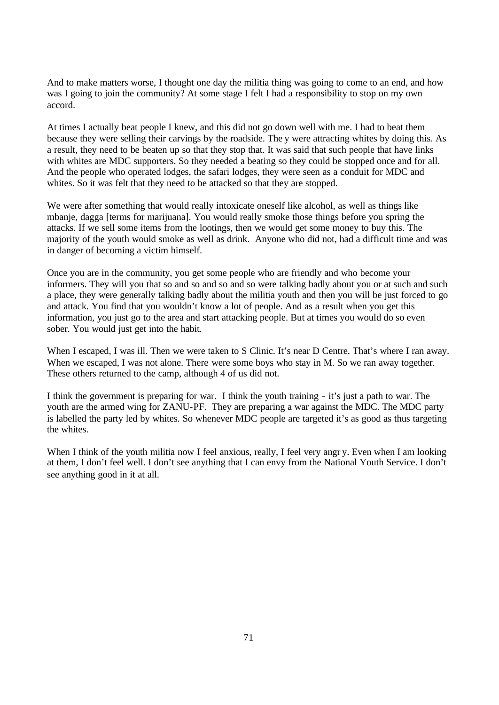And to make matters worse, I thought one day the militia thing was going to come to an end, and how was I going to join the community? At some stage I felt I had a responsibility to stop on my own accord.

At times I actually beat people I knew, and this did not go down well with me. I had to beat them because they were selling their carvings by the roadside. The y were attracting whites by doing this. As a result, they need to be beaten up so that they stop that. It was said that such people that have links with whites are MDC supporters. So they needed a beating so they could be stopped once and for all. And the people who operated lodges, the safari lodges, they were seen as a conduit for MDC and whites. So it was felt that they need to be attacked so that they are stopped.

We were after something that would really intoxicate oneself like alcohol, as well as things like mbanje, dagga [terms for marijuana]. You would really smoke those things before you spring the attacks. If we sell some items from the lootings, then we would get some money to buy this. The majority of the youth would smoke as well as drink. Anyone who did not, had a difficult time and was in danger of becoming a victim himself.

Once you are in the community, you get some people who are friendly and who become your informers. They will you that so and so and so and so were talking badly about you or at such and such a place, they were generally talking badly about the militia youth and then you will be just forced to go and attack. You find that you wouldn't know a lot of people. And as a result when you get this information, you just go to the area and start attacking people. But at times you would do so even sober. You would just get into the habit.

When I escaped, I was ill. Then we were taken to S Clinic. It's near D Centre. That's where I ran away. When we escaped, I was not alone. There were some boys who stay in M. So we ran away together. These others returned to the camp, although 4 of us did not.

I think the government is preparing for war. I think the youth training - it's just a path to war. The youth are the armed wing for ZANU-PF. They are preparing a war against the MDC. The MDC party is labelled the party led by whites. So whenever MDC people are targeted it's as good as thus targeting the whites.

When I think of the youth militia now I feel anxious, really, I feel very angr y. Even when I am looking at them, I don't feel well. I don't see anything that I can envy from the National Youth Service. I don't see anything good in it at all.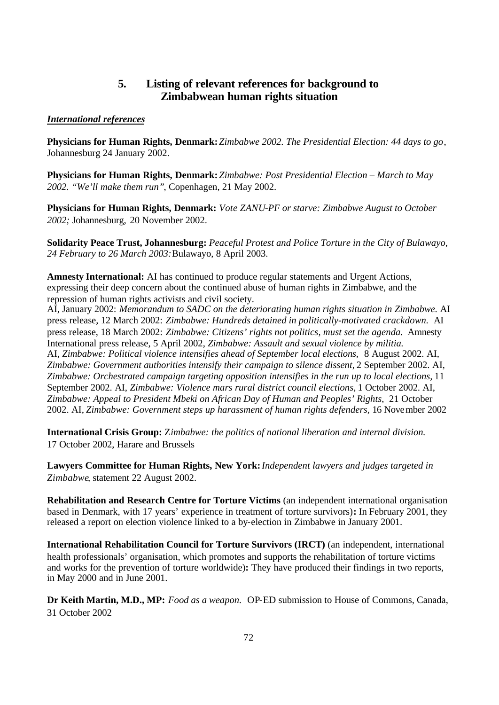## **5. Listing of relevant references for background to Zimbabwean human rights situation**

#### *International references*

**Physicians for Human Rights, Denmark:** *Zimbabwe 2002. The Presidential Election: 44 days to go*, Johannesburg 24 January 2002.

**Physicians for Human Rights, Denmark:** *Zimbabwe: Post Presidential Election – March to May 2002. "We'll make them run"*, Copenhagen, 21 May 2002.

**Physicians for Human Rights, Denmark:** *Vote ZANU-PF or starve: Zimbabwe August to October 2002;* Johannesburg, 20 November 2002.

**Solidarity Peace Trust, Johannesburg:** *Peaceful Protest and Police Torture in the City of Bulawayo, 24 February to 26 March 2003:*Bulawayo, 8 April 2003.

**Amnesty International:** AI has continued to produce regular statements and Urgent Actions, expressing their deep concern about the continued abuse of human rights in Zimbabwe, and the repression of human rights activists and civil society.

AI, January 2002: *Memorandum to SADC on the deteriorating human rights situation in Zimbabwe.* AI press release, 12 March 2002: *Zimbabwe: Hundreds detained in politically-motivated crackdown.* AI press release, 18 March 2002: *Zimbabwe: Citizens' rights not politics, must set the agenda.* Amnesty International press release, 5 April 2002, *Zimbabwe: Assault and sexual violence by militia.*  AI, *Zimbabwe: Political violence intensifies ahead of September local elections,* 8 August 2002. AI, Zimbabwe: Government authorities intensify their campaign to silence dissent, 2 September 2002. AI, *Zimbabwe: Orchestrated campaign targeting opposition intensifies in the run up to local elections,* 11 September 2002. AI, *Zimbabwe: Violence mars rural district council elections,* 1 October 2002. AI, *Zimbabwe: Appeal to President Mbeki on African Day of Human and Peoples' Rights*, 21 October 2002. AI, *Zimbabwe: Government steps up harassment of human rights defenders,* 16 November 2002

**International Crisis Group:** Z*imbabwe: the politics of national liberation and internal division.*  17 October 2002, Harare and Brussels

**Lawyers Committee for Human Rights, New York:***Independent lawyers and judges targeted in Zimbabwe*, statement 22 August 2002.

**Rehabilitation and Research Centre for Torture Victims** (an independent international organisation based in Denmark, with 17 years' experience in treatment of torture survivors)**:** In February 2001, they released a report on election violence linked to a by-election in Zimbabwe in January 2001.

**International Rehabilitation Council for Torture Survivors (IRCT)** (an independent, international health professionals' organisation, which promotes and supports the rehabilitation of torture victims and works for the prevention of torture worldwide)**:** They have produced their findings in two reports, in May 2000 and in June 2001.

**Dr Keith Martin, M.D., MP:** *Food as a weapon.* OP-ED submission to House of Commons, Canada, 31 October 2002